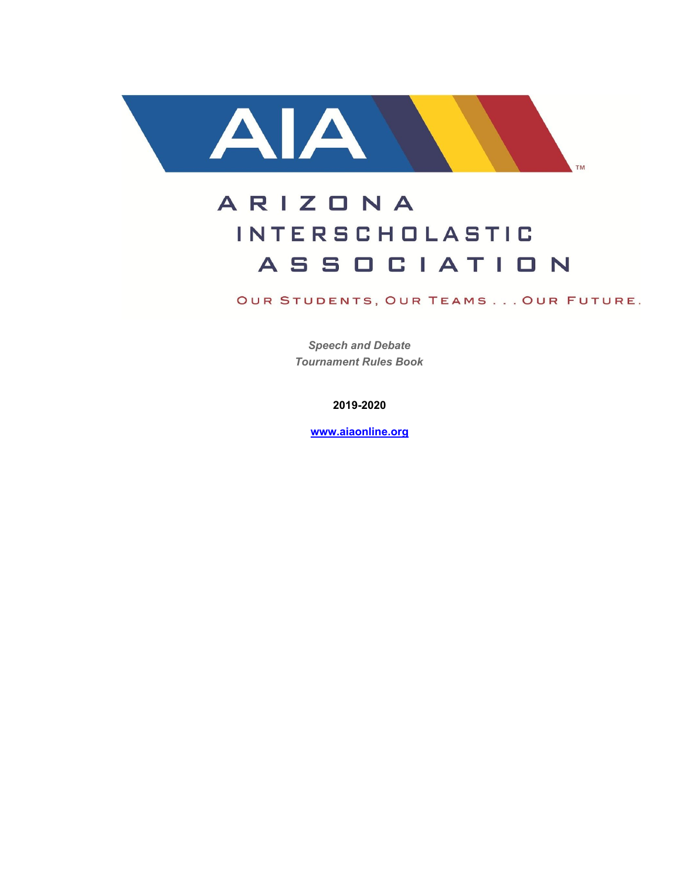

# ARIZONA **INTERSCHOLASTIC ASSOCIATION**

OUR STUDENTS, OUR TEAMS... OUR FUTURE.

*Speech and Debate Tournament Rules Book*

**2019-2020**

**[www.aiaonline.org](http://www.aiaonline.org/)**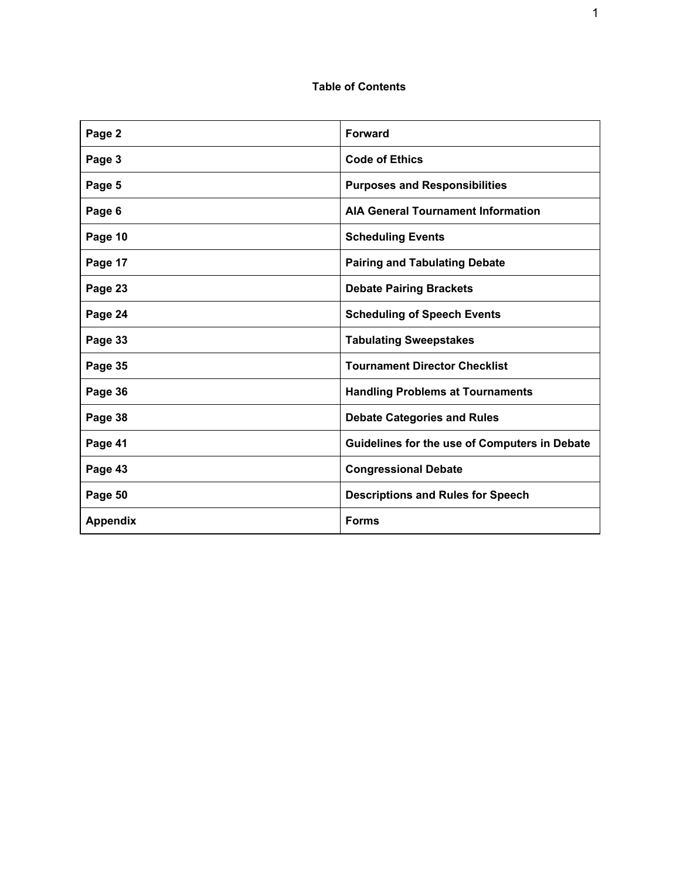# **Table of Contents**

| Page 2          | <b>Forward</b>                                |
|-----------------|-----------------------------------------------|
| Page 3          | <b>Code of Ethics</b>                         |
| Page 5          | <b>Purposes and Responsibilities</b>          |
| Page 6          | <b>AIA General Tournament Information</b>     |
| Page 10         | <b>Scheduling Events</b>                      |
| Page 17         | <b>Pairing and Tabulating Debate</b>          |
| Page 23         | <b>Debate Pairing Brackets</b>                |
| Page 24         | <b>Scheduling of Speech Events</b>            |
| Page 33         | <b>Tabulating Sweepstakes</b>                 |
| Page 35         | <b>Tournament Director Checklist</b>          |
| Page 36         | <b>Handling Problems at Tournaments</b>       |
| Page 38         | <b>Debate Categories and Rules</b>            |
| Page 41         | Guidelines for the use of Computers in Debate |
| Page 43         | <b>Congressional Debate</b>                   |
| Page 50         | <b>Descriptions and Rules for Speech</b>      |
| <b>Appendix</b> | <b>Forms</b>                                  |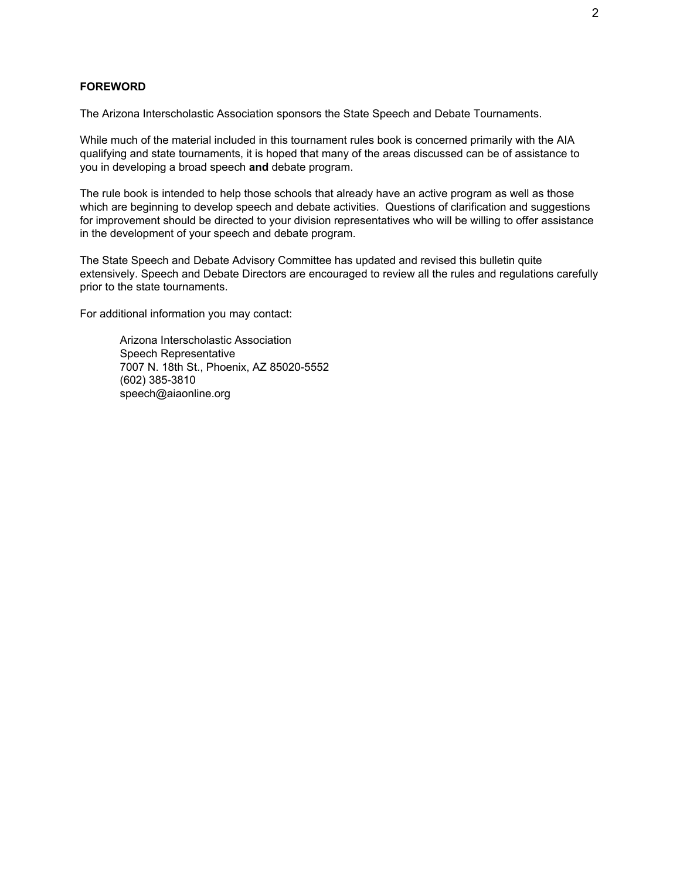#### **FOREWORD**

The Arizona Interscholastic Association sponsors the State Speech and Debate Tournaments.

While much of the material included in this tournament rules book is concerned primarily with the AIA qualifying and state tournaments, it is hoped that many of the areas discussed can be of assistance to you in developing a broad speech **and** debate program.

The rule book is intended to help those schools that already have an active program as well as those which are beginning to develop speech and debate activities. Questions of clarification and suggestions for improvement should be directed to your division representatives who will be willing to offer assistance in the development of your speech and debate program.

The State Speech and Debate Advisory Committee has updated and revised this bulletin quite extensively. Speech and Debate Directors are encouraged to review all the rules and regulations carefully prior to the state tournaments.

For additional information you may contact:

Arizona Interscholastic Association Speech Representative 7007 N. 18th St., Phoenix, AZ 85020-5552 (602) 385-3810 speech@aiaonline.org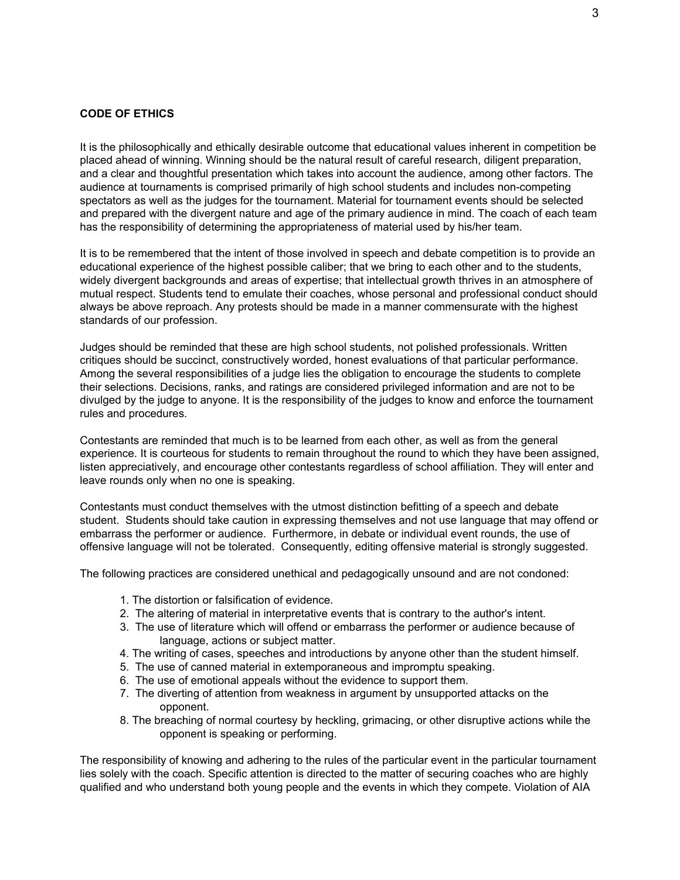#### **CODE OF ETHICS**

It is the philosophically and ethically desirable outcome that educational values inherent in competition be placed ahead of winning. Winning should be the natural result of careful research, diligent preparation, and a clear and thoughtful presentation which takes into account the audience, among other factors. The audience at tournaments is comprised primarily of high school students and includes non-competing spectators as well as the judges for the tournament. Material for tournament events should be selected and prepared with the divergent nature and age of the primary audience in mind. The coach of each team has the responsibility of determining the appropriateness of material used by his/her team.

It is to be remembered that the intent of those involved in speech and debate competition is to provide an educational experience of the highest possible caliber; that we bring to each other and to the students, widely divergent backgrounds and areas of expertise; that intellectual growth thrives in an atmosphere of mutual respect. Students tend to emulate their coaches, whose personal and professional conduct should always be above reproach. Any protests should be made in a manner commensurate with the highest standards of our profession.

Judges should be reminded that these are high school students, not polished professionals. Written critiques should be succinct, constructively worded, honest evaluations of that particular performance. Among the several responsibilities of a judge lies the obligation to encourage the students to complete their selections. Decisions, ranks, and ratings are considered privileged information and are not to be divulged by the judge to anyone. It is the responsibility of the judges to know and enforce the tournament rules and procedures.

Contestants are reminded that much is to be learned from each other, as well as from the general experience. It is courteous for students to remain throughout the round to which they have been assigned, listen appreciatively, and encourage other contestants regardless of school affiliation. They will enter and leave rounds only when no one is speaking.

Contestants must conduct themselves with the utmost distinction befitting of a speech and debate student. Students should take caution in expressing themselves and not use language that may offend or embarrass the performer or audience. Furthermore, in debate or individual event rounds, the use of offensive language will not be tolerated. Consequently, editing offensive material is strongly suggested.

The following practices are considered unethical and pedagogically unsound and are not condoned:

- 1. The distortion or falsification of evidence.
- 2. The altering of material in interpretative events that is contrary to the author's intent.
- 3. The use of literature which will offend or embarrass the performer or audience because of language, actions or subject matter.
- 4. The writing of cases, speeches and introductions by anyone other than the student himself.
- 5. The use of canned material in extemporaneous and impromptu speaking.
- 6. The use of emotional appeals without the evidence to support them.
- 7. The diverting of attention from weakness in argument by unsupported attacks on the opponent.
- 8. The breaching of normal courtesy by heckling, grimacing, or other disruptive actions while the opponent is speaking or performing.

The responsibility of knowing and adhering to the rules of the particular event in the particular tournament lies solely with the coach. Specific attention is directed to the matter of securing coaches who are highly qualified and who understand both young people and the events in which they compete. Violation of AIA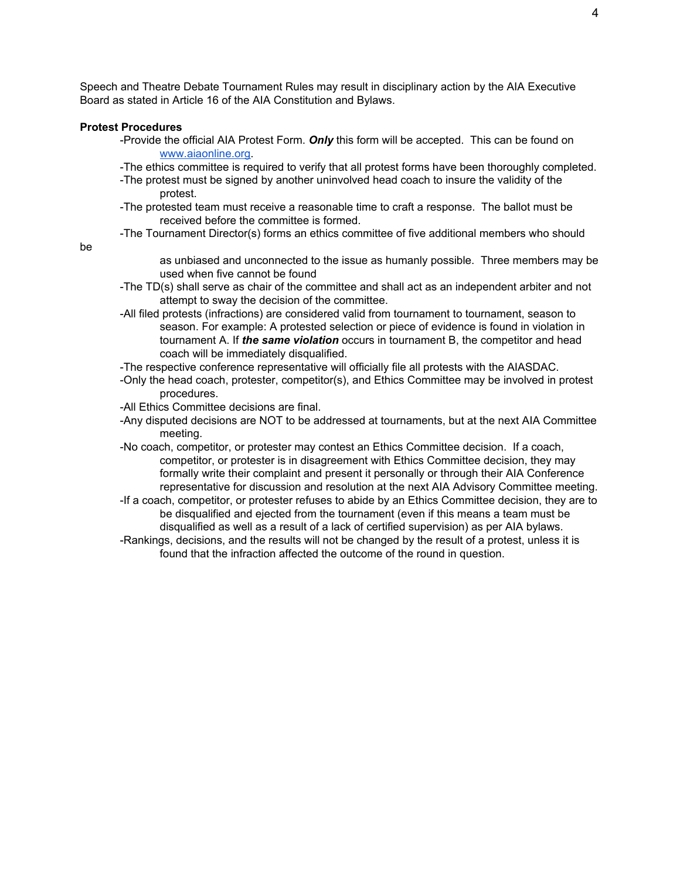Speech and Theatre Debate Tournament Rules may result in disciplinary action by the AIA Executive Board as stated in Article 16 of the AIA Constitution and Bylaws.

#### **Protest Procedures**

- -Provide the official AIA Protest Form. *Only* this form will be accepted. This can be found on [www.aiaonline.org.](http://www.aiaonline.org/)
- -The ethics committee is required to verify that all protest forms have been thoroughly completed.
- -The protest must be signed by another uninvolved head coach to insure the validity of the protest.
- -The protested team must receive a reasonable time to craft a response. The ballot must be received before the committee is formed.
- -The Tournament Director(s) forms an ethics committee of five additional members who should

be

as unbiased and unconnected to the issue as humanly possible. Three members may be used when five cannot be found

- -The TD(s) shall serve as chair of the committee and shall act as an independent arbiter and not attempt to sway the decision of the committee.
- -All filed protests (infractions) are considered valid from tournament to tournament, season to season. For example: A protested selection or piece of evidence is found in violation in tournament A. If *the same violation* occurs in tournament B, the competitor and head coach will be immediately disqualified.
- -The respective conference representative will officially file all protests with the AIASDAC.
- -Only the head coach, protester, competitor(s), and Ethics Committee may be involved in protest procedures.
- -All Ethics Committee decisions are final.
- -Any disputed decisions are NOT to be addressed at tournaments, but at the next AIA Committee meeting.
- -No coach, competitor, or protester may contest an Ethics Committee decision. If a coach, competitor, or protester is in disagreement with Ethics Committee decision, they may formally write their complaint and present it personally or through their AIA Conference representative for discussion and resolution at the next AIA Advisory Committee meeting.
- -If a coach, competitor, or protester refuses to abide by an Ethics Committee decision, they are to be disqualified and ejected from the tournament (even if this means a team must be disqualified as well as a result of a lack of certified supervision) as per AIA bylaws.

-Rankings, decisions, and the results will not be changed by the result of a protest, unless it is found that the infraction affected the outcome of the round in question.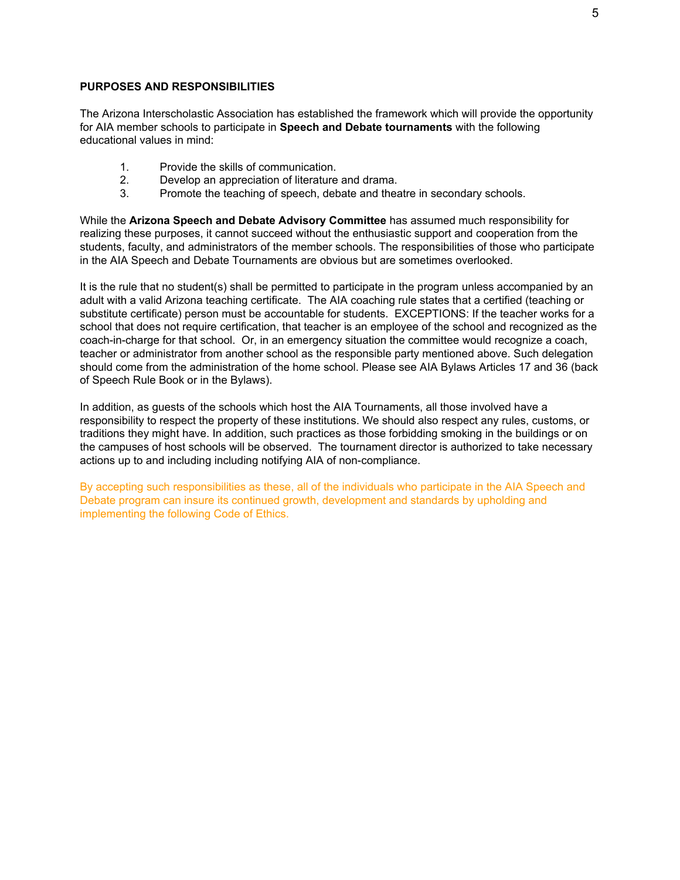#### **PURPOSES AND RESPONSIBILITIES**

The Arizona Interscholastic Association has established the framework which will provide the opportunity for AIA member schools to participate in **Speech and Debate tournaments** with the following educational values in mind:

- 1. Provide the skills of communication.
- 2. Develop an appreciation of literature and drama.
- 3. Promote the teaching of speech, debate and theatre in secondary schools.

While the **Arizona Speech and Debate Advisory Committee** has assumed much responsibility for realizing these purposes, it cannot succeed without the enthusiastic support and cooperation from the students, faculty, and administrators of the member schools. The responsibilities of those who participate in the AIA Speech and Debate Tournaments are obvious but are sometimes overlooked.

It is the rule that no student(s) shall be permitted to participate in the program unless accompanied by an adult with a valid Arizona teaching certificate. The AIA coaching rule states that a certified (teaching or substitute certificate) person must be accountable for students. EXCEPTIONS: If the teacher works for a school that does not require certification, that teacher is an employee of the school and recognized as the coach-in-charge for that school. Or, in an emergency situation the committee would recognize a coach, teacher or administrator from another school as the responsible party mentioned above. Such delegation should come from the administration of the home school. Please see AIA Bylaws Articles 17 and 36 (back of Speech Rule Book or in the Bylaws).

In addition, as guests of the schools which host the AIA Tournaments, all those involved have a responsibility to respect the property of these institutions. We should also respect any rules, customs, or traditions they might have. In addition, such practices as those forbidding smoking in the buildings or on the campuses of host schools will be observed. The tournament director is authorized to take necessary actions up to and including including notifying AIA of non-compliance.

By accepting such responsibilities as these, all of the individuals who participate in the AIA Speech and Debate program can insure its continued growth, development and standards by upholding and implementing the following Code of Ethics.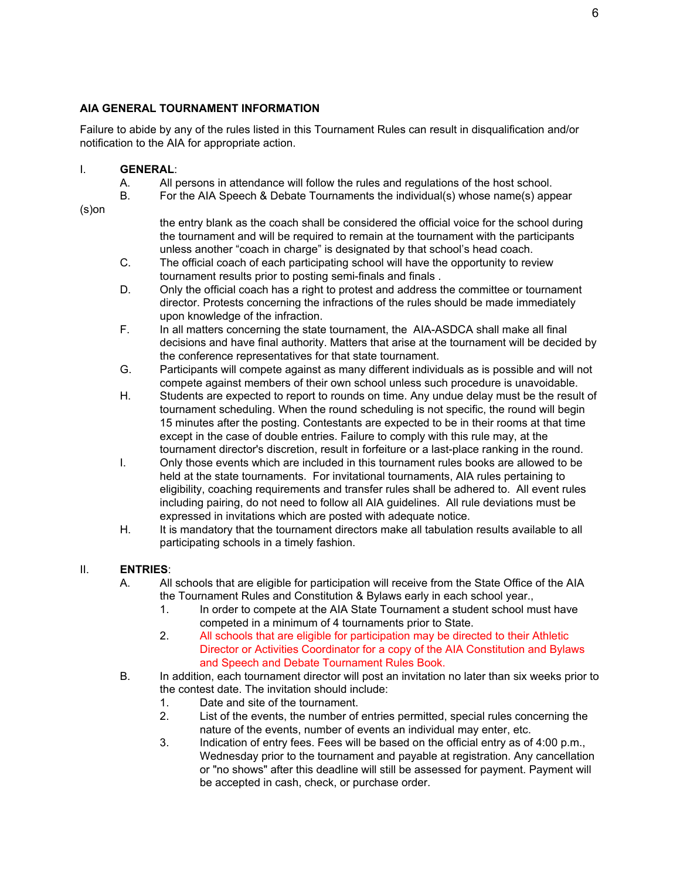## **AIA GENERAL TOURNAMENT INFORMATION**

Failure to abide by any of the rules listed in this Tournament Rules can result in disqualification and/or notification to the AIA for appropriate action.

#### I. **GENERAL**:

- A. All persons in attendance will follow the rules and regulations of the host school.
- B. For the AIA Speech & Debate Tournaments the individual(s) whose name(s) appear

(s)on

the entry blank as the coach shall be considered the official voice for the school during the tournament and will be required to remain at the tournament with the participants unless another "coach in charge" is designated by that school's head coach.

- C. The official coach of each participating school will have the opportunity to review tournament results prior to posting semi-finals and finals .
- D. Only the official coach has a right to protest and address the committee or tournament director. Protests concerning the infractions of the rules should be made immediately upon knowledge of the infraction.
- F. In all matters concerning the state tournament, the AIA-ASDCA shall make all final decisions and have final authority. Matters that arise at the tournament will be decided by the conference representatives for that state tournament.
- G. Participants will compete against as many different individuals as is possible and will not compete against members of their own school unless such procedure is unavoidable.
- H. Students are expected to report to rounds on time. Any undue delay must be the result of tournament scheduling. When the round scheduling is not specific, the round will begin 15 minutes after the posting. Contestants are expected to be in their rooms at that time except in the case of double entries. Failure to comply with this rule may, at the tournament director's discretion, result in forfeiture or a last-place ranking in the round.
- I. Only those events which are included in this tournament rules books are allowed to be held at the state tournaments. For invitational tournaments, AIA rules pertaining to eligibility, coaching requirements and transfer rules shall be adhered to. All event rules including pairing, do not need to follow all AIA guidelines. All rule deviations must be expressed in invitations which are posted with adequate notice.
- H. It is mandatory that the tournament directors make all tabulation results available to all participating schools in a timely fashion.

## II. **ENTRIES**:

- A. All schools that are eligible for participation will receive from the State Office of the AIA the Tournament Rules and Constitution & Bylaws early in each school year.,
	- 1. In order to compete at the AIA State Tournament a student school must have competed in a minimum of 4 tournaments prior to State.
	- 2. All schools that are eligible for participation may be directed to their Athletic Director or Activities Coordinator for a copy of the AIA Constitution and Bylaws and Speech and Debate Tournament Rules Book.
- B. In addition, each tournament director will post an invitation no later than six weeks prior to the contest date. The invitation should include:
	- 1. Date and site of the tournament.
	- 2. List of the events, the number of entries permitted, special rules concerning the nature of the events, number of events an individual may enter, etc.
	- 3. Indication of entry fees. Fees will be based on the official entry as of 4:00 p.m., Wednesday prior to the tournament and payable at registration. Any cancellation or "no shows" after this deadline will still be assessed for payment. Payment will be accepted in cash, check, or purchase order.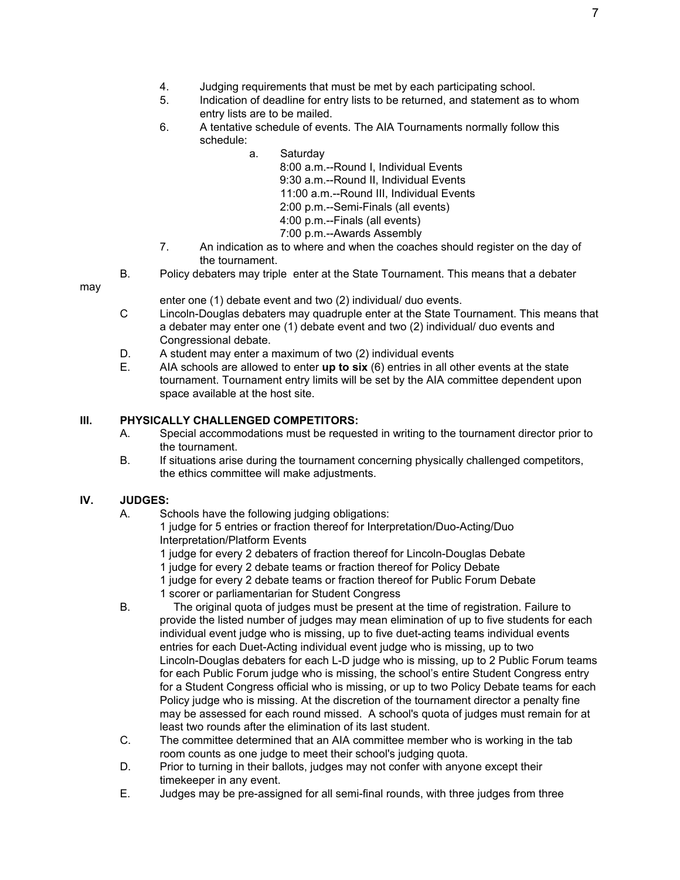- 4. Judging requirements that must be met by each participating school.
- 5. Indication of deadline for entry lists to be returned, and statement as to whom entry lists are to be mailed.
- 6. A tentative schedule of events. The AIA Tournaments normally follow this schedule:
	- a. Saturday

8:00 a.m.--Round I, Individual Events 9:30 a.m.--Round II, Individual Events 11:00 a.m.--Round III, Individual Events 2:00 p.m.--Semi-Finals (all events) 4:00 p.m.--Finals (all events)

- 7:00 p.m.--Awards Assembly
- 7. An indication as to where and when the coaches should register on the day of the tournament.
- B. Policy debaters may triple enter at the State Tournament. This means that a debater

may

enter one (1) debate event and two (2) individual/ duo events.

- C Lincoln-Douglas debaters may quadruple enter at the State Tournament. This means that a debater may enter one (1) debate event and two (2) individual/ duo events and Congressional debate.
- D. A student may enter a maximum of two (2) individual events
- E. AIA schools are allowed to enter **up to six** (6) entries in all other events at the state tournament. Tournament entry limits will be set by the AIA committee dependent upon space available at the host site.

# **III. PHYSICALLY CHALLENGED COMPETITORS:**

- A. Special accommodations must be requested in writing to the tournament director prior to the tournament.
- B. If situations arise during the tournament concerning physically challenged competitors, the ethics committee will make adjustments.

# **IV. JUDGES:**

A. Schools have the following judging obligations:

1 judge for 5 entries or fraction thereof for Interpretation/Duo-Acting/Duo Interpretation/Platform Events

- 1 judge for every 2 debaters of fraction thereof for Lincoln-Douglas Debate
- 1 judge for every 2 debate teams or fraction thereof for Policy Debate
- 1 judge for every 2 debate teams or fraction thereof for Public Forum Debate
- 1 scorer or parliamentarian for Student Congress
- B. The original quota of judges must be present at the time of registration. Failure to provide the listed number of judges may mean elimination of up to five students for each individual event judge who is missing, up to five duet-acting teams individual events entries for each Duet-Acting individual event judge who is missing, up to two Lincoln-Douglas debaters for each L-D judge who is missing, up to 2 Public Forum teams for each Public Forum judge who is missing, the school's entire Student Congress entry for a Student Congress official who is missing, or up to two Policy Debate teams for each Policy judge who is missing. At the discretion of the tournament director a penalty fine may be assessed for each round missed. A school's quota of judges must remain for at least two rounds after the elimination of its last student.
- C. The committee determined that an AIA committee member who is working in the tab room counts as one judge to meet their school's judging quota.
- D. Prior to turning in their ballots, judges may not confer with anyone except their timekeeper in any event.
- E. Judges may be pre-assigned for all semi-final rounds, with three judges from three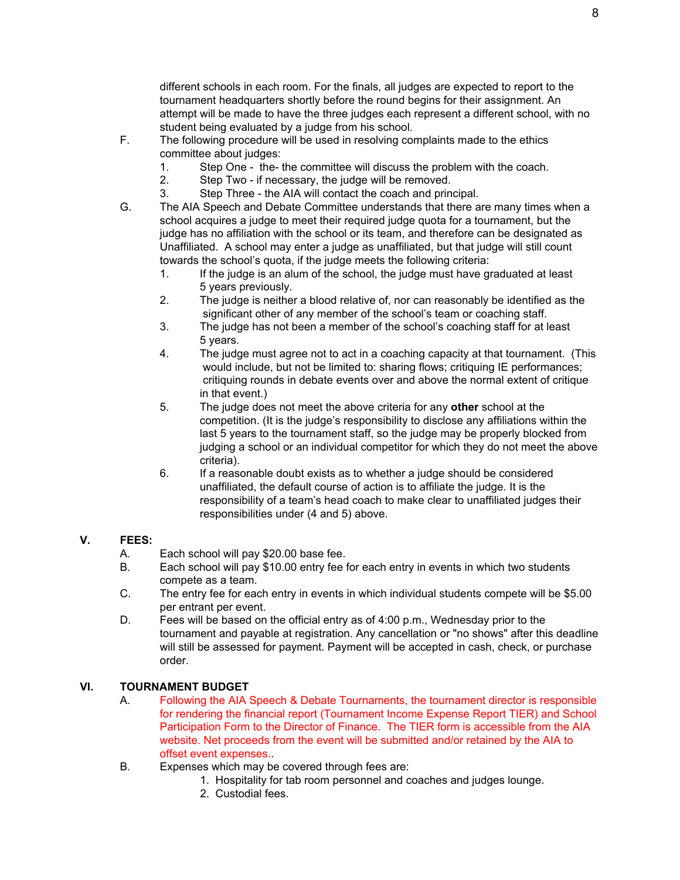different schools in each room. For the finals, all judges are expected to report to the tournament headquarters shortly before the round begins for their assignment. An attempt will be made to have the three judges each represent a different school, with no student being evaluated by a judge from his school.

- F. The following procedure will be used in resolving complaints made to the ethics committee about judges:
	- 1. Step One the- the committee will discuss the problem with the coach.
	- 2. Step Two if necessary, the judge will be removed.
	- 3. Step Three the AIA will contact the coach and principal.
- G. The AIA Speech and Debate Committee understands that there are many times when a school acquires a judge to meet their required judge quota for a tournament, but the judge has no affiliation with the school or its team, and therefore can be designated as Unaffiliated. A school may enter a judge as unaffiliated, but that judge will still count towards the school's quota, if the judge meets the following criteria:
	- 1. If the judge is an alum of the school, the judge must have graduated at least 5 years previously.
	- 2. The judge is neither a blood relative of, nor can reasonably be identified as the significant other of any member of the school's team or coaching staff.
	- 3. The judge has not been a member of the school's coaching staff for at least 5 years.
	- 4. The judge must agree not to act in a coaching capacity at that tournament. (This would include, but not be limited to: sharing flows; critiquing IE performances; critiquing rounds in debate events over and above the normal extent of critique in that event.)
	- 5. The judge does not meet the above criteria for any **other** school at the competition. (It is the judge's responsibility to disclose any affiliations within the last 5 years to the tournament staff, so the judge may be properly blocked from judging a school or an individual competitor for which they do not meet the above criteria).
	- 6. If a reasonable doubt exists as to whether a judge should be considered unaffiliated, the default course of action is to affiliate the judge. It is the responsibility of a team's head coach to make clear to unaffiliated judges their responsibilities under (4 and 5) above.

## **V. FEES:**

- A. Each school will pay \$20.00 base fee.
- B. Each school will pay \$10.00 entry fee for each entry in events in which two students compete as a team.
- C. The entry fee for each entry in events in which individual students compete will be \$5.00 per entrant per event.
- D. Fees will be based on the official entry as of 4:00 p.m., Wednesday prior to the tournament and payable at registration. Any cancellation or "no shows" after this deadline will still be assessed for payment. Payment will be accepted in cash, check, or purchase order.

# **VI. TOURNAMENT BUDGET**

- A. Following the AIA Speech & Debate Tournaments, the tournament director is responsible for rendering the financial report (Tournament Income Expense Report TIER) and School Participation Form to the Director of Finance. The TIER form is accessible from the AIA website. Net proceeds from the event will be submitted and/or retained by the AIA to offset event expenses..
- B. Expenses which may be covered through fees are:
	- 1. Hospitality for tab room personnel and coaches and judges lounge.
	- 2. Custodial fees.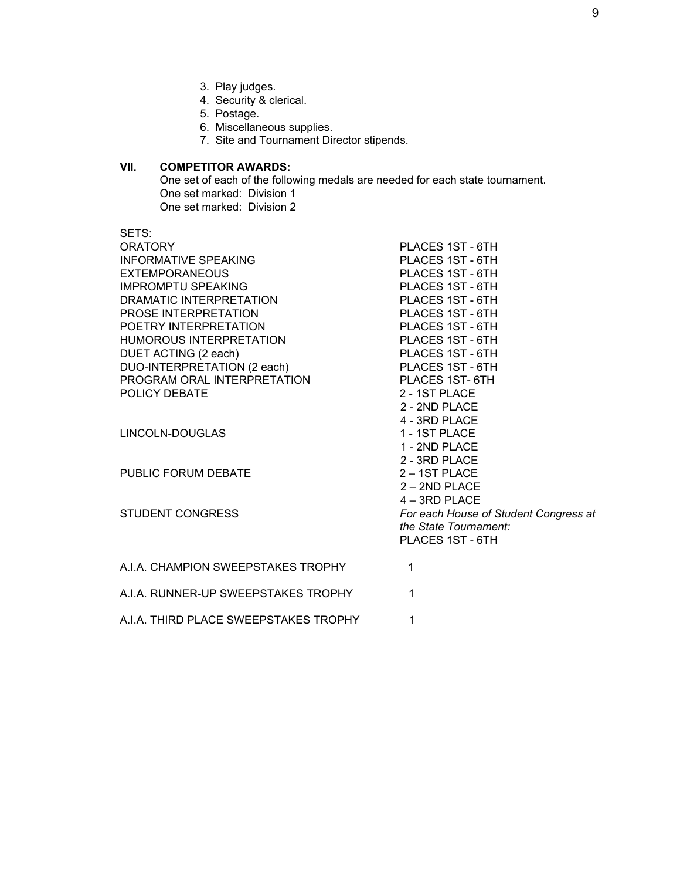- 3. Play judges.
- 4. Security & clerical.
- 5. Postage.
- 6. Miscellaneous supplies.
- 7. Site and Tournament Director stipends.

# **VII. COMPETITOR AWARDS:**

One set of each of the following medals are needed for each state tournament. One set marked: Division 1 One set marked: Division 2

| SETS:<br><b>ORATORY</b><br><b>INFORMATIVE SPEAKING</b><br><b>EXTEMPORANEOUS</b><br><b>IMPROMPTU SPEAKING</b><br>DRAMATIC INTERPRETATION<br>PROSE INTERPRETATION<br>POETRY INTERPRETATION<br><b>HUMOROUS INTERPRETATION</b><br>DUET ACTING (2 each)<br>DUO-INTERPRETATION (2 each)<br>PROGRAM ORAL INTERPRETATION<br>POLICY DEBATE<br>LINCOLN-DOUGLAS<br>PUBLIC FORUM DEBATE<br>STUDENT CONGRESS | PLACES 1ST - 6TH<br>PLACES 1ST - 6TH<br>PLACES 1ST - 6TH<br>PLACES 1ST - 6TH<br>PLACES 1ST - 6TH<br>PLACES 1ST - 6TH<br>PLACES 1ST - 6TH<br>PLACES 1ST - 6TH<br>PLACES 1ST - 6TH<br>PLACES 1ST - 6TH<br>PLACES 1ST-6TH<br>2 - 1ST PLACE<br>$2 - 2ND$ PLACE<br>4 - 3RD PLACE<br>1 - 1ST PLACE<br>1 - 2ND PLACE<br>2 - 3RD PLACE<br>2 - 1ST PLACE<br>$2 - 2ND$ PLACE<br>4-3RD PLACE<br>For each House of Student Congress at |
|-------------------------------------------------------------------------------------------------------------------------------------------------------------------------------------------------------------------------------------------------------------------------------------------------------------------------------------------------------------------------------------------------|----------------------------------------------------------------------------------------------------------------------------------------------------------------------------------------------------------------------------------------------------------------------------------------------------------------------------------------------------------------------------------------------------------------------------|
|                                                                                                                                                                                                                                                                                                                                                                                                 | the State Tournament:<br>PLACES 1ST - 6TH                                                                                                                                                                                                                                                                                                                                                                                  |
| A.I.A. CHAMPION SWEEPSTAKES TROPHY                                                                                                                                                                                                                                                                                                                                                              | 1                                                                                                                                                                                                                                                                                                                                                                                                                          |
| A.I.A. RUNNER-UP SWEEPSTAKES TROPHY                                                                                                                                                                                                                                                                                                                                                             | 1                                                                                                                                                                                                                                                                                                                                                                                                                          |
| A.I.A. THIRD PLACE SWEEPSTAKES TROPHY                                                                                                                                                                                                                                                                                                                                                           | 1                                                                                                                                                                                                                                                                                                                                                                                                                          |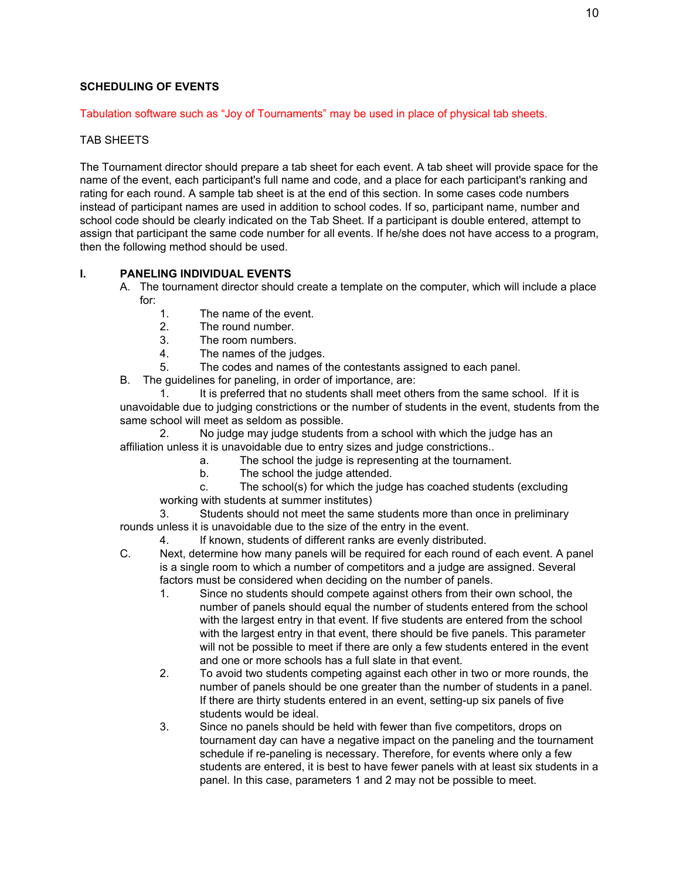## **SCHEDULING OF EVENTS**

## Tabulation software such as "Joy of Tournaments" may be used in place of physical tab sheets.

## TAB SHEETS

The Tournament director should prepare a tab sheet for each event. A tab sheet will provide space for the name of the event, each participant's full name and code, and a place for each participant's ranking and rating for each round. A sample tab sheet is at the end of this section. In some cases code numbers instead of participant names are used in addition to school codes. If so, participant name, number and school code should be clearly indicated on the Tab Sheet. If a participant is double entered, attempt to assign that participant the same code number for all events. If he/she does not have access to a program, then the following method should be used.

# **I. PANELING INDIVIDUAL EVENTS**

- A. The tournament director should create a template on the computer, which will include a place for:
	- 1. The name of the event.
	- 2. The round number.
	- 3. The room numbers.
	- 4. The names of the judges.

5. The codes and names of the contestants assigned to each panel.

B. The guidelines for paneling, in order of importance, are:

1. It is preferred that no students shall meet others from the same school. If it is unavoidable due to judging constrictions or the number of students in the event, students from the same school will meet as seldom as possible.

2. No judge may judge students from a school with which the judge has an affiliation unless it is unavoidable due to entry sizes and judge constrictions..

- a. The school the judge is representing at the tournament.
- b. The school the judge attended.
- c. The school(s) for which the judge has coached students (excluding working with students at summer institutes)

Students should not meet the same students more than once in preliminary rounds unless it is unavoidable due to the size of the entry in the event.

- 4. If known, students of different ranks are evenly distributed.
- C. Next, determine how many panels will be required for each round of each event. A panel is a single room to which a number of competitors and a judge are assigned. Several factors must be considered when deciding on the number of panels.
	- 1. Since no students should compete against others from their own school, the number of panels should equal the number of students entered from the school with the largest entry in that event. If five students are entered from the school with the largest entry in that event, there should be five panels. This parameter will not be possible to meet if there are only a few students entered in the event and one or more schools has a full slate in that event.
	- 2. To avoid two students competing against each other in two or more rounds, the number of panels should be one greater than the number of students in a panel. If there are thirty students entered in an event, setting-up six panels of five students would be ideal.
	- 3. Since no panels should be held with fewer than five competitors, drops on tournament day can have a negative impact on the paneling and the tournament schedule if re-paneling is necessary. Therefore, for events where only a few students are entered, it is best to have fewer panels with at least six students in a panel. In this case, parameters 1 and 2 may not be possible to meet.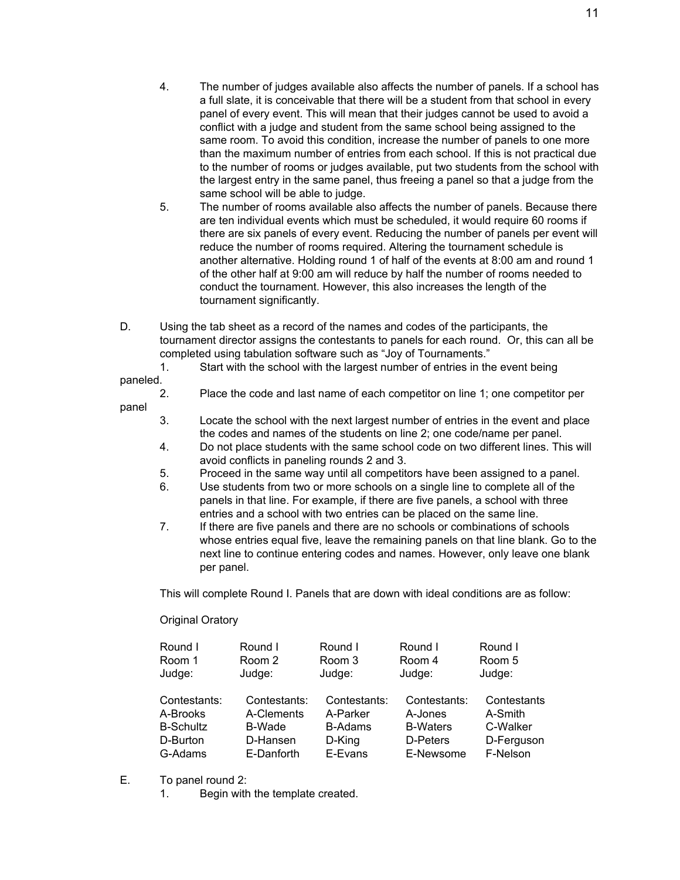11

- 4. The number of judges available also affects the number of panels. If a school has a full slate, it is conceivable that there will be a student from that school in every panel of every event. This will mean that their judges cannot be used to avoid a conflict with a judge and student from the same school being assigned to the same room. To avoid this condition, increase the number of panels to one more than the maximum number of entries from each school. If this is not practical due to the number of rooms or judges available, put two students from the school with the largest entry in the same panel, thus freeing a panel so that a judge from the same school will be able to judge.
- 5. The number of rooms available also affects the number of panels. Because there are ten individual events which must be scheduled, it would require 60 rooms if there are six panels of every event. Reducing the number of panels per event will reduce the number of rooms required. Altering the tournament schedule is another alternative. Holding round 1 of half of the events at 8:00 am and round 1 of the other half at 9:00 am will reduce by half the number of rooms needed to conduct the tournament. However, this also increases the length of the tournament significantly.
- D. Using the tab sheet as a record of the names and codes of the participants, the tournament director assigns the contestants to panels for each round. Or, this can all be completed using tabulation software such as "Joy of Tournaments."

1. Start with the school with the largest number of entries in the event being

paneled.

panel

- 2. Place the code and last name of each competitor on line 1; one competitor per
- 3. Locate the school with the next largest number of entries in the event and place the codes and names of the students on line 2; one code/name per panel.
- 4. Do not place students with the same school code on two different lines. This will avoid conflicts in paneling rounds 2 and 3.
- 5. Proceed in the same way until all competitors have been assigned to a panel.
- 6. Use students from two or more schools on a single line to complete all of the panels in that line. For example, if there are five panels, a school with three entries and a school with two entries can be placed on the same line.
- 7. If there are five panels and there are no schools or combinations of schools whose entries equal five, leave the remaining panels on that line blank. Go to the next line to continue entering codes and names. However, only leave one blank per panel.

This will complete Round I. Panels that are down with ideal conditions are as follow:

Original Oratory

| Round I<br>Room 1<br>Judge: | Round I<br>Room 2<br>Judge: | Round I<br>Room 3<br>Judge: | Round I<br>Room 4<br>Judge: | Round I<br>Room 5<br>Judge: |
|-----------------------------|-----------------------------|-----------------------------|-----------------------------|-----------------------------|
| Contestants:                | Contestants:                | Contestants:                | Contestants:                | Contestants                 |
| A-Brooks                    | A-Clements                  | A-Parker                    | A-Jones                     | A-Smith                     |
| <b>B-Schultz</b>            | B-Wade                      | <b>B-Adams</b>              | <b>B-Waters</b>             | C-Walker                    |
| D-Burton                    | D-Hansen                    | D-King                      | D-Peters                    | D-Ferguson                  |
| G-Adams                     | E-Danforth                  | E-Evans                     | E-Newsome                   | F-Nelson                    |

- E. To panel round 2:
	- 1. Begin with the template created.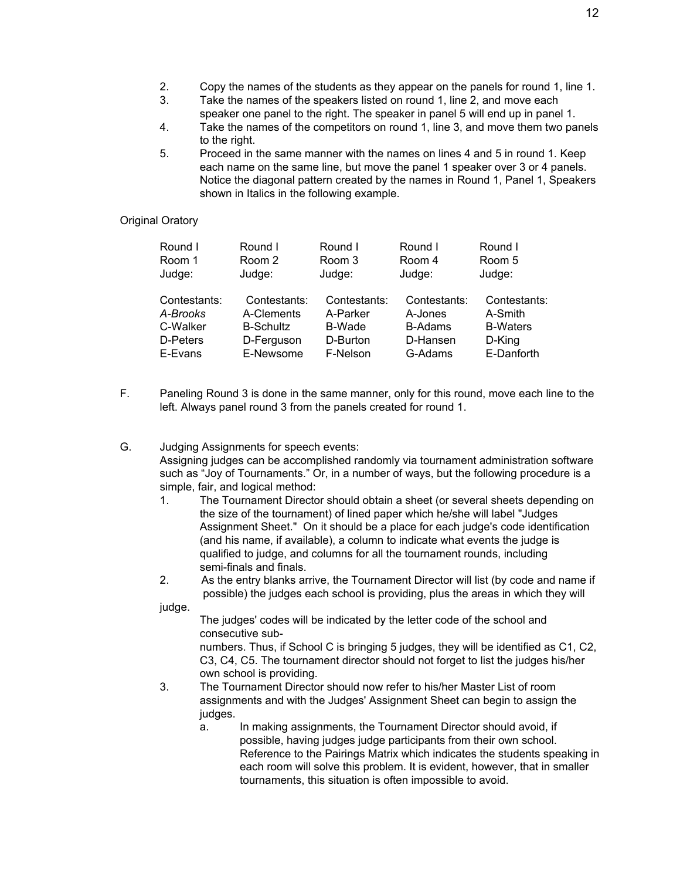- 2. Copy the names of the students as they appear on the panels for round 1, line 1.
- 3. Take the names of the speakers listed on round 1, line 2, and move each speaker one panel to the right. The speaker in panel 5 will end up in panel 1.
- 4. Take the names of the competitors on round 1, line 3, and move them two panels to the right.
- 5. Proceed in the same manner with the names on lines 4 and 5 in round 1. Keep each name on the same line, but move the panel 1 speaker over 3 or 4 panels. Notice the diagonal pattern created by the names in Round 1, Panel 1, Speakers shown in Italics in the following example.

#### Original Oratory

| Round I<br>Room 1<br>Judge: | Round I<br>Room 2<br>Judge: | Round I<br>Room 3<br>Judge: | Round I<br>Room 4<br>Judge: | Round I<br>Room 5<br>Judge: |
|-----------------------------|-----------------------------|-----------------------------|-----------------------------|-----------------------------|
| Contestants:<br>A-Brooks    | Contestants:<br>A-Clements  | Contestants:<br>A-Parker    | Contestants:<br>A-Jones     | Contestants:<br>A-Smith     |
| C-Walker                    | <b>B-Schultz</b>            | B-Wade                      | <b>B-Adams</b>              | <b>B-Waters</b>             |
| D-Peters                    | D-Ferguson                  | D-Burton                    | D-Hansen                    | D-King                      |
| E-Evans                     | E-Newsome                   | F-Nelson                    | G-Adams                     | E-Danforth                  |

- F. Paneling Round 3 is done in the same manner, only for this round, move each line to the left. Always panel round 3 from the panels created for round 1.
- G. Judging Assignments for speech events: Assigning judges can be accomplished randomly via tournament administration software such as "Joy of Tournaments." Or, in a number of ways, but the following procedure is a simple, fair, and logical method:
	- 1. The Tournament Director should obtain a sheet (or several sheets depending on the size of the tournament) of lined paper which he/she will label "Judges Assignment Sheet." On it should be a place for each judge's code identification (and his name, if available), a column to indicate what events the judge is qualified to judge, and columns for all the tournament rounds, including semi-finals and finals.
	- 2. As the entry blanks arrive, the Tournament Director will list (by code and name if possible) the judges each school is providing, plus the areas in which they will

judge.

The judges' codes will be indicated by the letter code of the school and consecutive sub-

numbers. Thus, if School C is bringing 5 judges, they will be identified as C1, C2, C3, C4, C5. The tournament director should not forget to list the judges his/her own school is providing.

- 3. The Tournament Director should now refer to his/her Master List of room assignments and with the Judges' Assignment Sheet can begin to assign the judges.
	- a. In making assignments, the Tournament Director should avoid, if possible, having judges judge participants from their own school. Reference to the Pairings Matrix which indicates the students speaking in each room will solve this problem. It is evident, however, that in smaller tournaments, this situation is often impossible to avoid.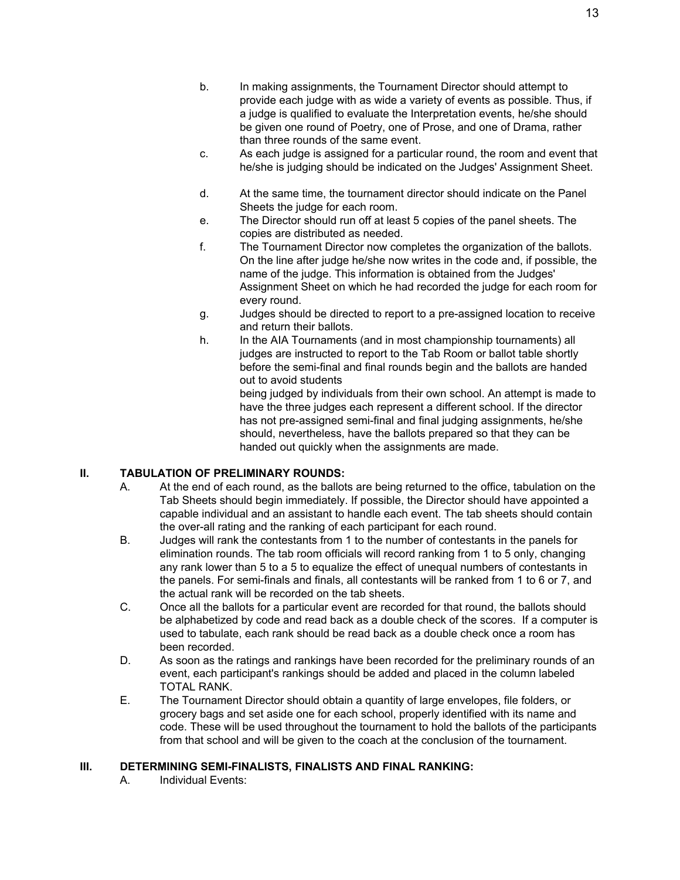- b. In making assignments, the Tournament Director should attempt to provide each judge with as wide a variety of events as possible. Thus, if a judge is qualified to evaluate the Interpretation events, he/she should be given one round of Poetry, one of Prose, and one of Drama, rather than three rounds of the same event.
- c. As each judge is assigned for a particular round, the room and event that he/she is judging should be indicated on the Judges' Assignment Sheet.
- d. At the same time, the tournament director should indicate on the Panel Sheets the judge for each room.
- e. The Director should run off at least 5 copies of the panel sheets. The copies are distributed as needed.
- f. The Tournament Director now completes the organization of the ballots. On the line after judge he/she now writes in the code and, if possible, the name of the judge. This information is obtained from the Judges' Assignment Sheet on which he had recorded the judge for each room for every round.
- g. Judges should be directed to report to a pre-assigned location to receive and return their ballots.
- h. In the AIA Tournaments (and in most championship tournaments) all judges are instructed to report to the Tab Room or ballot table shortly before the semi-final and final rounds begin and the ballots are handed out to avoid students

being judged by individuals from their own school. An attempt is made to have the three judges each represent a different school. If the director has not pre-assigned semi-final and final judging assignments, he/she should, nevertheless, have the ballots prepared so that they can be handed out quickly when the assignments are made.

# **II. TABULATION OF PRELIMINARY ROUNDS:**

- A. At the end of each round, as the ballots are being returned to the office, tabulation on the Tab Sheets should begin immediately. If possible, the Director should have appointed a capable individual and an assistant to handle each event. The tab sheets should contain the over-all rating and the ranking of each participant for each round.
- B. Judges will rank the contestants from 1 to the number of contestants in the panels for elimination rounds. The tab room officials will record ranking from 1 to 5 only, changing any rank lower than 5 to a 5 to equalize the effect of unequal numbers of contestants in the panels. For semi-finals and finals, all contestants will be ranked from 1 to 6 or 7, and the actual rank will be recorded on the tab sheets.
- C. Once all the ballots for a particular event are recorded for that round, the ballots should be alphabetized by code and read back as a double check of the scores. If a computer is used to tabulate, each rank should be read back as a double check once a room has been recorded.
- D. As soon as the ratings and rankings have been recorded for the preliminary rounds of an event, each participant's rankings should be added and placed in the column labeled TOTAL RANK.
- E. The Tournament Director should obtain a quantity of large envelopes, file folders, or grocery bags and set aside one for each school, properly identified with its name and code. These will be used throughout the tournament to hold the ballots of the participants from that school and will be given to the coach at the conclusion of the tournament.

## **III. DETERMINING SEMI-FINALISTS, FINALISTS AND FINAL RANKING:**

A. Individual Events: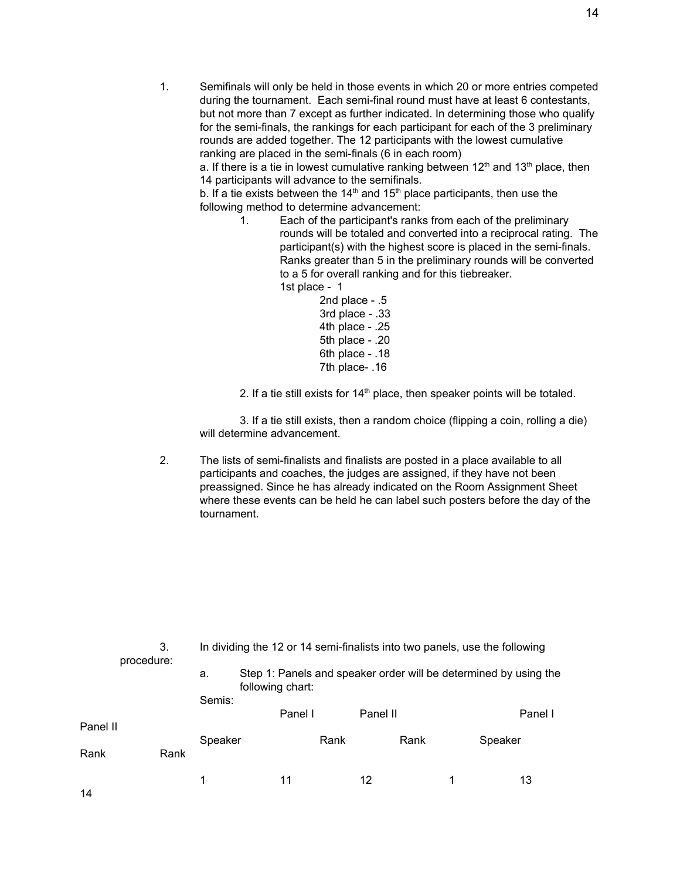1. Semifinals will only be held in those events in which 20 or more entries competed during the tournament. Each semi-final round must have at least 6 contestants, but not more than 7 except as further indicated. In determining those who qualify for the semi-finals, the rankings for each participant for each of the 3 preliminary rounds are added together. The 12 participants with the lowest cumulative ranking are placed in the semi-finals (6 in each room)

a. If there is a tie in lowest cumulative ranking between 12<sup>th</sup> and 13<sup>th</sup> place, then 14 participants will advance to the semifinals.

b. If a tie exists between the 14<sup>th</sup> and 15<sup>th</sup> place participants, then use the following method to determine advancement:

1. Each of the participant's ranks from each of the preliminary rounds will be totaled and converted into a reciprocal rating. The participant(s) with the highest score is placed in the semi-finals. Ranks greater than 5 in the preliminary rounds will be converted to a 5 for overall ranking and for this tiebreaker. 1st place - 1

2nd place - .5 3rd place - .33 4th place - .25 5th place - .20 6th place - .18 7th place- .16

2. If a tie still exists for  $14<sup>th</sup>$  place, then speaker points will be totaled.

3. If a tie still exists, then a random choice (flipping a coin, rolling a die) will determine advancement.

2. The lists of semi-finalists and finalists are posted in a place available to all participants and coaches, the judges are assigned, if they have not been preassigned. Since he has already indicated on the Room Assignment Sheet where these events can be held he can label such posters before the day of the tournament.

|          | 3.<br>procedure: |         | In dividing the 12 or 14 semi-finalists into two panels, use the following |          |      |   |                                                                  |
|----------|------------------|---------|----------------------------------------------------------------------------|----------|------|---|------------------------------------------------------------------|
|          |                  | a.      | following chart:                                                           |          |      |   | Step 1: Panels and speaker order will be determined by using the |
|          |                  | Semis:  | Panel I                                                                    | Panel II |      |   | Panel I                                                          |
| Panel II |                  |         |                                                                            |          |      |   |                                                                  |
| Rank     | Rank             | Speaker | Rank                                                                       |          | Rank |   | Speaker                                                          |
| 14       |                  | 1       | 11                                                                         | 12       |      | 1 | 13                                                               |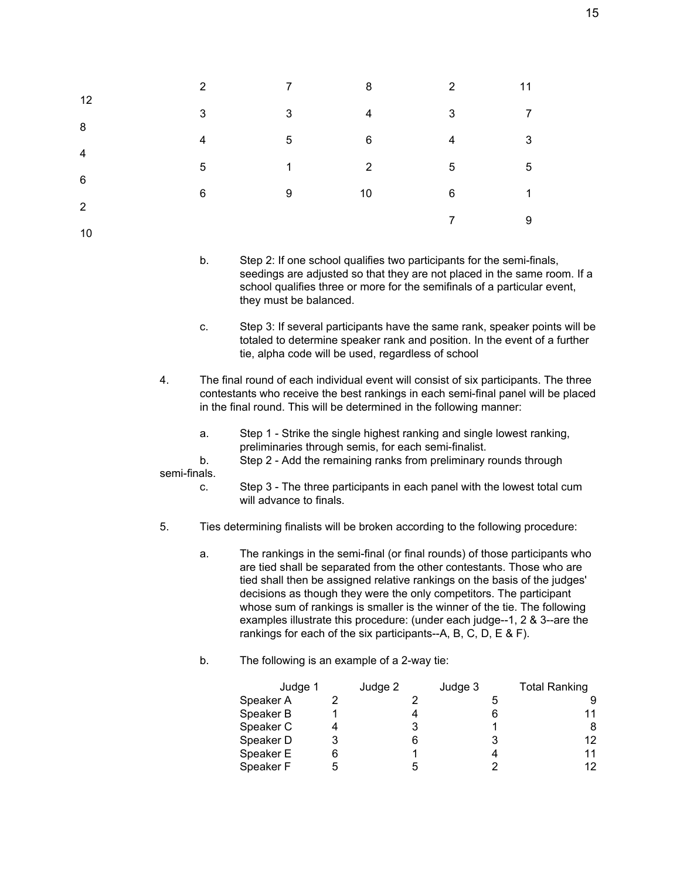|                              | $\mathcal{P}$ | $\overline{7}$ | 8              | $2^{\circ}$ | 11             |
|------------------------------|---------------|----------------|----------------|-------------|----------------|
| 12                           | 3             | 3              | $\overline{4}$ | 3           | $\overline{7}$ |
| 8<br>$\overline{\mathbf{4}}$ | 4             | 5              | 6              | 4           | 3              |
| $6\phantom{1}6$              | 5             | $\mathbf{1}$   | $\overline{2}$ | 5           | 5              |
| 2                            | 6             | 9              | 10             | 6           | 1              |
| 10                           |               |                |                | 7           | 9              |

- b. Step 2: If one school qualifies two participants for the semi-finals, seedings are adjusted so that they are not placed in the same room. If a school qualifies three or more for the semifinals of a particular event, they must be balanced.
- c. Step 3: If several participants have the same rank, speaker points will be totaled to determine speaker rank and position. In the event of a further tie, alpha code will be used, regardless of school
- 4. The final round of each individual event will consist of six participants. The three contestants who receive the best rankings in each semi-final panel will be placed in the final round. This will be determined in the following manner:
	- a. Step 1 Strike the single highest ranking and single lowest ranking, preliminaries through semis, for each semi-finalist.
- b. Step 2 Add the remaining ranks from preliminary rounds through semi-finals.
	- c. Step 3 The three participants in each panel with the lowest total cum will advance to finals.
- 5. Ties determining finalists will be broken according to the following procedure:
	- a. The rankings in the semi-final (or final rounds) of those participants who are tied shall be separated from the other contestants. Those who are tied shall then be assigned relative rankings on the basis of the judges' decisions as though they were the only competitors. The participant whose sum of rankings is smaller is the winner of the tie. The following examples illustrate this procedure: (under each judge--1, 2 & 3--are the rankings for each of the six participants--A, B, C, D, E & F).
	- b. The following is an example of a 2-way tie:

| Judge 2 | Judge 3 | <b>Total Ranking</b> |
|---------|---------|----------------------|
|         |         |                      |
|         |         | 11                   |
| 3       |         | 8                    |
| 6       |         | 12                   |
|         |         | 11                   |
| 5       |         | 12                   |
| Judge 1 |         |                      |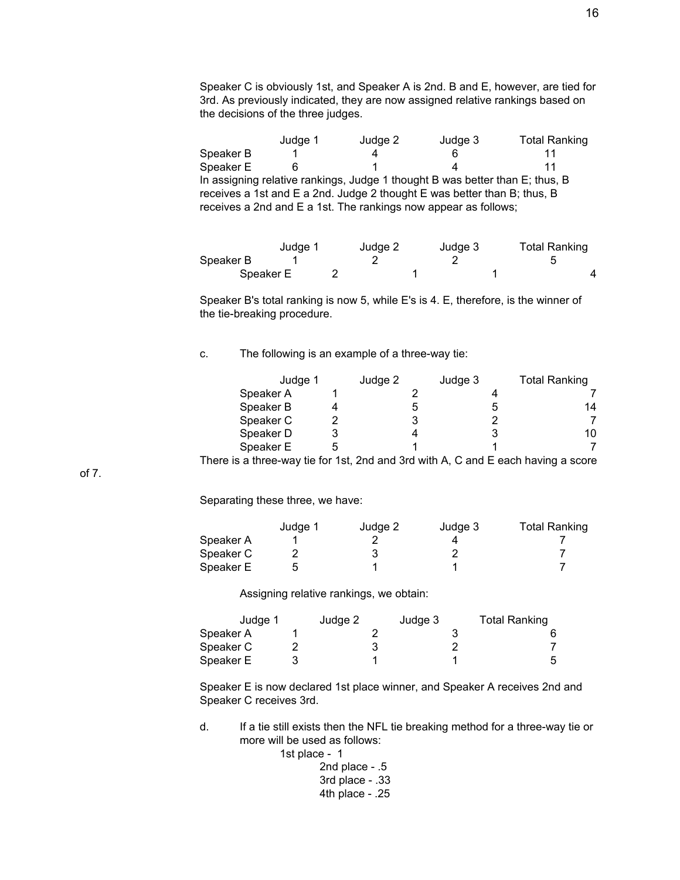Speaker C is obviously 1st, and Speaker A is 2nd. B and E, however, are tied for 3rd. As previously indicated, they are now assigned relative rankings based on the decisions of the three judges.

Judge 1 Judge 2 Judge 3 Total Ranking Speaker B 1 4 6 11 Speaker E 6 1 4 11 In assigning relative rankings, Judge 1 thought B was better than E; thus, B receives a 1st and E a 2nd. Judge 2 thought E was better than B; thus, B receives a 2nd and E a 1st. The rankings now appear as follows;

|           | Judge 1 | Judge 2 | Judge 3 | <b>Total Ranking</b> |
|-----------|---------|---------|---------|----------------------|
| Speaker B |         |         |         |                      |
| Speaker E |         |         |         |                      |

Speaker B's total ranking is now 5, while E's is 4. E, therefore, is the winner of the tie-breaking procedure.

c. The following is an example of a three-way tie:

| Judge 1                                                                           | Judge 2 | Judge 3 | <b>Total Ranking</b> |
|-----------------------------------------------------------------------------------|---------|---------|----------------------|
| Speaker A                                                                         |         |         |                      |
| Speaker B                                                                         |         |         | 14                   |
| Speaker C                                                                         |         |         |                      |
| Speaker D                                                                         |         |         | 10                   |
| Speaker E                                                                         |         |         |                      |
| There is a three-way tie for 1st, 2nd and 3rd with A, C and E each having a score |         |         |                      |

of 7.

Separating these three, we have:

|           | Judge 1 | Judge 2 | Judge 3 | <b>Total Ranking</b> |
|-----------|---------|---------|---------|----------------------|
| Speaker A |         |         |         |                      |
| Speaker C |         |         |         |                      |
| Speaker E |         |         |         |                      |

Assigning relative rankings, we obtain:

| Judge 1   | Judge 2 | Judge 3 | <b>Total Ranking</b> |
|-----------|---------|---------|----------------------|
| Speaker A |         |         |                      |
| Speaker C |         |         |                      |
| Speaker E |         |         |                      |

Speaker E is now declared 1st place winner, and Speaker A receives 2nd and Speaker C receives 3rd.

d. If a tie still exists then the NFL tie breaking method for a three-way tie or more will be used as follows:

1st place - 1

2nd place - .5 3rd place - .33 4th place - .25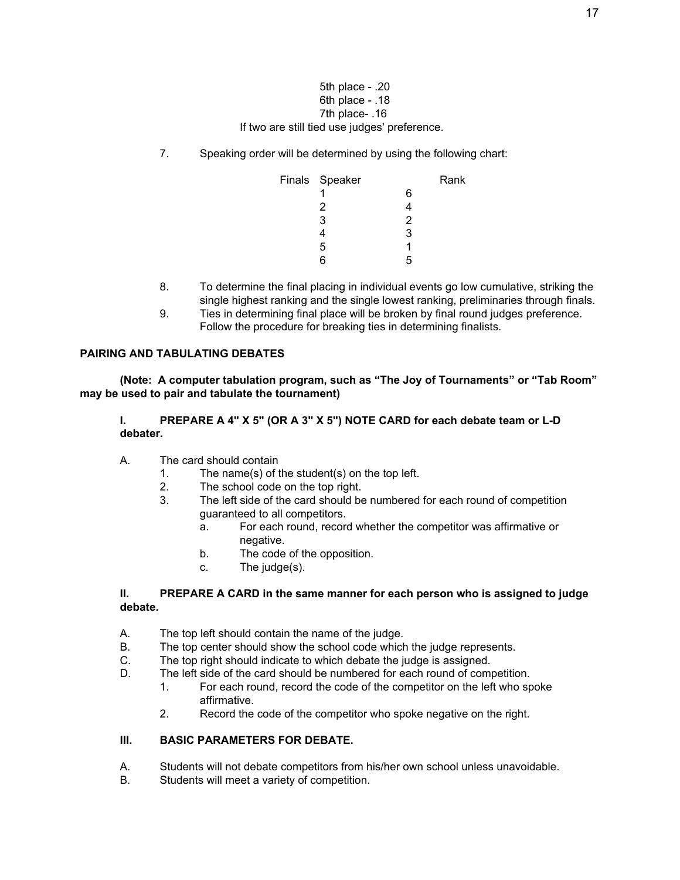#### 5th place - .20 6th place - .18 7th place- .16 If two are still tied use judges' preference.

7. Speaking order will be determined by using the following chart:

| Finals Speaker |   | Rank |
|----------------|---|------|
|                | 6 |      |
| 2              |   |      |
| 3              | 2 |      |
|                | 3 |      |
| 5              |   |      |
| ค              | ᄃ |      |

- 8. To determine the final placing in individual events go low cumulative, striking the single highest ranking and the single lowest ranking, preliminaries through finals.
- 9. Ties in determining final place will be broken by final round judges preference. Follow the procedure for breaking ties in determining finalists.

#### **PAIRING AND TABULATING DEBATES**

**(Note: A computer tabulation program, such as "The Joy of Tournaments" or "Tab Room" may be used to pair and tabulate the tournament)**

**I. PREPARE A 4" X 5" (OR A 3" X 5") NOTE CARD for each debate team or L-D debater.**

- A. The card should contain
	- 1. The name(s) of the student(s) on the top left.
	- 2. The school code on the top right.
	- 3. The left side of the card should be numbered for each round of competition guaranteed to all competitors.
		- a. For each round, record whether the competitor was affirmative or negative.
		- b. The code of the opposition.
		- c. The judge(s).

#### **II. PREPARE A CARD in the same manner for each person who is assigned to judge debate.**

- A. The top left should contain the name of the judge.
- B. The top center should show the school code which the judge represents.
- C. The top right should indicate to which debate the judge is assigned.
- D. The left side of the card should be numbered for each round of competition.
	- 1. For each round, record the code of the competitor on the left who spoke affirmative.
	- 2. Record the code of the competitor who spoke negative on the right.

## **III. BASIC PARAMETERS FOR DEBATE.**

- A. Students will not debate competitors from his/her own school unless unavoidable.
- B. Students will meet a variety of competition.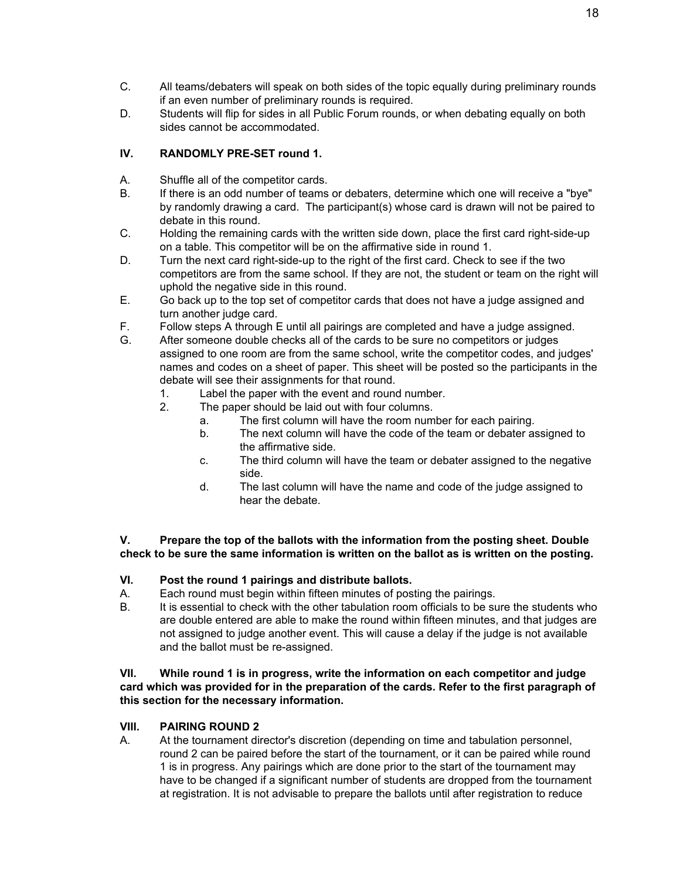- C. All teams/debaters will speak on both sides of the topic equally during preliminary rounds if an even number of preliminary rounds is required.
- D. Students will flip for sides in all Public Forum rounds, or when debating equally on both sides cannot be accommodated.

# **IV. RANDOMLY PRE-SET round 1.**

- A. Shuffle all of the competitor cards.
- B. If there is an odd number of teams or debaters, determine which one will receive a "bye" by randomly drawing a card. The participant(s) whose card is drawn will not be paired to debate in this round.
- C. Holding the remaining cards with the written side down, place the first card right-side-up on a table. This competitor will be on the affirmative side in round 1.
- D. Turn the next card right-side-up to the right of the first card. Check to see if the two competitors are from the same school. If they are not, the student or team on the right will uphold the negative side in this round.
- E. Go back up to the top set of competitor cards that does not have a judge assigned and turn another judge card.
- F. Follow steps A through E until all pairings are completed and have a judge assigned.
- G. After someone double checks all of the cards to be sure no competitors or judges assigned to one room are from the same school, write the competitor codes, and judges' names and codes on a sheet of paper. This sheet will be posted so the participants in the debate will see their assignments for that round.
	- 1. Label the paper with the event and round number.
	- 2. The paper should be laid out with four columns.
		- a. The first column will have the room number for each pairing.
		- b. The next column will have the code of the team or debater assigned to the affirmative side.
		- c. The third column will have the team or debater assigned to the negative side.
		- d. The last column will have the name and code of the judge assigned to hear the debate.

**V. Prepare the top of the ballots with the information from the posting sheet. Double check to be sure the same information is written on the ballot as is written on the posting.**

## **VI. Post the round 1 pairings and distribute ballots.**

- A. Each round must begin within fifteen minutes of posting the pairings.
- B. It is essential to check with the other tabulation room officials to be sure the students who are double entered are able to make the round within fifteen minutes, and that judges are not assigned to judge another event. This will cause a delay if the judge is not available and the ballot must be re-assigned.

**VII. While round 1 is in progress, write the information on each competitor and judge card which was provided for in the preparation of the cards. Refer to the first paragraph of this section for the necessary information.**

## **VIII. PAIRING ROUND 2**

A. At the tournament director's discretion (depending on time and tabulation personnel, round 2 can be paired before the start of the tournament, or it can be paired while round 1 is in progress. Any pairings which are done prior to the start of the tournament may have to be changed if a significant number of students are dropped from the tournament at registration. It is not advisable to prepare the ballots until after registration to reduce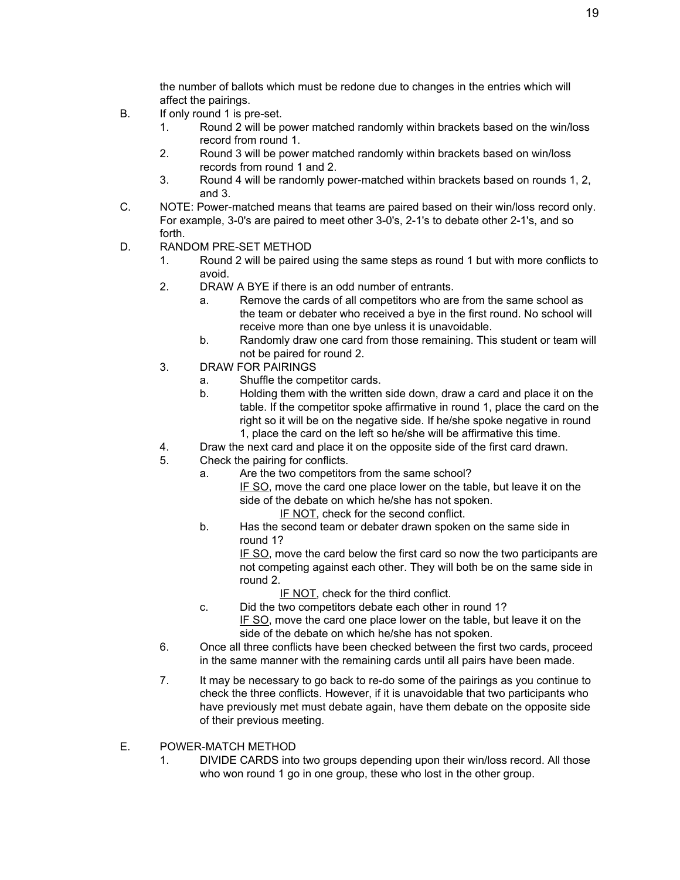the number of ballots which must be redone due to changes in the entries which will affect the pairings.

- B. If only round 1 is pre-set.
	- 1. Round 2 will be power matched randomly within brackets based on the win/loss record from round 1.
	- 2. Round 3 will be power matched randomly within brackets based on win/loss records from round 1 and 2.
	- 3. Round 4 will be randomly power-matched within brackets based on rounds 1, 2, and 3.
- C. NOTE: Power-matched means that teams are paired based on their win/loss record only. For example, 3-0's are paired to meet other 3-0's, 2-1's to debate other 2-1's, and so forth.
- D. RANDOM PRE-SET METHOD
	- 1. Round 2 will be paired using the same steps as round 1 but with more conflicts to avoid.
	- 2. DRAW A BYE if there is an odd number of entrants.
		- a. Remove the cards of all competitors who are from the same school as the team or debater who received a bye in the first round. No school will receive more than one bye unless it is unavoidable.
		- b. Randomly draw one card from those remaining. This student or team will not be paired for round 2.
	- 3. DRAW FOR PAIRINGS
		- a. Shuffle the competitor cards.
		- b. Holding them with the written side down, draw a card and place it on the table. If the competitor spoke affirmative in round 1, place the card on the right so it will be on the negative side. If he/she spoke negative in round 1, place the card on the left so he/she will be affirmative this time.
	- 4. Draw the next card and place it on the opposite side of the first card drawn.
	- 5. Check the pairing for conflicts.
		- a. Are the two competitors from the same school?
			- IF SO, move the card one place lower on the table, but leave it on the side of the debate on which he/she has not spoken.
				- IF NOT, check for the second conflict.
			- b. Has the second team or debater drawn spoken on the same side in round 1?

IF SO, move the card below the first card so now the two participants are not competing against each other. They will both be on the same side in round 2.

- IF NOT, check for the third conflict.
- c. Did the two competitors debate each other in round 1? IF SO, move the card one place lower on the table, but leave it on the side of the debate on which he/she has not spoken.
- 6. Once all three conflicts have been checked between the first two cards, proceed in the same manner with the remaining cards until all pairs have been made.
- 7. It may be necessary to go back to re-do some of the pairings as you continue to check the three conflicts. However, if it is unavoidable that two participants who have previously met must debate again, have them debate on the opposite side of their previous meeting.
- E. POWER-MATCH METHOD
	- 1. DIVIDE CARDS into two groups depending upon their win/loss record. All those who won round 1 go in one group, these who lost in the other group.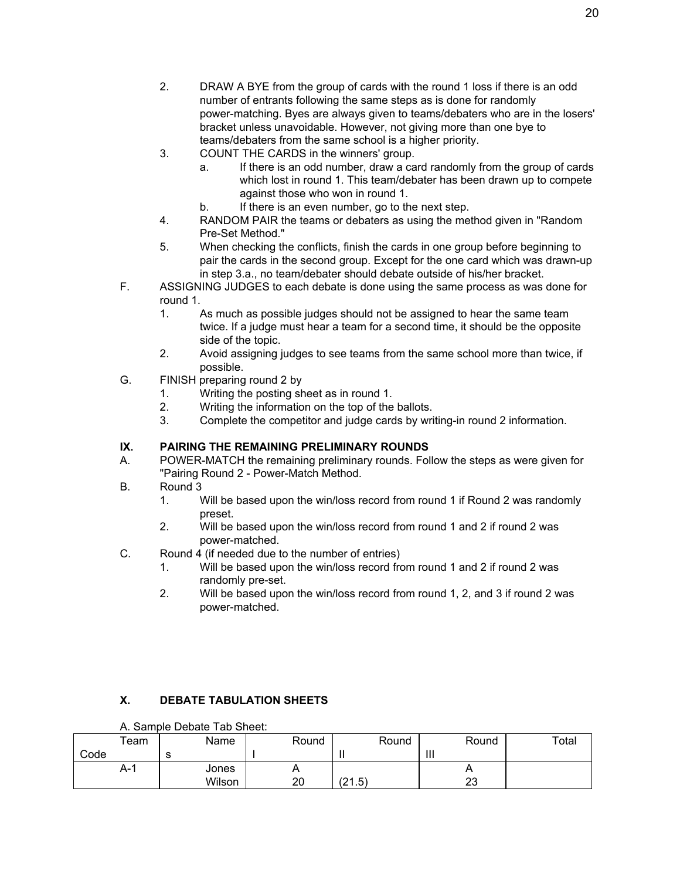- 2. DRAW A BYE from the group of cards with the round 1 loss if there is an odd number of entrants following the same steps as is done for randomly power-matching. Byes are always given to teams/debaters who are in the losers' bracket unless unavoidable. However, not giving more than one bye to teams/debaters from the same school is a higher priority.
- 3. COUNT THE CARDS in the winners' group.
	- a. If there is an odd number, draw a card randomly from the group of cards which lost in round 1. This team/debater has been drawn up to compete against those who won in round 1.
	- b. If there is an even number, go to the next step.
- 4. RANDOM PAIR the teams or debaters as using the method given in "Random Pre-Set Method."
- 5. When checking the conflicts, finish the cards in one group before beginning to pair the cards in the second group. Except for the one card which was drawn-up in step 3.a., no team/debater should debate outside of his/her bracket.
- F. ASSIGNING JUDGES to each debate is done using the same process as was done for round 1.
	- 1. As much as possible judges should not be assigned to hear the same team twice. If a judge must hear a team for a second time, it should be the opposite side of the topic.
	- 2. Avoid assigning judges to see teams from the same school more than twice, if possible.
- G. FINISH preparing round 2 by
	- 1. Writing the posting sheet as in round 1.
	- 2. Writing the information on the top of the ballots.
	- 3. Complete the competitor and judge cards by writing-in round 2 information.

# **IX. PAIRING THE REMAINING PRELIMINARY ROUNDS**

- A. POWER-MATCH the remaining preliminary rounds. Follow the steps as were given for "Pairing Round 2 - Power-Match Method.
- B. Round 3
	- 1. Will be based upon the win/loss record from round 1 if Round 2 was randomly preset.
	- 2. Will be based upon the win/loss record from round 1 and 2 if round 2 was power-matched.
- C. Round 4 (if needed due to the number of entries)
	- 1. Will be based upon the win/loss record from round 1 and 2 if round 2 was randomly pre-set.
	- 2. Will be based upon the win/loss record from round 1, 2, and 3 if round 2 was power-matched.

# **X. DEBATE TABULATION SHEETS**

| A. Sample Debate Tab Sheet: |  |  |  |
|-----------------------------|--|--|--|
|-----------------------------|--|--|--|

|      | $\tau$ eam | Name       | Round    | Round  | Round   | Total |
|------|------------|------------|----------|--------|---------|-------|
| Code |            | $\sim$<br> |          |        | Ш       |       |
|      | A-1        | Jones      | <u>n</u> |        | . .     |       |
|      |            | Wilson     | 20       | (21.5) | ົ<br>∠J |       |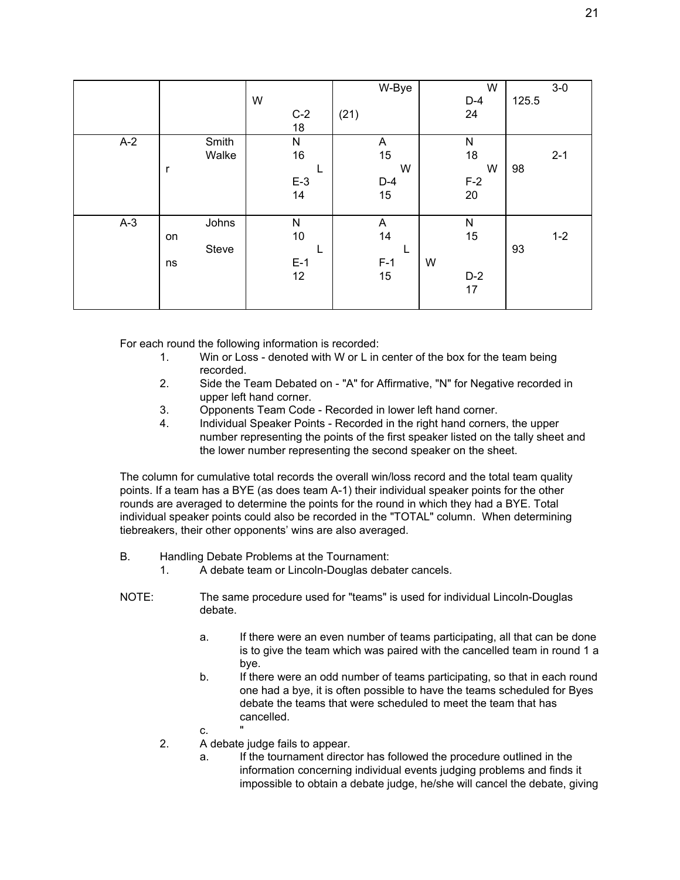|       |              |           | W-Bye | W     | $3-0$   |
|-------|--------------|-----------|-------|-------|---------|
|       |              | W         |       | $D-4$ | 125.5   |
|       |              | $C-2$     | (21)  | 24    |         |
|       |              | 18        |       |       |         |
| $A-2$ | Smith        | ${\sf N}$ | A     | N     |         |
|       | Walke        | 16        | 15    | 18    | $2 - 1$ |
|       | $\mathsf{r}$ | ட         | W     | W     | 98      |
|       |              | $E-3$     | $D-4$ | $F-2$ |         |
|       |              | 14        | 15    | 20    |         |
|       |              |           |       |       |         |
| $A-3$ | Johns        | N         | A     | N     |         |
|       | on           | 10        | 14    | 15    | $1 - 2$ |
|       | Steve        | ┗         |       |       | 93      |
|       | ns           | $E-1$     | $F-1$ | W     |         |
|       |              | 12        | 15    | $D-2$ |         |
|       |              |           |       | 17    |         |
|       |              |           |       |       |         |

For each round the following information is recorded:

- 1. Win or Loss denoted with W or L in center of the box for the team being recorded.
- 2. Side the Team Debated on "A" for Affirmative, "N" for Negative recorded in upper left hand corner.
- 3. Opponents Team Code Recorded in lower left hand corner.
- 4. Individual Speaker Points Recorded in the right hand corners, the upper number representing the points of the first speaker listed on the tally sheet and the lower number representing the second speaker on the sheet.

The column for cumulative total records the overall win/loss record and the total team quality points. If a team has a BYE (as does team A-1) their individual speaker points for the other rounds are averaged to determine the points for the round in which they had a BYE. Total individual speaker points could also be recorded in the "TOTAL" column. When determining tiebreakers, their other opponents' wins are also averaged.

- B. Handling Debate Problems at the Tournament:
	- 1. A debate team or Lincoln-Douglas debater cancels.
- NOTE: The same procedure used for "teams" is used for individual Lincoln-Douglas debate.
	- a. If there were an even number of teams participating, all that can be done is to give the team which was paired with the cancelled team in round 1 a bye.
	- b. If there were an odd number of teams participating, so that in each round one had a bye, it is often possible to have the teams scheduled for Byes debate the teams that were scheduled to meet the team that has cancelled.
	- $C<sub>r</sub>$
	- 2. A debate judge fails to appear.
		- a. If the tournament director has followed the procedure outlined in the information concerning individual events judging problems and finds it impossible to obtain a debate judge, he/she will cancel the debate, giving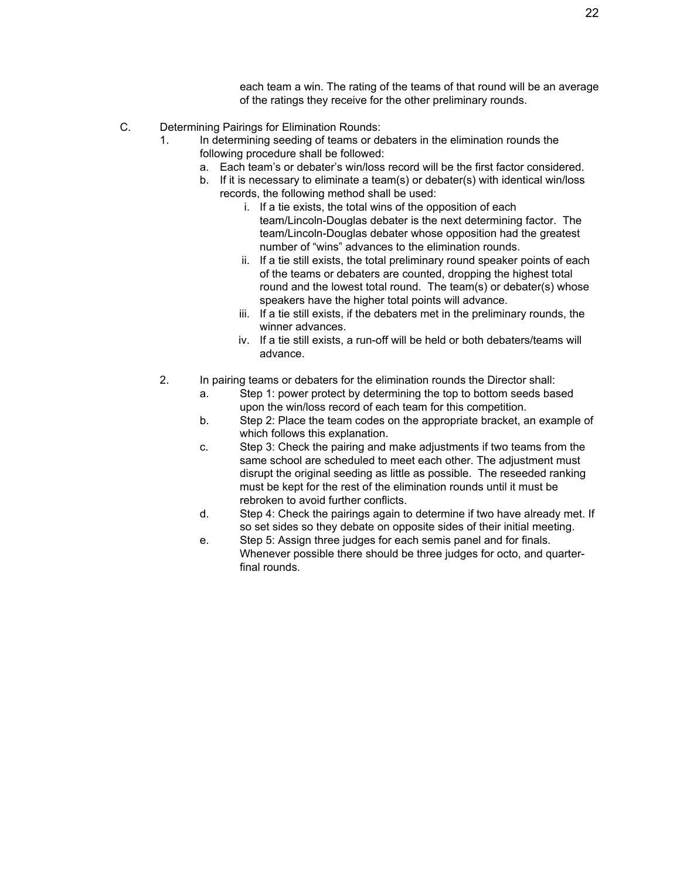each team a win. The rating of the teams of that round will be an average of the ratings they receive for the other preliminary rounds.

- C. Determining Pairings for Elimination Rounds:
	- 1. In determining seeding of teams or debaters in the elimination rounds the following procedure shall be followed:
		- a. Each team's or debater's win/loss record will be the first factor considered.
		- b. If it is necessary to eliminate a team(s) or debater(s) with identical win/loss records, the following method shall be used:
			- i. If a tie exists, the total wins of the opposition of each team/Lincoln-Douglas debater is the next determining factor. The team/Lincoln-Douglas debater whose opposition had the greatest number of "wins" advances to the elimination rounds.
			- ii. If a tie still exists, the total preliminary round speaker points of each of the teams or debaters are counted, dropping the highest total round and the lowest total round. The team(s) or debater(s) whose speakers have the higher total points will advance.
			- iii. If a tie still exists, if the debaters met in the preliminary rounds, the winner advances.
			- iv. If a tie still exists, a run-off will be held or both debaters/teams will advance.
	- 2. In pairing teams or debaters for the elimination rounds the Director shall:
		- a. Step 1: power protect by determining the top to bottom seeds based upon the win/loss record of each team for this competition.
		- b. Step 2: Place the team codes on the appropriate bracket, an example of which follows this explanation.
		- c. Step 3: Check the pairing and make adjustments if two teams from the same school are scheduled to meet each other. The adjustment must disrupt the original seeding as little as possible. The reseeded ranking must be kept for the rest of the elimination rounds until it must be rebroken to avoid further conflicts.
		- d. Step 4: Check the pairings again to determine if two have already met. If so set sides so they debate on opposite sides of their initial meeting.
		- e. Step 5: Assign three judges for each semis panel and for finals. Whenever possible there should be three judges for octo, and quarterfinal rounds.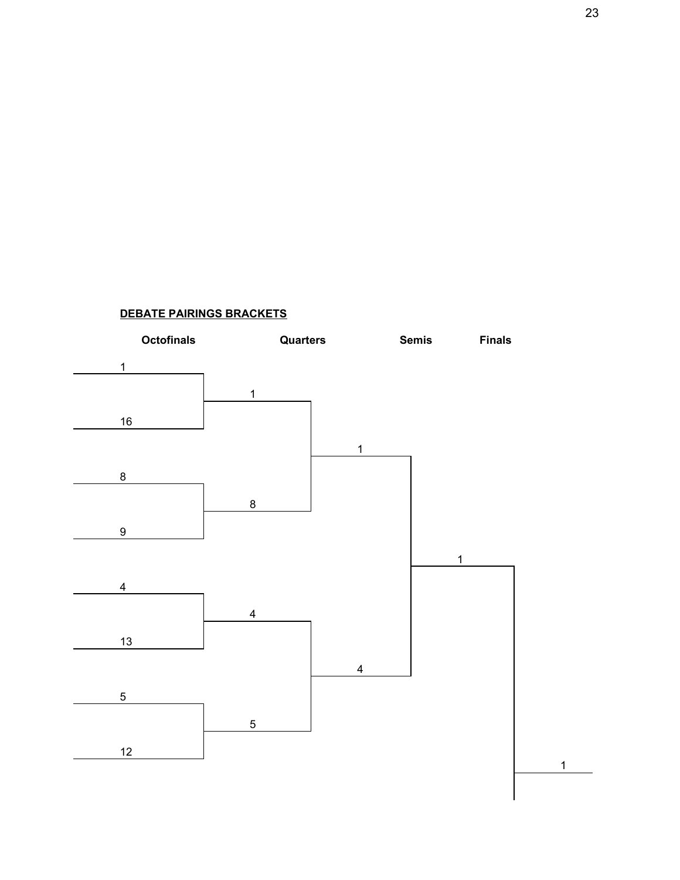

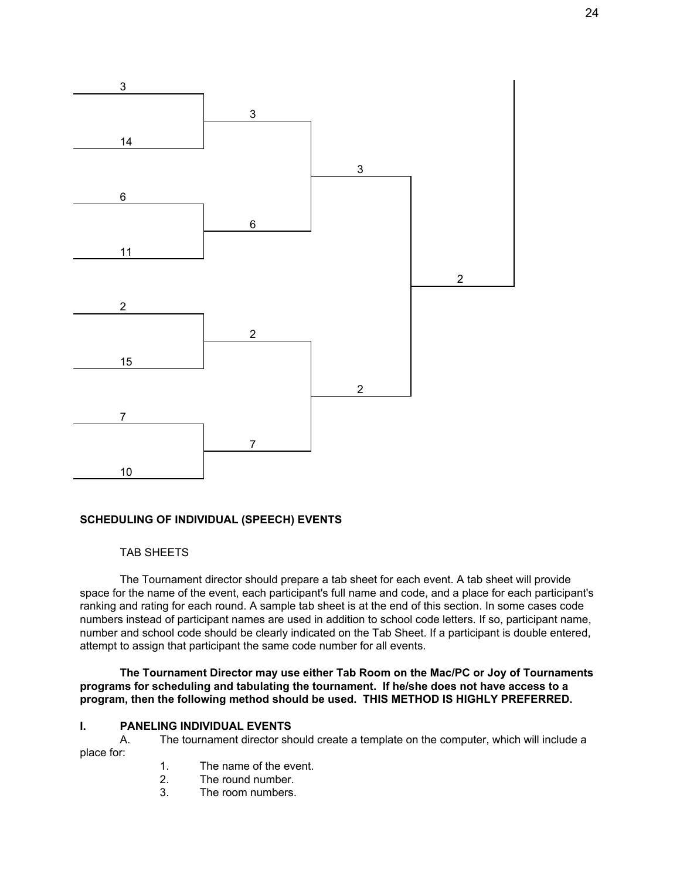

## **SCHEDULING OF INDIVIDUAL (SPEECH) EVENTS**

#### TAB SHEETS

The Tournament director should prepare a tab sheet for each event. A tab sheet will provide space for the name of the event, each participant's full name and code, and a place for each participant's ranking and rating for each round. A sample tab sheet is at the end of this section. In some cases code numbers instead of participant names are used in addition to school code letters. If so, participant name, number and school code should be clearly indicated on the Tab Sheet. If a participant is double entered, attempt to assign that participant the same code number for all events.

**The Tournament Director may use either Tab Room on the Mac/PC or Joy of Tournaments programs for scheduling and tabulating the tournament. If he/she does not have access to a program, then the following method should be used. THIS METHOD IS HIGHLY PREFERRED.**

#### **I. PANELING INDIVIDUAL EVENTS**

A. The tournament director should create a template on the computer, which will include a place for:

- 1. The name of the event.
- 2. The round number.
- 3. The room numbers.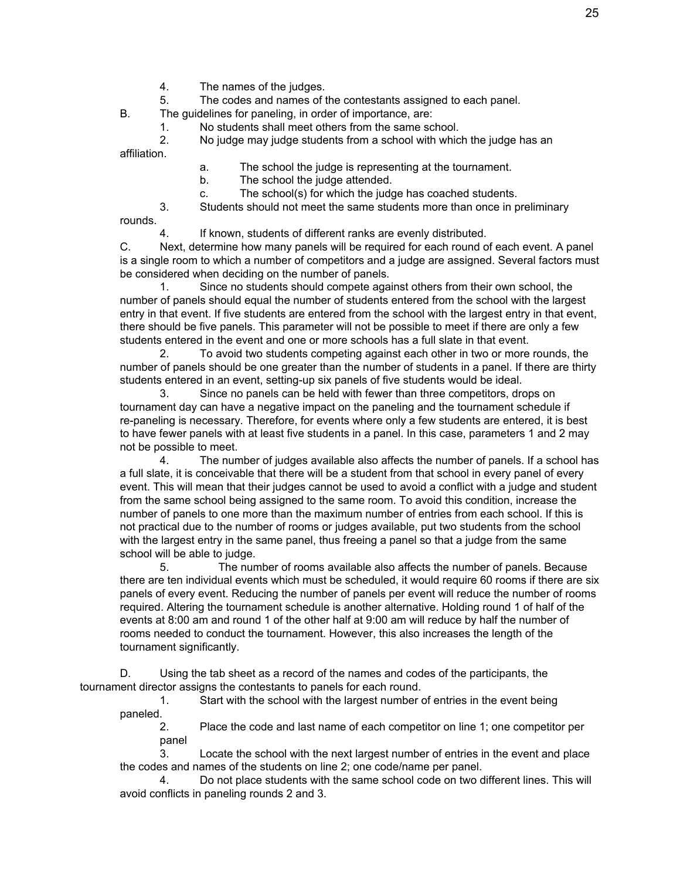- 4. The names of the judges.
- 5. The codes and names of the contestants assigned to each panel.

B. The guidelines for paneling, in order of importance, are:

1. No students shall meet others from the same school.

2. No judge may judge students from a school with which the judge has an affiliation.

- a. The school the judge is representing at the tournament.
- b. The school the judge attended.
- c. The school(s) for which the judge has coached students.

3. Students should not meet the same students more than once in preliminary rounds.

4. If known, students of different ranks are evenly distributed.

C. Next, determine how many panels will be required for each round of each event. A panel is a single room to which a number of competitors and a judge are assigned. Several factors must be considered when deciding on the number of panels.

1. Since no students should compete against others from their own school, the number of panels should equal the number of students entered from the school with the largest entry in that event. If five students are entered from the school with the largest entry in that event, there should be five panels. This parameter will not be possible to meet if there are only a few students entered in the event and one or more schools has a full slate in that event.

2. To avoid two students competing against each other in two or more rounds, the number of panels should be one greater than the number of students in a panel. If there are thirty students entered in an event, setting-up six panels of five students would be ideal.

3. Since no panels can be held with fewer than three competitors, drops on tournament day can have a negative impact on the paneling and the tournament schedule if re-paneling is necessary. Therefore, for events where only a few students are entered, it is best to have fewer panels with at least five students in a panel. In this case, parameters 1 and 2 may not be possible to meet.

4. The number of judges available also affects the number of panels. If a school has a full slate, it is conceivable that there will be a student from that school in every panel of every event. This will mean that their judges cannot be used to avoid a conflict with a judge and student from the same school being assigned to the same room. To avoid this condition, increase the number of panels to one more than the maximum number of entries from each school. If this is not practical due to the number of rooms or judges available, put two students from the school with the largest entry in the same panel, thus freeing a panel so that a judge from the same school will be able to judge.

5. The number of rooms available also affects the number of panels. Because there are ten individual events which must be scheduled, it would require 60 rooms if there are six panels of every event. Reducing the number of panels per event will reduce the number of rooms required. Altering the tournament schedule is another alternative. Holding round 1 of half of the events at 8:00 am and round 1 of the other half at 9:00 am will reduce by half the number of rooms needed to conduct the tournament. However, this also increases the length of the tournament significantly.

D. Using the tab sheet as a record of the names and codes of the participants, the tournament director assigns the contestants to panels for each round.

1. Start with the school with the largest number of entries in the event being paneled.

2. Place the code and last name of each competitor on line 1; one competitor per panel

3. Locate the school with the next largest number of entries in the event and place the codes and names of the students on line 2; one code/name per panel.

4. Do not place students with the same school code on two different lines. This will avoid conflicts in paneling rounds 2 and 3.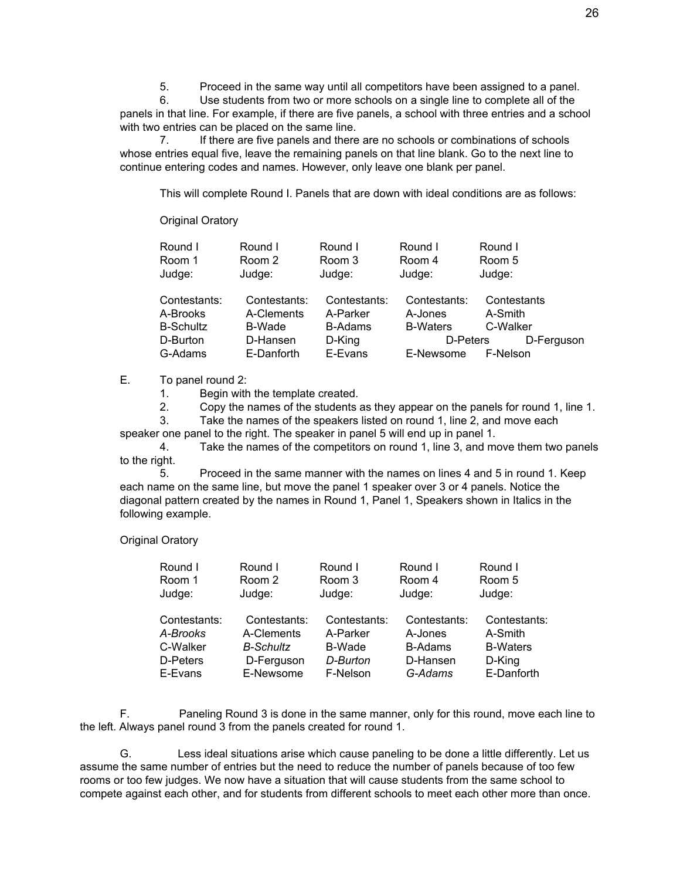5. Proceed in the same way until all competitors have been assigned to a panel.

6. Use students from two or more schools on a single line to complete all of the panels in that line. For example, if there are five panels, a school with three entries and a school with two entries can be placed on the same line.

7. If there are five panels and there are no schools or combinations of schools whose entries equal five, leave the remaining panels on that line blank. Go to the next line to continue entering codes and names. However, only leave one blank per panel.

This will complete Round I. Panels that are down with ideal conditions are as follows:

#### Original Oratory

| Round I<br>Room 1<br>Judge: | Round I<br>Room 2<br>Judge: | Round I<br>Room 3<br>Judge: | Round I<br>Room 4<br>Judge: | Round I<br>Room 5<br>Judge: |            |
|-----------------------------|-----------------------------|-----------------------------|-----------------------------|-----------------------------|------------|
| Contestants:                | Contestants:                | Contestants:                | Contestants:                | Contestants                 |            |
| A-Brooks                    | A-Clements                  | A-Parker                    | A-Jones                     | A-Smith                     |            |
| <b>B-Schultz</b>            | B-Wade                      | <b>B-Adams</b>              | <b>B-Waters</b>             | C-Walker                    |            |
| D-Burton                    | D-Hansen                    | D-King                      | D-Peters                    |                             | D-Ferguson |
| G-Adams                     | E-Danforth                  | E-Evans                     | E-Newsome                   | F-Nelson                    |            |

#### E. To panel round 2:

1. Begin with the template created.

2. Copy the names of the students as they appear on the panels for round 1, line 1.

3. Take the names of the speakers listed on round 1, line 2, and move each

speaker one panel to the right. The speaker in panel 5 will end up in panel 1.

4. Take the names of the competitors on round 1, line 3, and move them two panels to the right.

5. Proceed in the same manner with the names on lines 4 and 5 in round 1. Keep each name on the same line, but move the panel 1 speaker over 3 or 4 panels. Notice the diagonal pattern created by the names in Round 1, Panel 1, Speakers shown in Italics in the following example.

Original Oratory

| Round I      | Round I          | Round I      | Round I        | Round I         |
|--------------|------------------|--------------|----------------|-----------------|
| Room 1       | Room 2           | Room 3       | Room 4         | Room 5          |
| Judge:       | Judge:           | Judge:       | Judge:         | Judge:          |
|              |                  |              |                |                 |
| Contestants: | Contestants:     | Contestants: | Contestants:   | Contestants:    |
| A-Brooks     | A-Clements       | A-Parker     | A-Jones        | A-Smith         |
| C-Walker     | <b>B-Schultz</b> | B-Wade       | <b>B-Adams</b> | <b>B-Waters</b> |
| D-Peters     | D-Ferguson       | D-Burton     | D-Hansen       | D-King          |
| E-Evans      | E-Newsome        | F-Nelson     | G-Adams        | E-Danforth      |

F. Paneling Round 3 is done in the same manner, only for this round, move each line to the left. Always panel round 3 from the panels created for round 1.

G. Less ideal situations arise which cause paneling to be done a little differently. Let us assume the same number of entries but the need to reduce the number of panels because of too few rooms or too few judges. We now have a situation that will cause students from the same school to compete against each other, and for students from different schools to meet each other more than once.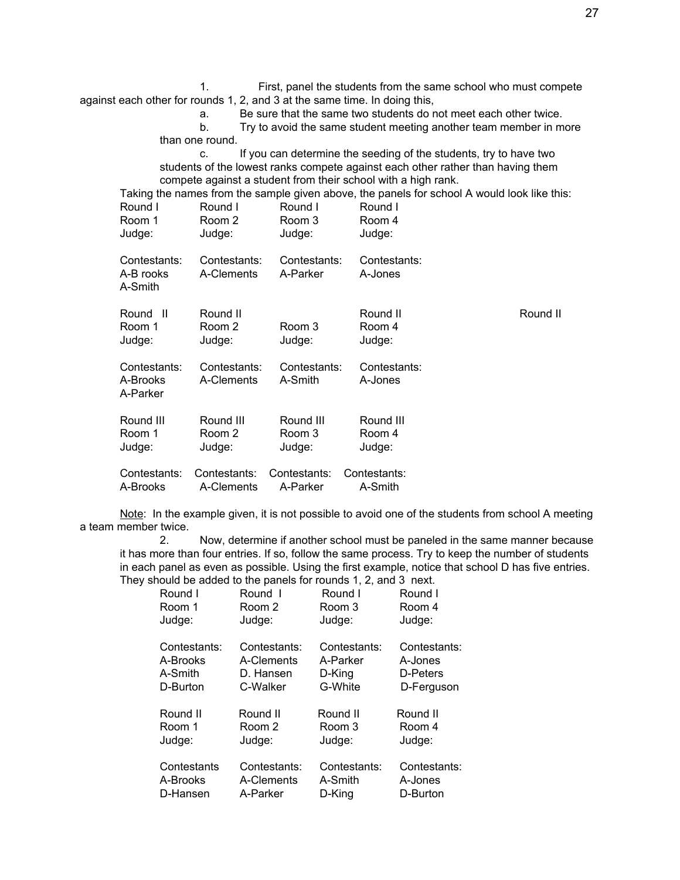1. First, panel the students from the same school who must compete against each other for rounds 1, 2, and 3 at the same time. In doing this,

a. Be sure that the same two students do not meet each other twice.

b. Try to avoid the same student meeting another team member in more than one round.

c. If you can determine the seeding of the students, try to have two students of the lowest ranks compete against each other rather than having them compete against a student from their school with a high rank.

Taking the names from the sample given above, the panels for school A would look like this:

| Round I                              | Round I                      | Round I                  | Round I                      |          |
|--------------------------------------|------------------------------|--------------------------|------------------------------|----------|
| Room 1                               | Room 2                       | Room 3                   | Room 4                       |          |
| Judge:                               | Judge:                       | Judge:                   | Judge:                       |          |
| Contestants:<br>A-B rooks<br>A-Smith | Contestants:<br>A-Clements   | Contestants:<br>A-Parker | Contestants:<br>A-Jones      |          |
| Round II<br>Room 1<br>Judge:         | Round II<br>Room 2<br>Judge: | Room 3<br>Judge:         | Round II<br>Room 4<br>Judge: | Round II |
| Contestants:<br>A-Brooks<br>A-Parker | Contestants:<br>A-Clements   | Contestants:<br>A-Smith  | Contestants:<br>A-Jones      |          |
| Round III                            | Round III                    | Round III                | Round III                    |          |
| Room 1                               | Room 2                       | Room 3                   | Room 4                       |          |
| Judge:                               | Judge:                       | Judge:                   | Judge:                       |          |
| Contestants:                         | Contestants:                 | Contestants:             | Contestants:                 |          |
| A-Brooks                             | A-Clements                   | A-Parker                 | A-Smith                      |          |

Note: In the example given, it is not possible to avoid one of the students from school A meeting a team member twice.

2. Now, determine if another school must be paneled in the same manner because it has more than four entries. If so, follow the same process. Try to keep the number of students in each panel as even as possible. Using the first example, notice that school D has five entries. They should be added to the panels for rounds 1, 2, and 3 next.

|                                                 |                                                     | $\frac{1}{2}$ and $\frac{1}{2}$ and $\frac{1}{2}$ and $\frac{1}{2}$ and $\frac{1}{2}$ and $\frac{1}{2}$ and $\frac{1}{2}$ and $\frac{1}{2}$ and $\frac{1}{2}$ |                                                   |
|-------------------------------------------------|-----------------------------------------------------|---------------------------------------------------------------------------------------------------------------------------------------------------------------|---------------------------------------------------|
| Round I                                         | Round I                                             | Round I                                                                                                                                                       | Round I                                           |
| Room 1                                          | Room 2                                              | Room 3                                                                                                                                                        | Room 4                                            |
| Judge:                                          | Judge:                                              | Judge:                                                                                                                                                        | Judge:                                            |
| Contestants:<br>A-Brooks<br>A-Smith<br>D-Burton | Contestants:<br>A-Clements<br>D. Hansen<br>C-Walker | Contestants:<br>A-Parker<br>D-Kina<br>G-White                                                                                                                 | Contestants:<br>A-Jones<br>D-Peters<br>D-Ferguson |
| Round II<br>Room 1<br>Judge:                    | Round II<br>Room 2<br>Judge:                        | Round II<br>Room 3<br>Judge:                                                                                                                                  | Round II<br>Room 4<br>Judge:                      |
| Contestants<br>A-Brooks<br>D-Hansen             | Contestants:<br>A-Clements<br>A-Parker              | Contestants:<br>A-Smith<br>D-Kina                                                                                                                             | Contestants:<br>A-Jones<br>D-Burton               |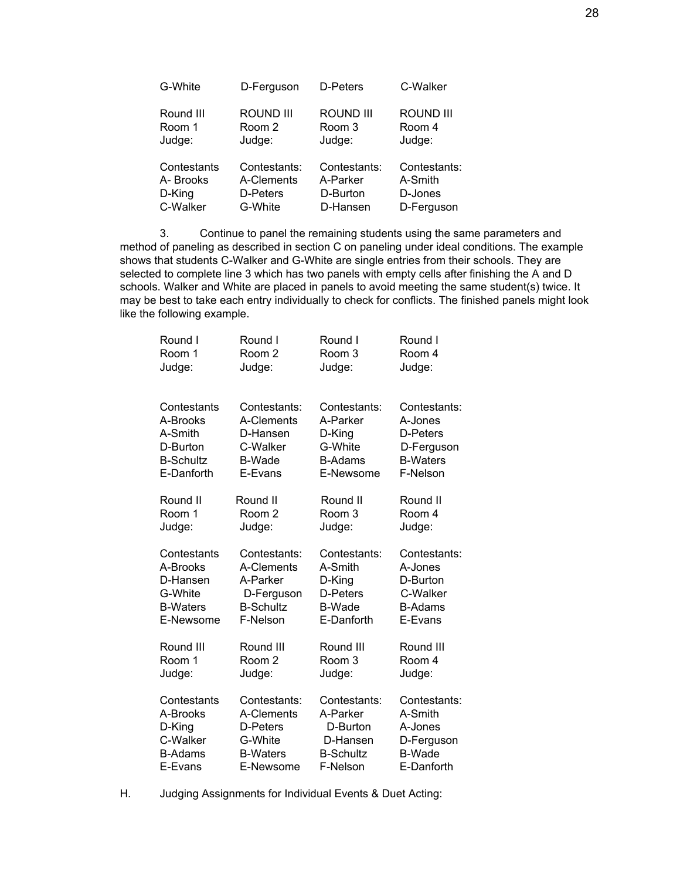| G-White     | D-Ferguson       | D-Peters     | C-Walker         |
|-------------|------------------|--------------|------------------|
| Round III   | <b>ROUND III</b> | ROUND III    | <b>ROUND III</b> |
| Room 1      | Room 2           | Room 3       | Room 4           |
| Judge:      | Judge:           | Judge:       | Judge:           |
| Contestants | Contestants:     | Contestants: | Contestants:     |
| A-Brooks    | A-Clements       | A-Parker     | A-Smith          |
| D-King      | D-Peters         | D-Burton     | D-Jones          |
| C-Walker    | G-White          | D-Hansen     | D-Ferguson       |

3. Continue to panel the remaining students using the same parameters and method of paneling as described in section C on paneling under ideal conditions. The example shows that students C-Walker and G-White are single entries from their schools. They are selected to complete line 3 which has two panels with empty cells after finishing the A and D schools. Walker and White are placed in panels to avoid meeting the same student(s) twice. It may be best to take each entry individually to check for conflicts. The finished panels might look like the following example.

| Round I          | Round I          | Round I          | Round I         |
|------------------|------------------|------------------|-----------------|
| Room 1           | Room 2           | Room 3           | Room 4          |
| Judge:           | Judge:           | Judge:           | Judge:          |
| Contestants      | Contestants:     | Contestants:     | Contestants:    |
| A-Brooks         | A-Clements       | A-Parker         | A-Jones         |
| A-Smith          | D-Hansen         | D-King           | D-Peters        |
| D-Burton         | C-Walker         | G-White          | D-Ferguson      |
| <b>B-Schultz</b> | <b>B-Wade</b>    | <b>B-Adams</b>   | <b>B-Waters</b> |
| E-Danforth       | E-Evans          | E-Newsome        | F-Nelson        |
| Round II         | Round II         | Round II         | Round II        |
| Room 1           | Room 2           | Room 3           | Room 4          |
| Judge:           | Judge:           | Judge:           | Judge:          |
| Contestants      | Contestants:     | Contestants:     | Contestants:    |
| A-Brooks         | A-Clements       | A-Smith          | A-Jones         |
| D-Hansen         | A-Parker         | D-King           | D-Burton        |
| G-White          | D-Ferguson       | D-Peters         | C-Walker        |
| <b>B-Waters</b>  | <b>B-Schultz</b> | <b>B-Wade</b>    | <b>B-Adams</b>  |
| E-Newsome        | F-Nelson         | E-Danforth       | E-Evans         |
| Round III        | Round III        | Round III        | Round III       |
| Room 1           | Room 2           | Room 3           | Room 4          |
| Judge:           | Judge:           | Judge:           | Judge:          |
| Contestants      | Contestants:     | Contestants:     | Contestants:    |
| A-Brooks         | A-Clements       | A-Parker         | A-Smith         |
| D-King           | D-Peters         | D-Burton         | A-Jones         |
| C-Walker         | G-White          | D-Hansen         | D-Ferguson      |
| <b>B-Adams</b>   | <b>B-Waters</b>  | <b>B-Schultz</b> | <b>B-Wade</b>   |
| E-Evans          | E-Newsome        | F-Nelson         | E-Danforth      |

H. Judging Assignments for Individual Events & Duet Acting: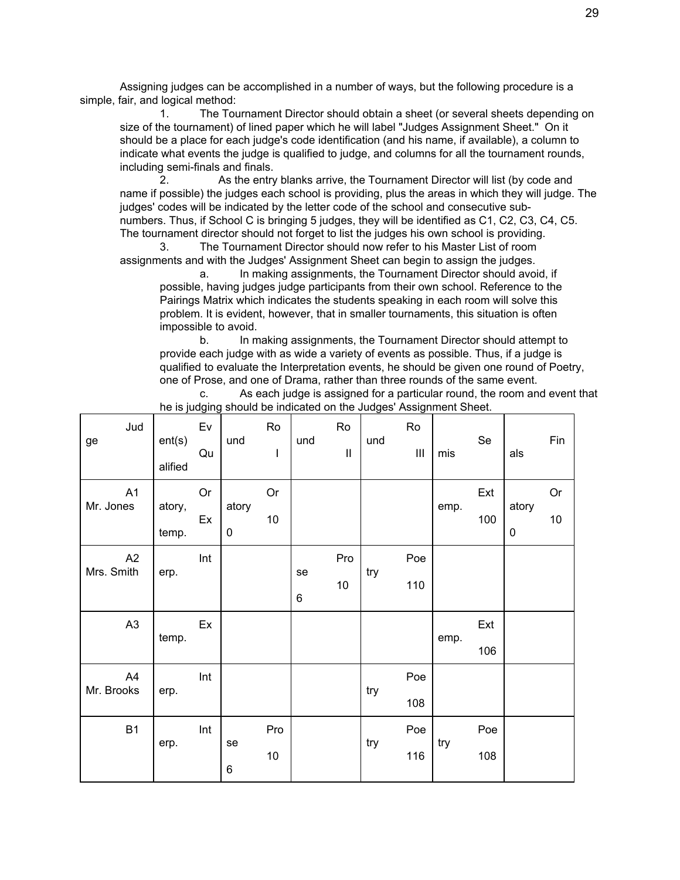Assigning judges can be accomplished in a number of ways, but the following procedure is a simple, fair, and logical method:

1. The Tournament Director should obtain a sheet (or several sheets depending on size of the tournament) of lined paper which he will label "Judges Assignment Sheet." On it should be a place for each judge's code identification (and his name, if available), a column to indicate what events the judge is qualified to judge, and columns for all the tournament rounds, including semi-finals and finals.

2. As the entry blanks arrive, the Tournament Director will list (by code and name if possible) the judges each school is providing, plus the areas in which they will judge. The judges' codes will be indicated by the letter code of the school and consecutive subnumbers. Thus, if School C is bringing 5 judges, they will be identified as C1, C2, C3, C4, C5. The tournament director should not forget to list the judges his own school is providing.

3. The Tournament Director should now refer to his Master List of room assignments and with the Judges' Assignment Sheet can begin to assign the judges.

a. In making assignments, the Tournament Director should avoid, if possible, having judges judge participants from their own school. Reference to the Pairings Matrix which indicates the students speaking in each room will solve this problem. It is evident, however, that in smaller tournaments, this situation is often impossible to avoid.

b. In making assignments, the Tournament Director should attempt to provide each judge with as wide a variety of events as possible. Thus, if a judge is qualified to evaluate the Interpretation events, he should be given one round of Poetry, one of Prose, and one of Drama, rather than three rounds of the same event.

c. As each judge is assigned for a particular round, the room and event that he is judging should be indicated on the Judges' Assignment Sheet.

| Jud<br>ge        | ent(s)<br>alified | Ev<br>Qu | und        | Ro<br>$\mathbf{I}$ | und     | Ro<br>$\mathbf{  }$ | und | Ro<br>$\mathop{\mathsf{III}}\nolimits$ | mis  | Se         | als                | Fin        |
|------------------|-------------------|----------|------------|--------------------|---------|---------------------|-----|----------------------------------------|------|------------|--------------------|------------|
| A1<br>Mr. Jones  | atory,<br>temp.   | Or<br>Ex | atory<br>0 | <b>Or</b><br>10    |         |                     |     |                                        | emp. | Ext<br>100 | atory<br>$\pmb{0}$ | Or<br>$10$ |
| A2<br>Mrs. Smith | erp.              | Int      |            |                    | se<br>6 | Pro<br>10           | try | Poe<br>110                             |      |            |                    |            |
| A <sub>3</sub>   | temp.             | Ex       |            |                    |         |                     |     |                                        | emp. | Ext<br>106 |                    |            |
| A4<br>Mr. Brooks | erp.              | Int      |            |                    |         |                     | try | Poe<br>108                             |      |            |                    |            |
| <b>B1</b>        | erp.              | Int      | se<br>6    | Pro<br>10          |         |                     | try | Poe<br>116                             | try  | Poe<br>108 |                    |            |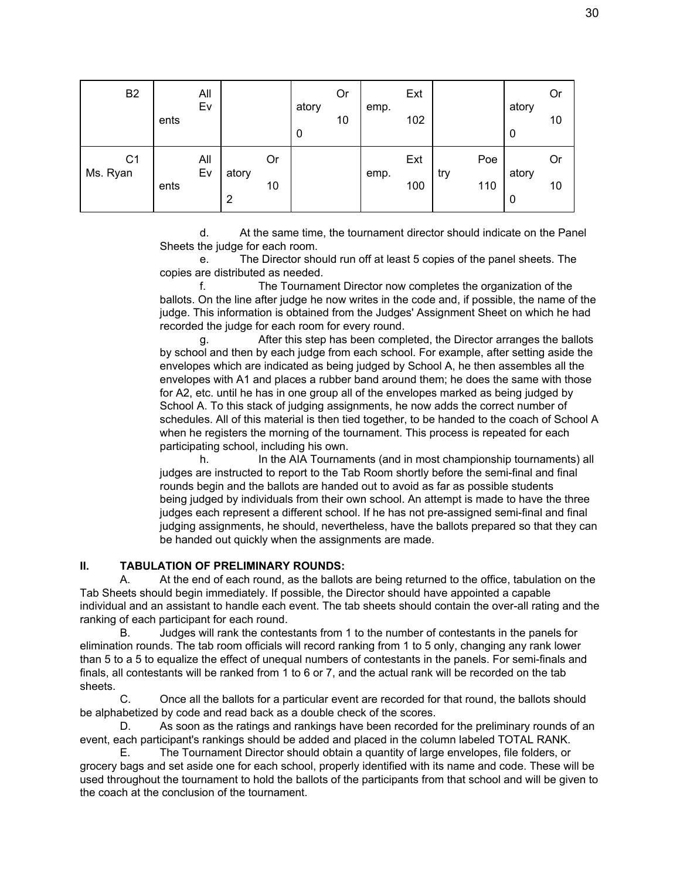| B <sub>2</sub>             | ents | All<br>Ev |                         |          | atory<br>0 | Or<br>10 | emp. | Ext<br>102 |     |            | atory<br>0 | Or<br>10 |
|----------------------------|------|-----------|-------------------------|----------|------------|----------|------|------------|-----|------------|------------|----------|
| C <sub>1</sub><br>Ms. Ryan | ents | All<br>Ev | atory<br>$\overline{2}$ | Or<br>10 |            |          | emp. | Ext<br>100 | try | Poe<br>110 | atory<br>0 | Or<br>10 |

d. At the same time, the tournament director should indicate on the Panel Sheets the judge for each room.

e. The Director should run off at least 5 copies of the panel sheets. The copies are distributed as needed.

f. The Tournament Director now completes the organization of the ballots. On the line after judge he now writes in the code and, if possible, the name of the judge. This information is obtained from the Judges' Assignment Sheet on which he had recorded the judge for each room for every round.

g. After this step has been completed, the Director arranges the ballots by school and then by each judge from each school. For example, after setting aside the envelopes which are indicated as being judged by School A, he then assembles all the envelopes with A1 and places a rubber band around them; he does the same with those for A2, etc. until he has in one group all of the envelopes marked as being judged by School A. To this stack of judging assignments, he now adds the correct number of schedules. All of this material is then tied together, to be handed to the coach of School A when he registers the morning of the tournament. This process is repeated for each participating school, including his own.

h. In the AIA Tournaments (and in most championship tournaments) all judges are instructed to report to the Tab Room shortly before the semi-final and final rounds begin and the ballots are handed out to avoid as far as possible students being judged by individuals from their own school. An attempt is made to have the three judges each represent a different school. If he has not pre-assigned semi-final and final judging assignments, he should, nevertheless, have the ballots prepared so that they can be handed out quickly when the assignments are made.

#### **II. TABULATION OF PRELIMINARY ROUNDS:**

A. At the end of each round, as the ballots are being returned to the office, tabulation on the Tab Sheets should begin immediately. If possible, the Director should have appointed a capable individual and an assistant to handle each event. The tab sheets should contain the over-all rating and the ranking of each participant for each round.

B. Judges will rank the contestants from 1 to the number of contestants in the panels for elimination rounds. The tab room officials will record ranking from 1 to 5 only, changing any rank lower than 5 to a 5 to equalize the effect of unequal numbers of contestants in the panels. For semi-finals and finals, all contestants will be ranked from 1 to 6 or 7, and the actual rank will be recorded on the tab sheets.

C. Once all the ballots for a particular event are recorded for that round, the ballots should be alphabetized by code and read back as a double check of the scores.

D. As soon as the ratings and rankings have been recorded for the preliminary rounds of an event, each participant's rankings should be added and placed in the column labeled TOTAL RANK.

E. The Tournament Director should obtain a quantity of large envelopes, file folders, or grocery bags and set aside one for each school, properly identified with its name and code. These will be used throughout the tournament to hold the ballots of the participants from that school and will be given to the coach at the conclusion of the tournament.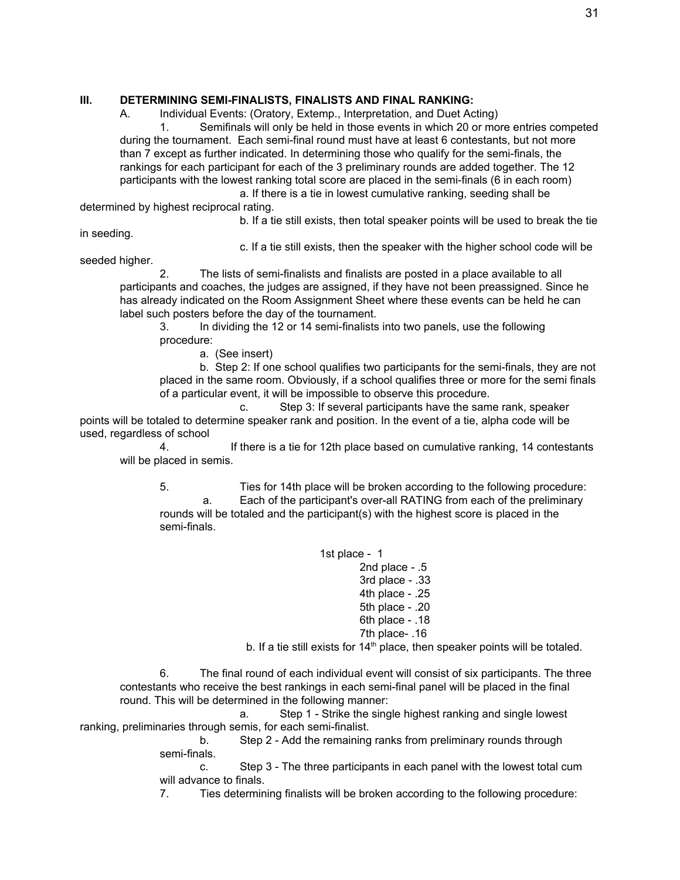#### **III. DETERMINING SEMI-FINALISTS, FINALISTS AND FINAL RANKING:**

A. Individual Events: (Oratory, Extemp., Interpretation, and Duet Acting)

1. Semifinals will only be held in those events in which 20 or more entries competed during the tournament. Each semi-final round must have at least 6 contestants, but not more than 7 except as further indicated. In determining those who qualify for the semi-finals, the rankings for each participant for each of the 3 preliminary rounds are added together. The 12 participants with the lowest ranking total score are placed in the semi-finals (6 in each room)

a. If there is a tie in lowest cumulative ranking, seeding shall be determined by highest reciprocal rating.

b. If a tie still exists, then total speaker points will be used to break the tie

in seeding.

c. If a tie still exists, then the speaker with the higher school code will be

seeded higher.

2. The lists of semi-finalists and finalists are posted in a place available to all participants and coaches, the judges are assigned, if they have not been preassigned. Since he has already indicated on the Room Assignment Sheet where these events can be held he can label such posters before the day of the tournament.

3. In dividing the 12 or 14 semi-finalists into two panels, use the following procedure:

a. (See insert)

b. Step 2: If one school qualifies two participants for the semi-finals, they are not placed in the same room. Obviously, if a school qualifies three or more for the semi finals of a particular event, it will be impossible to observe this procedure.

c. Step 3: If several participants have the same rank, speaker points will be totaled to determine speaker rank and position. In the event of a tie, alpha code will be used, regardless of school

4. If there is a tie for 12th place based on cumulative ranking, 14 contestants will be placed in semis.

5. Ties for 14th place will be broken according to the following procedure: a. Each of the participant's over-all RATING from each of the preliminary rounds will be totaled and the participant(s) with the highest score is placed in the semi-finals.

1st place - 1

2nd place - .5

3rd place - .33

4th place - .25

5th place - .20

6th place - .18 7th place- .16

b. If a tie still exists for  $14<sup>th</sup>$  place, then speaker points will be totaled.

6. The final round of each individual event will consist of six participants. The three contestants who receive the best rankings in each semi-final panel will be placed in the final round. This will be determined in the following manner:

a. Step 1 - Strike the single highest ranking and single lowest ranking, preliminaries through semis, for each semi-finalist.

b. Step 2 - Add the remaining ranks from preliminary rounds through semi-finals.

c. Step 3 - The three participants in each panel with the lowest total cum will advance to finals.

7. Ties determining finalists will be broken according to the following procedure: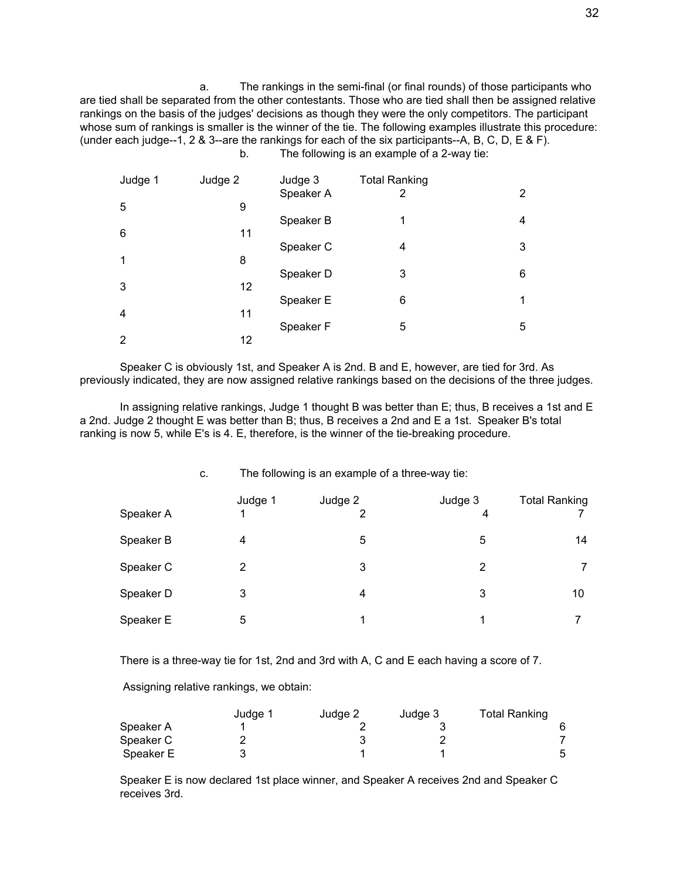a. The rankings in the semi-final (or final rounds) of those participants who are tied shall be separated from the other contestants. Those who are tied shall then be assigned relative rankings on the basis of the judges' decisions as though they were the only competitors. The participant whose sum of rankings is smaller is the winner of the tie. The following examples illustrate this procedure: (under each judge--1, 2 & 3--are the rankings for each of the six participants--A, B, C, D, E & F). b. The following is an example of a 2-way tie:

| Judge 1 | Judge 2 | Judge 3   | <b>Total Ranking</b> |                |
|---------|---------|-----------|----------------------|----------------|
| 5       | 9       | Speaker A | 2                    | $\overline{2}$ |
| 6       | 11      | Speaker B | 1                    | 4              |
|         |         | Speaker C | 4                    | 3              |
| 1       | 8       | Speaker D | 3                    | 6              |
| 3       | 12      |           |                      |                |
| 4       | 11      | Speaker E | 6                    | 1              |
|         |         | Speaker F | 5                    | 5              |
| 2       | 12      |           |                      |                |

Speaker C is obviously 1st, and Speaker A is 2nd. B and E, however, are tied for 3rd. As previously indicated, they are now assigned relative rankings based on the decisions of the three judges.

In assigning relative rankings, Judge 1 thought B was better than E; thus, B receives a 1st and E a 2nd. Judge 2 thought E was better than B; thus, B receives a 2nd and E a 1st. Speaker B's total ranking is now 5, while E's is 4. E, therefore, is the winner of the tie-breaking procedure.

|           | c. | The following is an example of a three-way tie: |              |              |                      |  |
|-----------|----|-------------------------------------------------|--------------|--------------|----------------------|--|
| Speaker A |    | Judge 1                                         | Judge 2<br>2 | Judge 3<br>4 | <b>Total Ranking</b> |  |
| Speaker B |    | 4                                               | 5            | 5            | 14                   |  |
| Speaker C |    | 2                                               | 3            | 2            | $\overline{7}$       |  |
| Speaker D |    | 3                                               | 4            | 3            | 10                   |  |
| Speaker E |    | 5                                               | 1            | 1            |                      |  |

There is a three-way tie for 1st, 2nd and 3rd with A, C and E each having a score of 7.

Assigning relative rankings, we obtain:

|           | Judge 1 | Judge 2 | Judge 3 | <b>Total Ranking</b> |
|-----------|---------|---------|---------|----------------------|
| Speaker A |         |         |         |                      |
| Speaker C |         |         |         |                      |
| Speaker E |         |         |         | 5                    |

Speaker E is now declared 1st place winner, and Speaker A receives 2nd and Speaker C receives 3rd.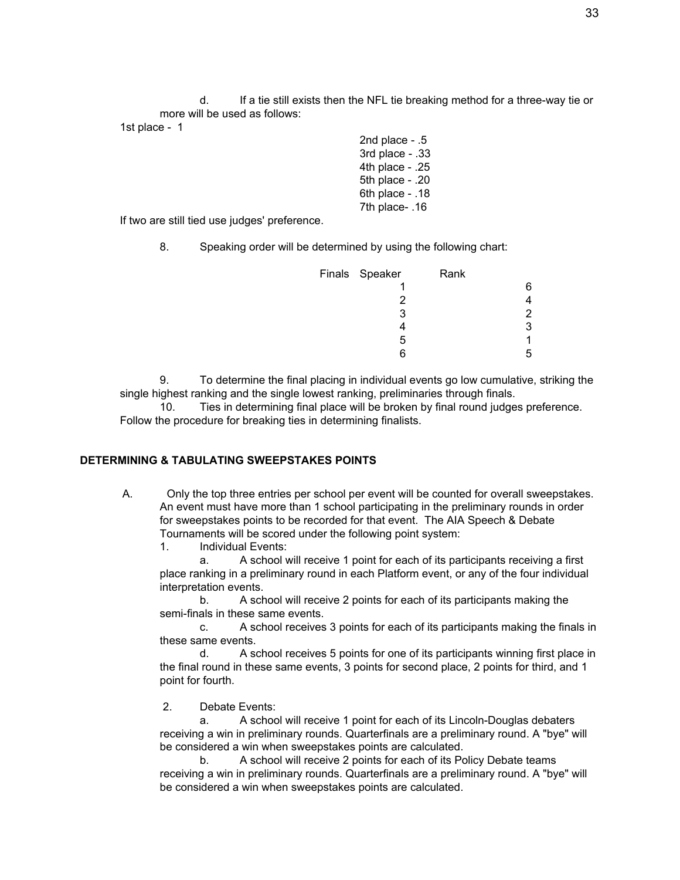d. If a tie still exists then the NFL tie breaking method for a three-way tie or more will be used as follows:

1st place - 1

2nd place - .5 3rd place - .33 4th place - .25 5th place - .20 6th place - .18 7th place- .16

If two are still tied use judges' preference.

8. Speaking order will be determined by using the following chart:

| Finals Speaker | Rank |   |
|----------------|------|---|
|                |      | 6 |
| 2              |      |   |
| 3              |      | 2 |
|                |      | 3 |
| 5              |      |   |
| հ              |      |   |

9. To determine the final placing in individual events go low cumulative, striking the single highest ranking and the single lowest ranking, preliminaries through finals.

10. Ties in determining final place will be broken by final round judges preference. Follow the procedure for breaking ties in determining finalists.

#### **DETERMINING & TABULATING SWEEPSTAKES POINTS**

- A. Only the top three entries per school per event will be counted for overall sweepstakes. An event must have more than 1 school participating in the preliminary rounds in order for sweepstakes points to be recorded for that event. The AIA Speech & Debate Tournaments will be scored under the following point system:
	- 1. Individual Events:

a. A school will receive 1 point for each of its participants receiving a first place ranking in a preliminary round in each Platform event, or any of the four individual interpretation events.

b. A school will receive 2 points for each of its participants making the semi-finals in these same events.

c. A school receives 3 points for each of its participants making the finals in these same events.

d. A school receives 5 points for one of its participants winning first place in the final round in these same events, 3 points for second place, 2 points for third, and 1 point for fourth.

2. Debate Events:

a. A school will receive 1 point for each of its Lincoln-Douglas debaters receiving a win in preliminary rounds. Quarterfinals are a preliminary round. A "bye" will be considered a win when sweepstakes points are calculated.

b. A school will receive 2 points for each of its Policy Debate teams receiving a win in preliminary rounds. Quarterfinals are a preliminary round. A "bye" will be considered a win when sweepstakes points are calculated.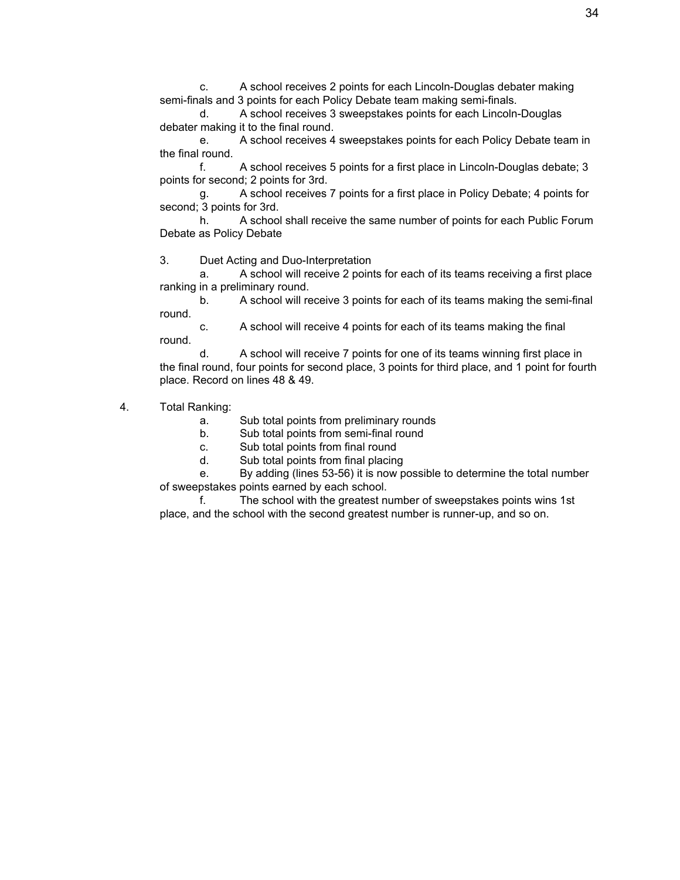c. A school receives 2 points for each Lincoln-Douglas debater making semi-finals and 3 points for each Policy Debate team making semi-finals.

d. A school receives 3 sweepstakes points for each Lincoln-Douglas debater making it to the final round.

e. A school receives 4 sweepstakes points for each Policy Debate team in the final round.

f. A school receives 5 points for a first place in Lincoln-Douglas debate; 3 points for second; 2 points for 3rd.

g. A school receives 7 points for a first place in Policy Debate; 4 points for second; 3 points for 3rd.

h. A school shall receive the same number of points for each Public Forum Debate as Policy Debate

3. Duet Acting and Duo-Interpretation

a. A school will receive 2 points for each of its teams receiving a first place ranking in a preliminary round.

b. A school will receive 3 points for each of its teams making the semi-final round.

c. A school will receive 4 points for each of its teams making the final round.

d. A school will receive 7 points for one of its teams winning first place in the final round, four points for second place, 3 points for third place, and 1 point for fourth place. Record on lines 48 & 49.

- 4. Total Ranking:
	- a. Sub total points from preliminary rounds
	- b. Sub total points from semi-final round
	- c. Sub total points from final round
	- d. Sub total points from final placing

e. By adding (lines 53-56) it is now possible to determine the total number of sweepstakes points earned by each school.

f. The school with the greatest number of sweepstakes points wins 1st place, and the school with the second greatest number is runner-up, and so on.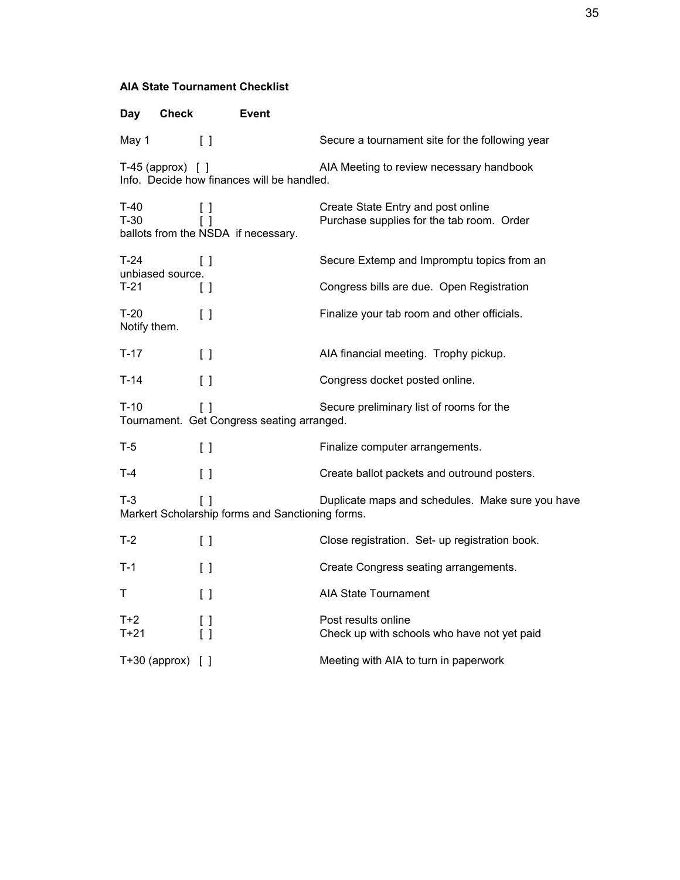# **AIA State Tournament Checklist**

| <b>Check</b><br>Day                                                                                                     | Event                                                                         |                                                                                 |  |  |  |
|-------------------------------------------------------------------------------------------------------------------------|-------------------------------------------------------------------------------|---------------------------------------------------------------------------------|--|--|--|
| May 1                                                                                                                   | $\begin{bmatrix} \end{bmatrix}$                                               | Secure a tournament site for the following year                                 |  |  |  |
| $T-45$ (approx) $[ ]$                                                                                                   | Info. Decide how finances will be handled.                                    | AIA Meeting to review necessary handbook                                        |  |  |  |
| $T-40$<br>$T-30$                                                                                                        | [ ]<br>$\begin{bmatrix} \end{bmatrix}$<br>ballots from the NSDA if necessary. | Create State Entry and post online<br>Purchase supplies for the tab room. Order |  |  |  |
| $T-24$<br>unbiased source.                                                                                              | $\mathsf{L}$                                                                  | Secure Extemp and Impromptu topics from an                                      |  |  |  |
| $T-21$                                                                                                                  | $\begin{bmatrix} \end{bmatrix}$                                               | Congress bills are due. Open Registration                                       |  |  |  |
| $T-20$<br>Notify them.                                                                                                  | $\left[ \ \right]$                                                            | Finalize your tab room and other officials.                                     |  |  |  |
| $T-17$                                                                                                                  | $\begin{bmatrix} \end{bmatrix}$                                               | AIA financial meeting. Trophy pickup.                                           |  |  |  |
| $T-14$                                                                                                                  | $\left[ \ \right]$                                                            | Congress docket posted online.                                                  |  |  |  |
| $T-10$                                                                                                                  | $\begin{bmatrix} \end{bmatrix}$<br>Tournament. Get Congress seating arranged. | Secure preliminary list of rooms for the                                        |  |  |  |
| T-5                                                                                                                     | $\begin{bmatrix} \end{bmatrix}$                                               | Finalize computer arrangements.                                                 |  |  |  |
| T-4                                                                                                                     | $\begin{bmatrix} \end{bmatrix}$                                               | Create ballot packets and outround posters.                                     |  |  |  |
| $T-3$<br>Duplicate maps and schedules. Make sure you have<br>$\Box$<br>Markert Scholarship forms and Sanctioning forms. |                                                                               |                                                                                 |  |  |  |
| T-2                                                                                                                     | $\left[ \ \right]$                                                            | Close registration. Set- up registration book.                                  |  |  |  |
| T-1                                                                                                                     | $\left[ \ \right]$                                                            | Create Congress seating arrangements.                                           |  |  |  |
| т                                                                                                                       | $\begin{bmatrix} \end{bmatrix}$                                               | <b>AIA State Tournament</b>                                                     |  |  |  |
| $T+2$<br>T+21                                                                                                           | $\begin{bmatrix} \end{bmatrix}$<br>$\left[ \ \right]$                         | Post results online<br>Check up with schools who have not yet paid              |  |  |  |
| $T+30$ (approx) $[ ]$                                                                                                   |                                                                               | Meeting with AIA to turn in paperwork                                           |  |  |  |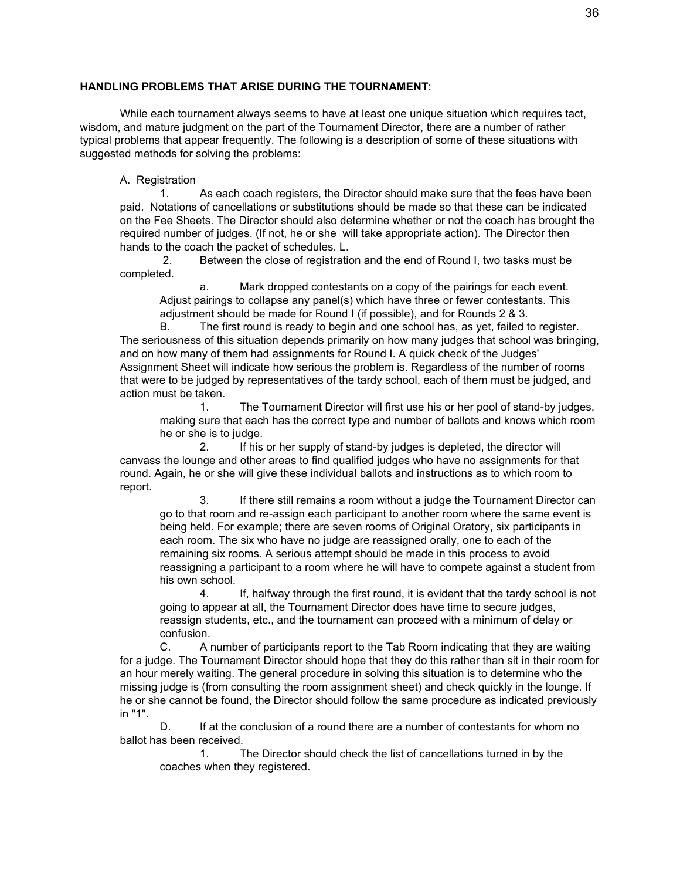#### **HANDLING PROBLEMS THAT ARISE DURING THE TOURNAMENT**:

While each tournament always seems to have at least one unique situation which requires tact, wisdom, and mature judgment on the part of the Tournament Director, there are a number of rather typical problems that appear frequently. The following is a description of some of these situations with suggested methods for solving the problems:

#### A. Registration

1. As each coach registers, the Director should make sure that the fees have been paid. Notations of cancellations or substitutions should be made so that these can be indicated on the Fee Sheets. The Director should also determine whether or not the coach has brought the required number of judges. (If not, he or she will take appropriate action). The Director then hands to the coach the packet of schedules. L.

2. Between the close of registration and the end of Round I, two tasks must be completed.

a. Mark dropped contestants on a copy of the pairings for each event. Adjust pairings to collapse any panel(s) which have three or fewer contestants. This adjustment should be made for Round I (if possible), and for Rounds 2 & 3.

B. The first round is ready to begin and one school has, as yet, failed to register. The seriousness of this situation depends primarily on how many judges that school was bringing, and on how many of them had assignments for Round I. A quick check of the Judges' Assignment Sheet will indicate how serious the problem is. Regardless of the number of rooms that were to be judged by representatives of the tardy school, each of them must be judged, and action must be taken.

1. The Tournament Director will first use his or her pool of stand-by judges, making sure that each has the correct type and number of ballots and knows which room he or she is to judge.

2. If his or her supply of stand-by judges is depleted, the director will canvass the lounge and other areas to find qualified judges who have no assignments for that round. Again, he or she will give these individual ballots and instructions as to which room to report.

3. If there still remains a room without a judge the Tournament Director can go to that room and re-assign each participant to another room where the same event is being held. For example; there are seven rooms of Original Oratory, six participants in each room. The six who have no judge are reassigned orally, one to each of the remaining six rooms. A serious attempt should be made in this process to avoid reassigning a participant to a room where he will have to compete against a student from his own school.

4. If, halfway through the first round, it is evident that the tardy school is not going to appear at all, the Tournament Director does have time to secure judges, reassign students, etc., and the tournament can proceed with a minimum of delay or confusion.

C. A number of participants report to the Tab Room indicating that they are waiting for a judge. The Tournament Director should hope that they do this rather than sit in their room for an hour merely waiting. The general procedure in solving this situation is to determine who the missing judge is (from consulting the room assignment sheet) and check quickly in the lounge. If he or she cannot be found, the Director should follow the same procedure as indicated previously in "1".

D. If at the conclusion of a round there are a number of contestants for whom no ballot has been received.

1. The Director should check the list of cancellations turned in by the coaches when they registered.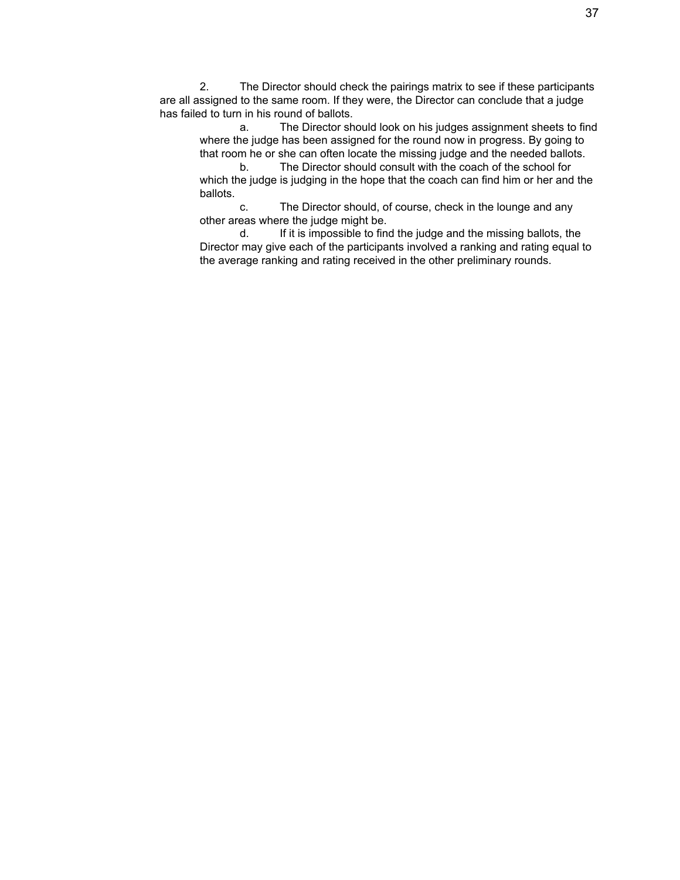2. The Director should check the pairings matrix to see if these participants are all assigned to the same room. If they were, the Director can conclude that a judge has failed to turn in his round of ballots.

a. The Director should look on his judges assignment sheets to find where the judge has been assigned for the round now in progress. By going to that room he or she can often locate the missing judge and the needed ballots.

b. The Director should consult with the coach of the school for which the judge is judging in the hope that the coach can find him or her and the ballots.

c. The Director should, of course, check in the lounge and any other areas where the judge might be.

d. If it is impossible to find the judge and the missing ballots, the Director may give each of the participants involved a ranking and rating equal to the average ranking and rating received in the other preliminary rounds.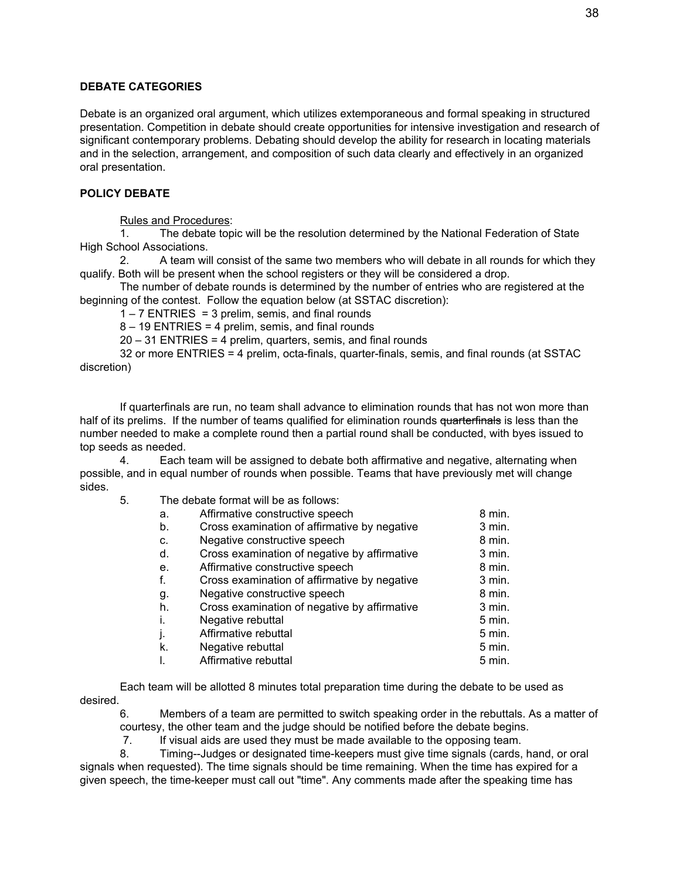#### **DEBATE CATEGORIES**

Debate is an organized oral argument, which utilizes extemporaneous and formal speaking in structured presentation. Competition in debate should create opportunities for intensive investigation and research of significant contemporary problems. Debating should develop the ability for research in locating materials and in the selection, arrangement, and composition of such data clearly and effectively in an organized oral presentation.

#### **POLICY DEBATE**

Rules and Procedures:

1. The debate topic will be the resolution determined by the National Federation of State High School Associations.

2. A team will consist of the same two members who will debate in all rounds for which they qualify. Both will be present when the school registers or they will be considered a drop.

The number of debate rounds is determined by the number of entries who are registered at the beginning of the contest. Follow the equation below (at SSTAC discretion):

 $1 - 7$  ENTRIES = 3 prelim, semis, and final rounds

8 – 19 ENTRIES = 4 prelim, semis, and final rounds

20 – 31 ENTRIES = 4 prelim, quarters, semis, and final rounds

32 or more ENTRIES = 4 prelim, octa-finals, quarter-finals, semis, and final rounds (at SSTAC discretion)

If quarterfinals are run, no team shall advance to elimination rounds that has not won more than half of its prelims. If the number of teams qualified for elimination rounds quarterfinals is less than the number needed to make a complete round then a partial round shall be conducted, with byes issued to top seeds as needed.

4. Each team will be assigned to debate both affirmative and negative, alternating when possible, and in equal number of rounds when possible. Teams that have previously met will change sides.

5. The debate format will be as follows:

| a. | Affirmative constructive speech              | 8 min.   |
|----|----------------------------------------------|----------|
| b. | Cross examination of affirmative by negative | $3$ min. |
| C. | Negative constructive speech                 | 8 min.   |
| d. | Cross examination of negative by affirmative | 3 min.   |
| е. | Affirmative constructive speech              | 8 min.   |
| f. | Cross examination of affirmative by negative | 3 min.   |
| g. | Negative constructive speech                 | 8 min.   |
| h. | Cross examination of negative by affirmative | $3$ min. |
| i. | Negative rebuttal                            | 5 min.   |
| j. | Affirmative rebuttal                         | 5 min.   |
| k. | Negative rebuttal                            | 5 min.   |
| I. | Affirmative rebuttal                         | 5 min.   |

Each team will be allotted 8 minutes total preparation time during the debate to be used as desired.

6. Members of a team are permitted to switch speaking order in the rebuttals. As a matter of courtesy, the other team and the judge should be notified before the debate begins.

7. If visual aids are used they must be made available to the opposing team.

8. Timing--Judges or designated time-keepers must give time signals (cards, hand, or oral signals when requested). The time signals should be time remaining. When the time has expired for a given speech, the time-keeper must call out "time". Any comments made after the speaking time has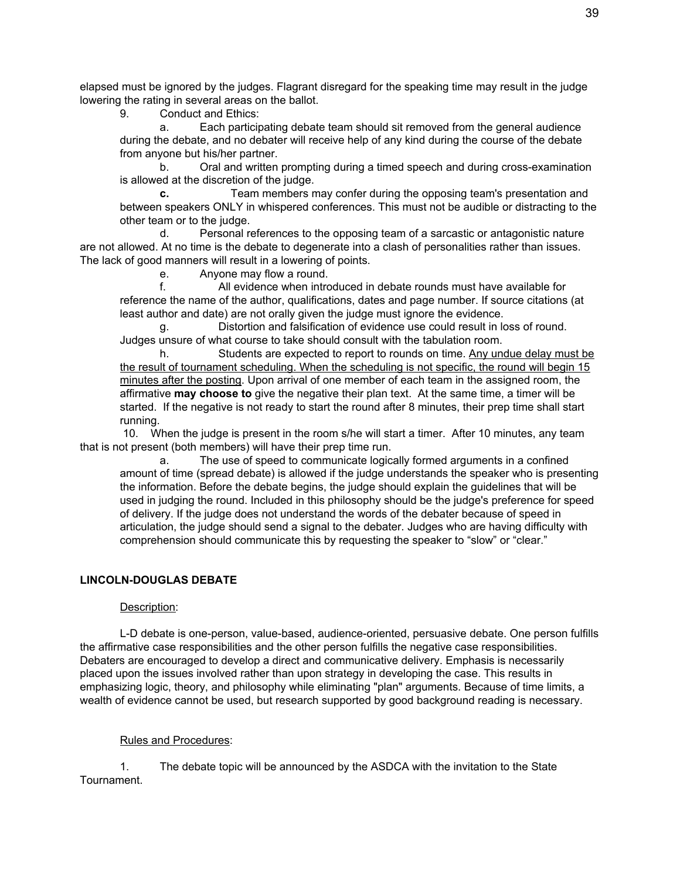elapsed must be ignored by the judges. Flagrant disregard for the speaking time may result in the judge lowering the rating in several areas on the ballot.

9. Conduct and Ethics:

Each participating debate team should sit removed from the general audience during the debate, and no debater will receive help of any kind during the course of the debate from anyone but his/her partner.

b. Oral and written prompting during a timed speech and during cross-examination is allowed at the discretion of the judge.

**c.** Team members may confer during the opposing team's presentation and between speakers ONLY in whispered conferences. This must not be audible or distracting to the other team or to the judge.

d. Personal references to the opposing team of a sarcastic or antagonistic nature are not allowed. At no time is the debate to degenerate into a clash of personalities rather than issues. The lack of good manners will result in a lowering of points.

e. Anyone may flow a round.

f. All evidence when introduced in debate rounds must have available for reference the name of the author, qualifications, dates and page number. If source citations (at least author and date) are not orally given the judge must ignore the evidence.

g. Distortion and falsification of evidence use could result in loss of round. Judges unsure of what course to take should consult with the tabulation room.

h. Students are expected to report to rounds on time. Any undue delay must be the result of tournament scheduling. When the scheduling is not specific, the round will begin 15 minutes after the posting. Upon arrival of one member of each team in the assigned room, the affirmative **may choose to** give the negative their plan text. At the same time, a timer will be started. If the negative is not ready to start the round after 8 minutes, their prep time shall start running.

10. When the judge is present in the room s/he will start a timer. After 10 minutes, any team that is not present (both members) will have their prep time run.

a. The use of speed to communicate logically formed arguments in a confined amount of time (spread debate) is allowed if the judge understands the speaker who is presenting the information. Before the debate begins, the judge should explain the guidelines that will be used in judging the round. Included in this philosophy should be the judge's preference for speed of delivery. If the judge does not understand the words of the debater because of speed in articulation, the judge should send a signal to the debater. Judges who are having difficulty with comprehension should communicate this by requesting the speaker to "slow" or "clear."

## **LINCOLN-DOUGLAS DEBATE**

#### Description:

L-D debate is one-person, value-based, audience-oriented, persuasive debate. One person fulfills the affirmative case responsibilities and the other person fulfills the negative case responsibilities. Debaters are encouraged to develop a direct and communicative delivery. Emphasis is necessarily placed upon the issues involved rather than upon strategy in developing the case. This results in emphasizing logic, theory, and philosophy while eliminating "plan" arguments. Because of time limits, a wealth of evidence cannot be used, but research supported by good background reading is necessary.

#### Rules and Procedures:

1. The debate topic will be announced by the ASDCA with the invitation to the State Tournament.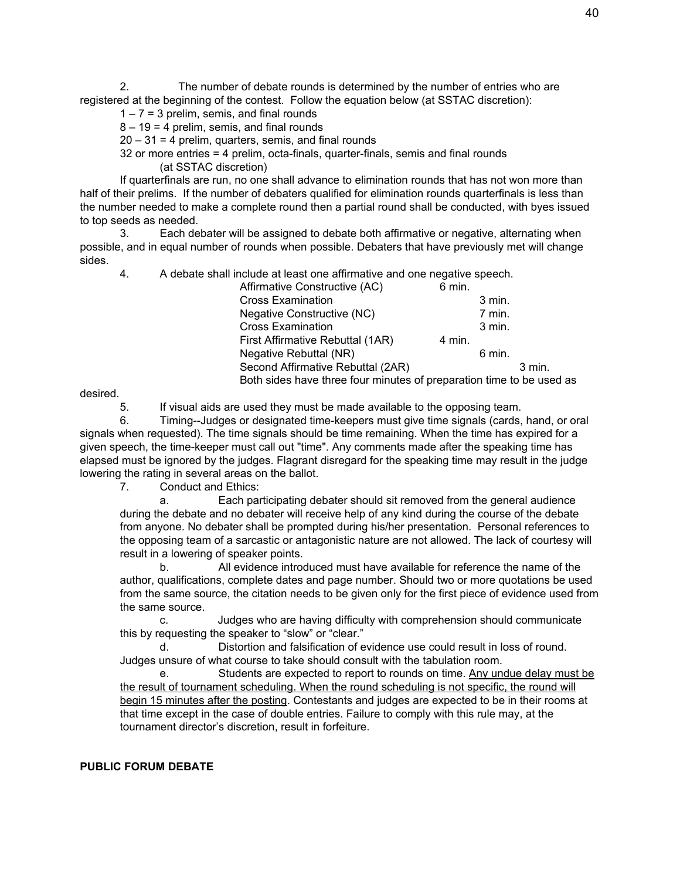2. The number of debate rounds is determined by the number of entries who are registered at the beginning of the contest. Follow the equation below (at SSTAC discretion):

 $1 - 7 = 3$  prelim, semis, and final rounds

 $8 - 19 = 4$  prelim, semis, and final rounds

 $20 - 31 = 4$  prelim, quarters, semis, and final rounds

32 or more entries = 4 prelim, octa-finals, quarter-finals, semis and final rounds

(at SSTAC discretion)

If quarterfinals are run, no one shall advance to elimination rounds that has not won more than half of their prelims. If the number of debaters qualified for elimination rounds quarterfinals is less than the number needed to make a complete round then a partial round shall be conducted, with byes issued to top seeds as needed.

3. Each debater will be assigned to debate both affirmative or negative, alternating when possible, and in equal number of rounds when possible. Debaters that have previously met will change sides.

4. A debate shall include at least one affirmative and one negative speech.

| 6 min.                                                               |          |        |  |
|----------------------------------------------------------------------|----------|--------|--|
|                                                                      | $3$ min. |        |  |
|                                                                      | 7 min.   |        |  |
|                                                                      | $3$ min. |        |  |
| 4 min.                                                               |          |        |  |
|                                                                      | 6 min.   |        |  |
|                                                                      |          | 3 min. |  |
| Both sides have three four minutes of preparation time to be used as |          |        |  |
|                                                                      |          |        |  |

desired.

5. If visual aids are used they must be made available to the opposing team.

6. Timing--Judges or designated time-keepers must give time signals (cards, hand, or oral signals when requested). The time signals should be time remaining. When the time has expired for a given speech, the time-keeper must call out "time". Any comments made after the speaking time has elapsed must be ignored by the judges. Flagrant disregard for the speaking time may result in the judge lowering the rating in several areas on the ballot.

7. Conduct and Ethics:

a. Each participating debater should sit removed from the general audience during the debate and no debater will receive help of any kind during the course of the debate from anyone. No debater shall be prompted during his/her presentation. Personal references to the opposing team of a sarcastic or antagonistic nature are not allowed. The lack of courtesy will result in a lowering of speaker points.

b. All evidence introduced must have available for reference the name of the author, qualifications, complete dates and page number. Should two or more quotations be used from the same source, the citation needs to be given only for the first piece of evidence used from the same source.

c. Judges who are having difficulty with comprehension should communicate this by requesting the speaker to "slow" or "clear."

d. Distortion and falsification of evidence use could result in loss of round. Judges unsure of what course to take should consult with the tabulation room.

e. Students are expected to report to rounds on time. Any undue delay must be the result of tournament scheduling. When the round scheduling is not specific, the round will begin 15 minutes after the posting. Contestants and judges are expected to be in their rooms at that time except in the case of double entries. Failure to comply with this rule may, at the tournament director's discretion, result in forfeiture.

#### **PUBLIC FORUM DEBATE**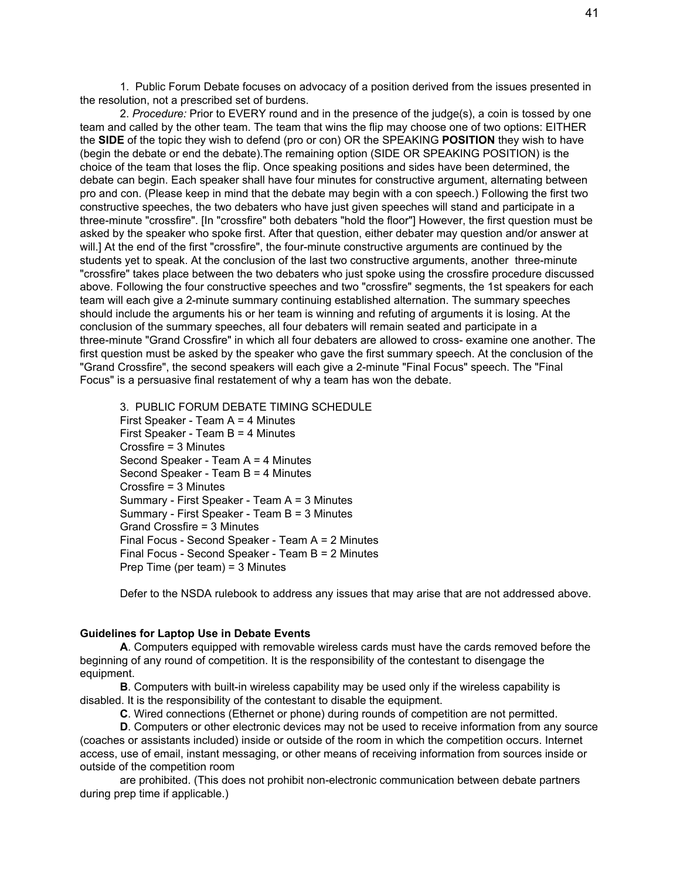1. Public Forum Debate focuses on advocacy of a position derived from the issues presented in the resolution, not a prescribed set of burdens.

2. *Procedure:* Prior to EVERY round and in the presence of the judge(s), a coin is tossed by one team and called by the other team. The team that wins the flip may choose one of two options: EITHER the **SIDE** of the topic they wish to defend (pro or con) OR the SPEAKING **POSITION** they wish to have (begin the debate or end the debate).The remaining option (SIDE OR SPEAKING POSITION) is the choice of the team that loses the flip. Once speaking positions and sides have been determined, the debate can begin. Each speaker shall have four minutes for constructive argument, alternating between pro and con. (Please keep in mind that the debate may begin with a con speech.) Following the first two constructive speeches, the two debaters who have just given speeches will stand and participate in a three-minute "crossfire". [In "crossfire" both debaters "hold the floor"] However, the first question must be asked by the speaker who spoke first. After that question, either debater may question and/or answer at will.] At the end of the first "crossfire", the four-minute constructive arguments are continued by the students yet to speak. At the conclusion of the last two constructive arguments, another three-minute "crossfire" takes place between the two debaters who just spoke using the crossfire procedure discussed above. Following the four constructive speeches and two "crossfire" segments, the 1st speakers for each team will each give a 2-minute summary continuing established alternation. The summary speeches should include the arguments his or her team is winning and refuting of arguments it is losing. At the conclusion of the summary speeches, all four debaters will remain seated and participate in a three-minute "Grand Crossfire" in which all four debaters are allowed to cross- examine one another. The first question must be asked by the speaker who gave the first summary speech. At the conclusion of the "Grand Crossfire", the second speakers will each give a 2-minute "Final Focus" speech. The "Final Focus" is a persuasive final restatement of why a team has won the debate.

3. PUBLIC FORUM DEBATE TIMING SCHEDULE First Speaker - Team A = 4 Minutes First Speaker - Team  $B = 4$  Minutes Crossfire = 3 Minutes Second Speaker - Team A = 4 Minutes Second Speaker - Team B = 4 Minutes Crossfire = 3 Minutes Summary - First Speaker - Team A = 3 Minutes Summary - First Speaker - Team B = 3 Minutes Grand Crossfire = 3 Minutes Final Focus - Second Speaker - Team A = 2 Minutes Final Focus - Second Speaker - Team B = 2 Minutes Prep Time (per team) = 3 Minutes

Defer to the NSDA rulebook to address any issues that may arise that are not addressed above.

#### **Guidelines for Laptop Use in Debate Events**

**A**. Computers equipped with removable wireless cards must have the cards removed before the beginning of any round of competition. It is the responsibility of the contestant to disengage the equipment.

**B**. Computers with built-in wireless capability may be used only if the wireless capability is disabled. It is the responsibility of the contestant to disable the equipment.

**C**. Wired connections (Ethernet or phone) during rounds of competition are not permitted.

**D**. Computers or other electronic devices may not be used to receive information from any source (coaches or assistants included) inside or outside of the room in which the competition occurs. Internet access, use of email, instant messaging, or other means of receiving information from sources inside or outside of the competition room

are prohibited. (This does not prohibit non-electronic communication between debate partners during prep time if applicable.)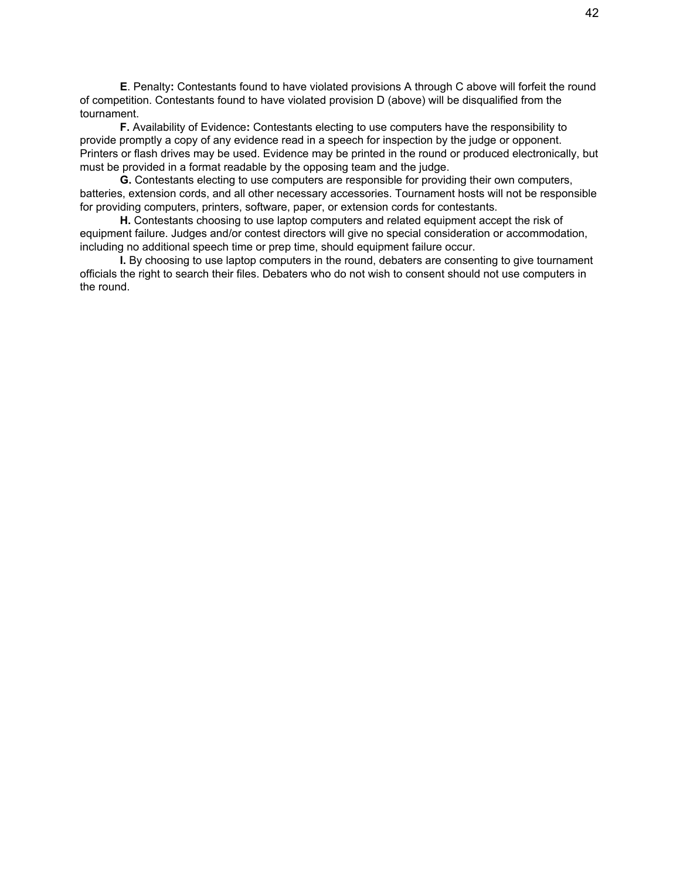**E**. Penalty**:** Contestants found to have violated provisions A through C above will forfeit the round of competition. Contestants found to have violated provision D (above) will be disqualified from the tournament.

**F.** Availability of Evidence**:** Contestants electing to use computers have the responsibility to provide promptly a copy of any evidence read in a speech for inspection by the judge or opponent. Printers or flash drives may be used. Evidence may be printed in the round or produced electronically, but must be provided in a format readable by the opposing team and the judge.

**G.** Contestants electing to use computers are responsible for providing their own computers, batteries, extension cords, and all other necessary accessories. Tournament hosts will not be responsible for providing computers, printers, software, paper, or extension cords for contestants.

**H.** Contestants choosing to use laptop computers and related equipment accept the risk of equipment failure. Judges and/or contest directors will give no special consideration or accommodation, including no additional speech time or prep time, should equipment failure occur.

**I.** By choosing to use laptop computers in the round, debaters are consenting to give tournament officials the right to search their files. Debaters who do not wish to consent should not use computers in the round.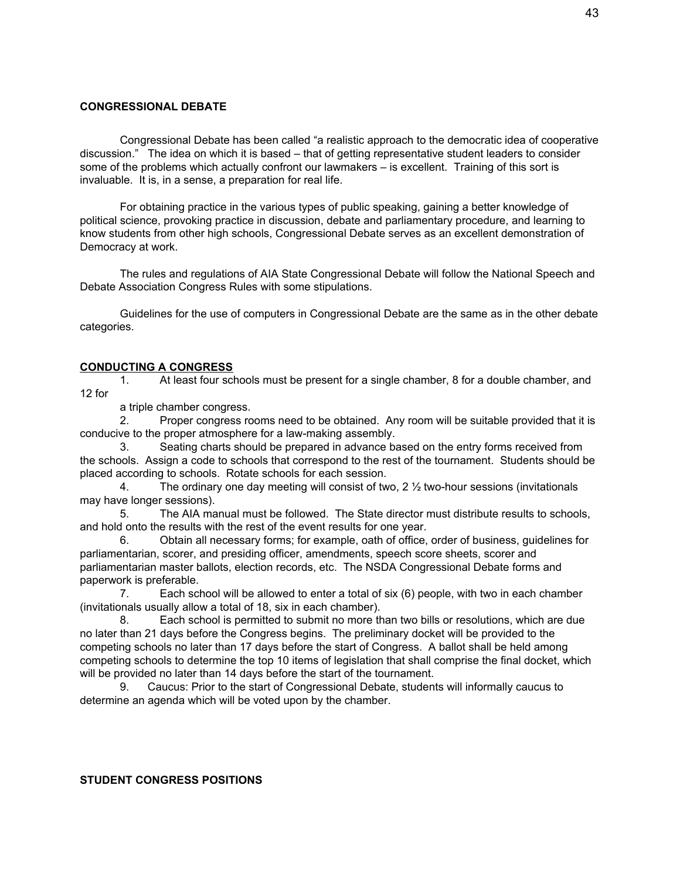#### **CONGRESSIONAL DEBATE**

Congressional Debate has been called "a realistic approach to the democratic idea of cooperative discussion." The idea on which it is based – that of getting representative student leaders to consider some of the problems which actually confront our lawmakers – is excellent. Training of this sort is invaluable. It is, in a sense, a preparation for real life.

For obtaining practice in the various types of public speaking, gaining a better knowledge of political science, provoking practice in discussion, debate and parliamentary procedure, and learning to know students from other high schools, Congressional Debate serves as an excellent demonstration of Democracy at work.

The rules and regulations of AIA State Congressional Debate will follow the National Speech and Debate Association Congress Rules with some stipulations.

Guidelines for the use of computers in Congressional Debate are the same as in the other debate categories.

#### **CONDUCTING A CONGRESS**

1. At least four schools must be present for a single chamber, 8 for a double chamber, and 12 for

a triple chamber congress.

2. Proper congress rooms need to be obtained. Any room will be suitable provided that it is conducive to the proper atmosphere for a law-making assembly.

3. Seating charts should be prepared in advance based on the entry forms received from the schools. Assign a code to schools that correspond to the rest of the tournament. Students should be placed according to schools. Rotate schools for each session.

4. The ordinary one day meeting will consist of two,  $2\frac{1}{2}$  two-hour sessions (invitationals may have longer sessions).

5. The AIA manual must be followed. The State director must distribute results to schools, and hold onto the results with the rest of the event results for one year.

6. Obtain all necessary forms; for example, oath of office, order of business, guidelines for parliamentarian, scorer, and presiding officer, amendments, speech score sheets, scorer and parliamentarian master ballots, election records, etc. The NSDA Congressional Debate forms and paperwork is preferable.

7. Each school will be allowed to enter a total of six (6) people, with two in each chamber (invitationals usually allow a total of 18, six in each chamber).

8. Each school is permitted to submit no more than two bills or resolutions, which are due no later than 21 days before the Congress begins. The preliminary docket will be provided to the competing schools no later than 17 days before the start of Congress. A ballot shall be held among competing schools to determine the top 10 items of legislation that shall comprise the final docket, which will be provided no later than 14 days before the start of the tournament.

9. Caucus: Prior to the start of Congressional Debate, students will informally caucus to determine an agenda which will be voted upon by the chamber.

#### **STUDENT CONGRESS POSITIONS**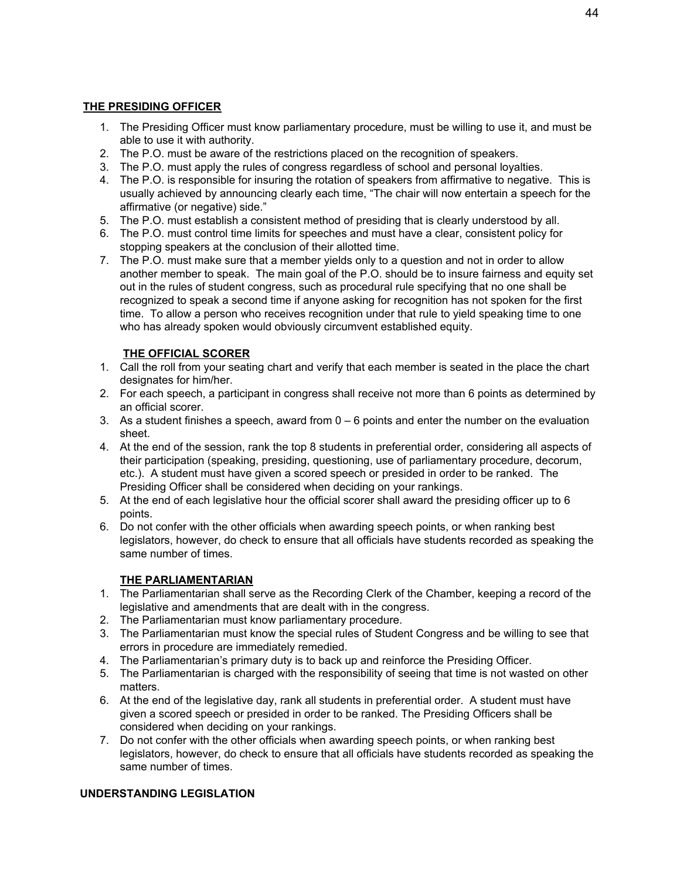# **THE PRESIDING OFFICER**

- 1. The Presiding Officer must know parliamentary procedure, must be willing to use it, and must be able to use it with authority.
- 2. The P.O. must be aware of the restrictions placed on the recognition of speakers.
- 3. The P.O. must apply the rules of congress regardless of school and personal loyalties.
- 4. The P.O. is responsible for insuring the rotation of speakers from affirmative to negative. This is usually achieved by announcing clearly each time, "The chair will now entertain a speech for the affirmative (or negative) side."
- 5. The P.O. must establish a consistent method of presiding that is clearly understood by all.
- 6. The P.O. must control time limits for speeches and must have a clear, consistent policy for stopping speakers at the conclusion of their allotted time.
- 7. The P.O. must make sure that a member yields only to a question and not in order to allow another member to speak. The main goal of the P.O. should be to insure fairness and equity set out in the rules of student congress, such as procedural rule specifying that no one shall be recognized to speak a second time if anyone asking for recognition has not spoken for the first time. To allow a person who receives recognition under that rule to yield speaking time to one who has already spoken would obviously circumvent established equity.

# **THE OFFICIAL SCORER**

- 1. Call the roll from your seating chart and verify that each member is seated in the place the chart designates for him/her.
- 2. For each speech, a participant in congress shall receive not more than 6 points as determined by an official scorer.
- 3. As a student finishes a speech, award from  $0 6$  points and enter the number on the evaluation sheet.
- 4. At the end of the session, rank the top 8 students in preferential order, considering all aspects of their participation (speaking, presiding, questioning, use of parliamentary procedure, decorum, etc.). A student must have given a scored speech or presided in order to be ranked. The Presiding Officer shall be considered when deciding on your rankings.
- 5. At the end of each legislative hour the official scorer shall award the presiding officer up to 6 points.
- 6. Do not confer with the other officials when awarding speech points, or when ranking best legislators, however, do check to ensure that all officials have students recorded as speaking the same number of times.

# **THE PARLIAMENTARIAN**

- 1. The Parliamentarian shall serve as the Recording Clerk of the Chamber, keeping a record of the legislative and amendments that are dealt with in the congress.
- 2. The Parliamentarian must know parliamentary procedure.
- 3. The Parliamentarian must know the special rules of Student Congress and be willing to see that errors in procedure are immediately remedied.
- 4. The Parliamentarian's primary duty is to back up and reinforce the Presiding Officer.
- 5. The Parliamentarian is charged with the responsibility of seeing that time is not wasted on other matters.
- 6. At the end of the legislative day, rank all students in preferential order. A student must have given a scored speech or presided in order to be ranked. The Presiding Officers shall be considered when deciding on your rankings.
- 7. Do not confer with the other officials when awarding speech points, or when ranking best legislators, however, do check to ensure that all officials have students recorded as speaking the same number of times.

## **UNDERSTANDING LEGISLATION**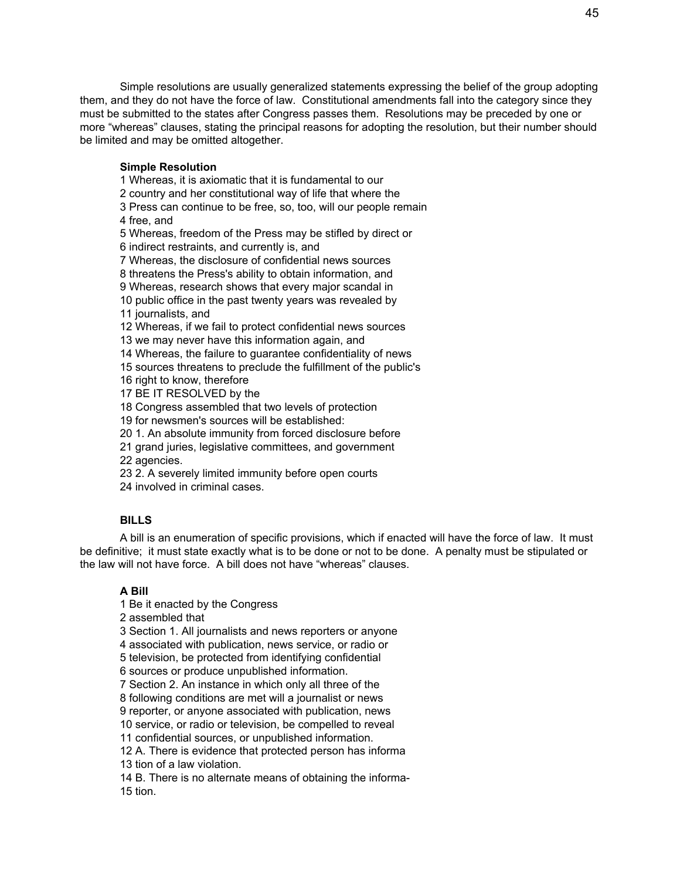Simple resolutions are usually generalized statements expressing the belief of the group adopting them, and they do not have the force of law. Constitutional amendments fall into the category since they must be submitted to the states after Congress passes them. Resolutions may be preceded by one or more "whereas" clauses, stating the principal reasons for adopting the resolution, but their number should be limited and may be omitted altogether.

#### **Simple Resolution**

 Whereas, it is axiomatic that it is fundamental to our country and her constitutional way of life that where the Press can continue to be free, so, too, will our people remain free, and Whereas, freedom of the Press may be stifled by direct or indirect restraints, and currently is, and Whereas, the disclosure of confidential news sources threatens the Press's ability to obtain information, and Whereas, research shows that every major scandal in public office in the past twenty years was revealed by 11 journalists, and Whereas, if we fail to protect confidential news sources we may never have this information again, and Whereas, the failure to guarantee confidentiality of news sources threatens to preclude the fulfillment of the public's right to know, therefore BE IT RESOLVED by the Congress assembled that two levels of protection for newsmen's sources will be established: 1. An absolute immunity from forced disclosure before grand juries, legislative committees, and government agencies.

2. A severely limited immunity before open courts

involved in criminal cases.

## **BILLS**

A bill is an enumeration of specific provisions, which if enacted will have the force of law. It must be definitive; it must state exactly what is to be done or not to be done. A penalty must be stipulated or the law will not have force. A bill does not have "whereas" clauses.

## **A Bill**

Be it enacted by the Congress

assembled that

Section 1. All journalists and news reporters or anyone

associated with publication, news service, or radio or

television, be protected from identifying confidential

sources or produce unpublished information.

Section 2. An instance in which only all three of the

following conditions are met will a journalist or news

reporter, or anyone associated with publication, news

service, or radio or television, be compelled to reveal

confidential sources, or unpublished information.

 A. There is evidence that protected person has informa tion of a law violation.

 B. There is no alternate means of obtaining the informa-tion.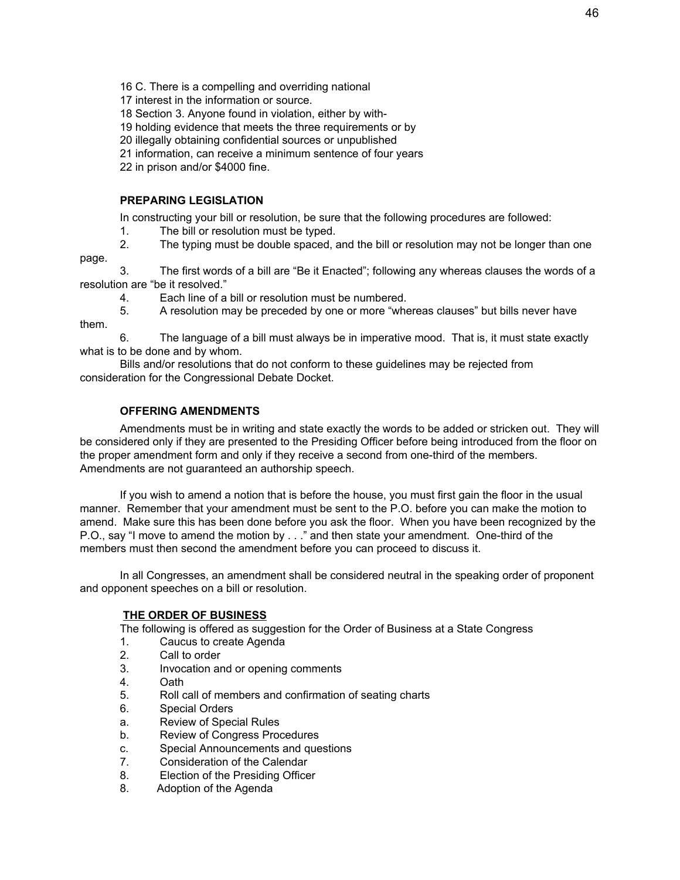16 C. There is a compelling and overriding national

17 interest in the information or source.

18 Section 3. Anyone found in violation, either by with-

19 holding evidence that meets the three requirements or by

20 illegally obtaining confidential sources or unpublished

21 information, can receive a minimum sentence of four years

22 in prison and/or \$4000 fine.

## **PREPARING LEGISLATION**

page.

In constructing your bill or resolution, be sure that the following procedures are followed:

1. The bill or resolution must be typed.

2. The typing must be double spaced, and the bill or resolution may not be longer than one

3. The first words of a bill are "Be it Enacted"; following any whereas clauses the words of a resolution are "be it resolved."

4. Each line of a bill or resolution must be numbered.

5. A resolution may be preceded by one or more "whereas clauses" but bills never have them.

6. The language of a bill must always be in imperative mood. That is, it must state exactly what is to be done and by whom.

Bills and/or resolutions that do not conform to these guidelines may be rejected from consideration for the Congressional Debate Docket.

# **OFFERING AMENDMENTS**

Amendments must be in writing and state exactly the words to be added or stricken out. They will be considered only if they are presented to the Presiding Officer before being introduced from the floor on the proper amendment form and only if they receive a second from one-third of the members. Amendments are not guaranteed an authorship speech.

If you wish to amend a notion that is before the house, you must first gain the floor in the usual manner. Remember that your amendment must be sent to the P.O. before you can make the motion to amend. Make sure this has been done before you ask the floor. When you have been recognized by the P.O., say "I move to amend the motion by . . ." and then state your amendment. One-third of the members must then second the amendment before you can proceed to discuss it.

In all Congresses, an amendment shall be considered neutral in the speaking order of proponent and opponent speeches on a bill or resolution.

## **THE ORDER OF BUSINESS**

The following is offered as suggestion for the Order of Business at a State Congress

- 1. Caucus to create Agenda
- 2. Call to order
- 3. Invocation and or opening comments
- 4. Oath
- 5. Roll call of members and confirmation of seating charts
- 6. Special Orders
- a. Review of Special Rules
- b. Review of Congress Procedures
- c. Special Announcements and questions
- 7. Consideration of the Calendar
- 8. Election of the Presiding Officer
- 8. Adoption of the Agenda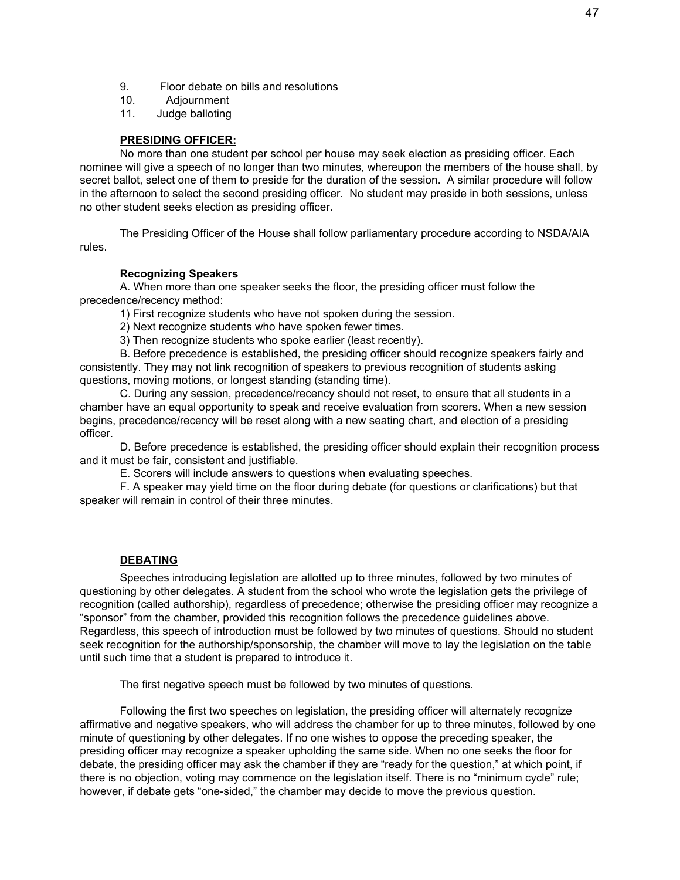- 9. Floor debate on bills and resolutions
- 10. Adjournment
- 11. Judge balloting

#### **PRESIDING OFFICER:**

No more than one student per school per house may seek election as presiding officer. Each nominee will give a speech of no longer than two minutes, whereupon the members of the house shall, by secret ballot, select one of them to preside for the duration of the session. A similar procedure will follow in the afternoon to select the second presiding officer. No student may preside in both sessions, unless no other student seeks election as presiding officer.

The Presiding Officer of the House shall follow parliamentary procedure according to NSDA/AIA rules.

#### **Recognizing Speakers**

A. When more than one speaker seeks the floor, the presiding officer must follow the precedence/recency method:

1) First recognize students who have not spoken during the session.

2) Next recognize students who have spoken fewer times.

3) Then recognize students who spoke earlier (least recently).

B. Before precedence is established, the presiding officer should recognize speakers fairly and consistently. They may not link recognition of speakers to previous recognition of students asking questions, moving motions, or longest standing (standing time).

C. During any session, precedence/recency should not reset, to ensure that all students in a chamber have an equal opportunity to speak and receive evaluation from scorers. When a new session begins, precedence/recency will be reset along with a new seating chart, and election of a presiding officer.

D. Before precedence is established, the presiding officer should explain their recognition process and it must be fair, consistent and justifiable.

E. Scorers will include answers to questions when evaluating speeches.

F. A speaker may yield time on the floor during debate (for questions or clarifications) but that speaker will remain in control of their three minutes.

#### **DEBATING**

Speeches introducing legislation are allotted up to three minutes, followed by two minutes of questioning by other delegates. A student from the school who wrote the legislation gets the privilege of recognition (called authorship), regardless of precedence; otherwise the presiding officer may recognize a "sponsor" from the chamber, provided this recognition follows the precedence guidelines above. Regardless, this speech of introduction must be followed by two minutes of questions. Should no student seek recognition for the authorship/sponsorship, the chamber will move to lay the legislation on the table until such time that a student is prepared to introduce it.

The first negative speech must be followed by two minutes of questions.

Following the first two speeches on legislation, the presiding officer will alternately recognize affirmative and negative speakers, who will address the chamber for up to three minutes, followed by one minute of questioning by other delegates. If no one wishes to oppose the preceding speaker, the presiding officer may recognize a speaker upholding the same side. When no one seeks the floor for debate, the presiding officer may ask the chamber if they are "ready for the question," at which point, if there is no objection, voting may commence on the legislation itself. There is no "minimum cycle" rule; however, if debate gets "one-sided," the chamber may decide to move the previous question.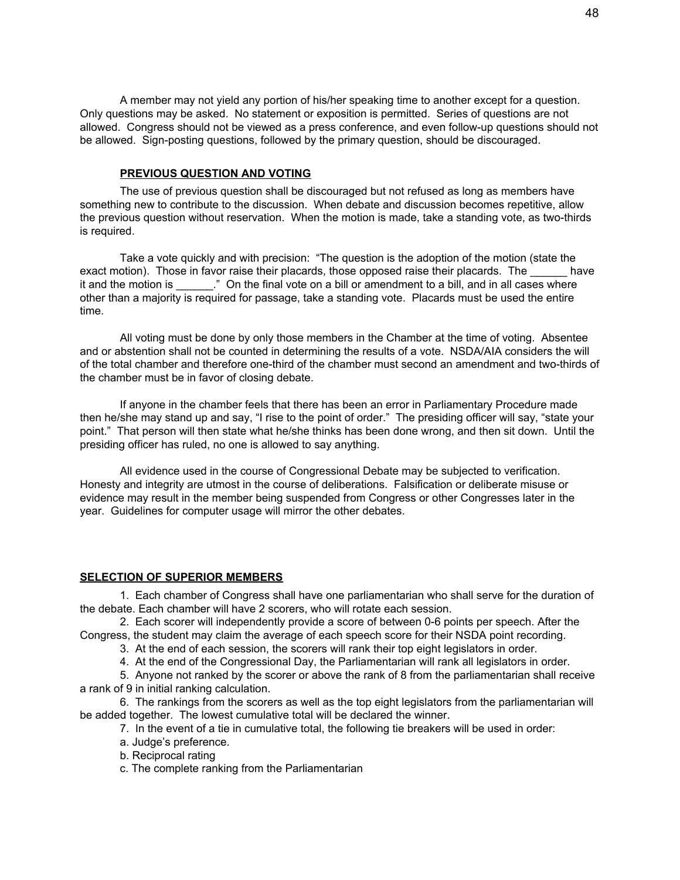A member may not yield any portion of his/her speaking time to another except for a question. Only questions may be asked. No statement or exposition is permitted. Series of questions are not allowed. Congress should not be viewed as a press conference, and even follow-up questions should not be allowed. Sign-posting questions, followed by the primary question, should be discouraged.

#### **PREVIOUS QUESTION AND VOTING**

The use of previous question shall be discouraged but not refused as long as members have something new to contribute to the discussion. When debate and discussion becomes repetitive, allow the previous question without reservation. When the motion is made, take a standing vote, as two-thirds is required.

Take a vote quickly and with precision: "The question is the adoption of the motion (state the exact motion). Those in favor raise their placards, those opposed raise their placards. The have it and the motion is  $\therefore$  " On the final vote on a bill or amendment to a bill, and in all cases where other than a majority is required for passage, take a standing vote. Placards must be used the entire time.

All voting must be done by only those members in the Chamber at the time of voting. Absentee and or abstention shall not be counted in determining the results of a vote. NSDA/AIA considers the will of the total chamber and therefore one-third of the chamber must second an amendment and two-thirds of the chamber must be in favor of closing debate.

If anyone in the chamber feels that there has been an error in Parliamentary Procedure made then he/she may stand up and say, "I rise to the point of order." The presiding officer will say, "state your point." That person will then state what he/she thinks has been done wrong, and then sit down. Until the presiding officer has ruled, no one is allowed to say anything.

All evidence used in the course of Congressional Debate may be subjected to verification. Honesty and integrity are utmost in the course of deliberations. Falsification or deliberate misuse or evidence may result in the member being suspended from Congress or other Congresses later in the year. Guidelines for computer usage will mirror the other debates.

#### **SELECTION OF SUPERIOR MEMBERS**

1. Each chamber of Congress shall have one parliamentarian who shall serve for the duration of the debate. Each chamber will have 2 scorers, who will rotate each session.

2. Each scorer will independently provide a score of between 0-6 points per speech. After the Congress, the student may claim the average of each speech score for their NSDA point recording.

- 3. At the end of each session, the scorers will rank their top eight legislators in order.
- 4. At the end of the Congressional Day, the Parliamentarian will rank all legislators in order.

5. Anyone not ranked by the scorer or above the rank of 8 from the parliamentarian shall receive a rank of 9 in initial ranking calculation.

6. The rankings from the scorers as well as the top eight legislators from the parliamentarian will be added together. The lowest cumulative total will be declared the winner.

- 7. In the event of a tie in cumulative total, the following tie breakers will be used in order:
	- a. Judge's preference.
	- b. Reciprocal rating
	- c. The complete ranking from the Parliamentarian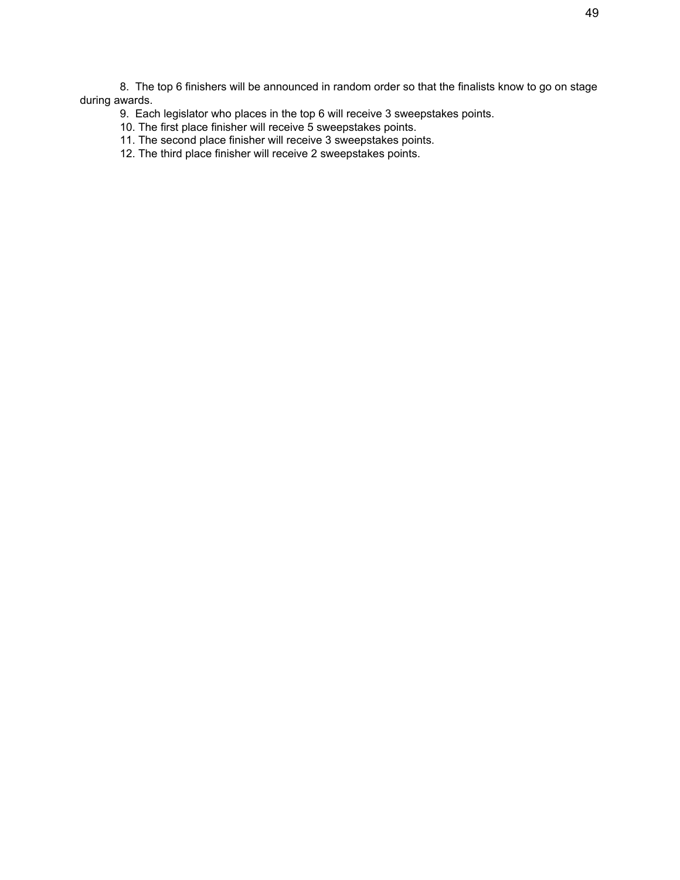8. The top 6 finishers will be announced in random order so that the finalists know to go on stage during awards.

- 9. Each legislator who places in the top 6 will receive 3 sweepstakes points.
- 10. The first place finisher will receive 5 sweepstakes points.
- 11. The second place finisher will receive 3 sweepstakes points.
- 12. The third place finisher will receive 2 sweepstakes points.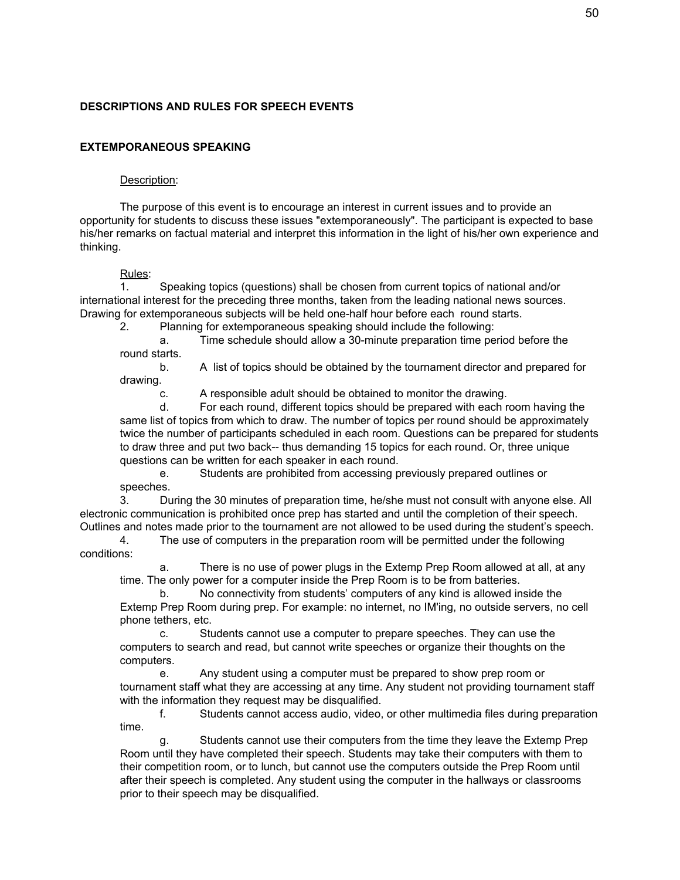# **DESCRIPTIONS AND RULES FOR SPEECH EVENTS**

#### **EXTEMPORANEOUS SPEAKING**

#### Description:

The purpose of this event is to encourage an interest in current issues and to provide an opportunity for students to discuss these issues "extemporaneously". The participant is expected to base his/her remarks on factual material and interpret this information in the light of his/her own experience and thinking.

#### Rules:

1. Speaking topics (questions) shall be chosen from current topics of national and/or international interest for the preceding three months, taken from the leading national news sources. Drawing for extemporaneous subjects will be held one-half hour before each round starts.

2. Planning for extemporaneous speaking should include the following:

a. Time schedule should allow a 30-minute preparation time period before the round starts.

b. A list of topics should be obtained by the tournament director and prepared for drawing.

c. A responsible adult should be obtained to monitor the drawing.

d. For each round, different topics should be prepared with each room having the same list of topics from which to draw. The number of topics per round should be approximately twice the number of participants scheduled in each room. Questions can be prepared for students to draw three and put two back-- thus demanding 15 topics for each round. Or, three unique questions can be written for each speaker in each round.

e. Students are prohibited from accessing previously prepared outlines or speeches.

3. During the 30 minutes of preparation time, he/she must not consult with anyone else. All electronic communication is prohibited once prep has started and until the completion of their speech. Outlines and notes made prior to the tournament are not allowed to be used during the student's speech.

4. The use of computers in the preparation room will be permitted under the following conditions:

a. There is no use of power plugs in the Extemp Prep Room allowed at all, at any time. The only power for a computer inside the Prep Room is to be from batteries.

b. No connectivity from students' computers of any kind is allowed inside the Extemp Prep Room during prep. For example: no internet, no IM'ing, no outside servers, no cell phone tethers, etc.

c. Students cannot use a computer to prepare speeches. They can use the computers to search and read, but cannot write speeches or organize their thoughts on the computers.

e. Any student using a computer must be prepared to show prep room or tournament staff what they are accessing at any time. Any student not providing tournament staff with the information they request may be disqualified.

f. Students cannot access audio, video, or other multimedia files during preparation time.

g. Students cannot use their computers from the time they leave the Extemp Prep Room until they have completed their speech. Students may take their computers with them to their competition room, or to lunch, but cannot use the computers outside the Prep Room until after their speech is completed. Any student using the computer in the hallways or classrooms prior to their speech may be disqualified.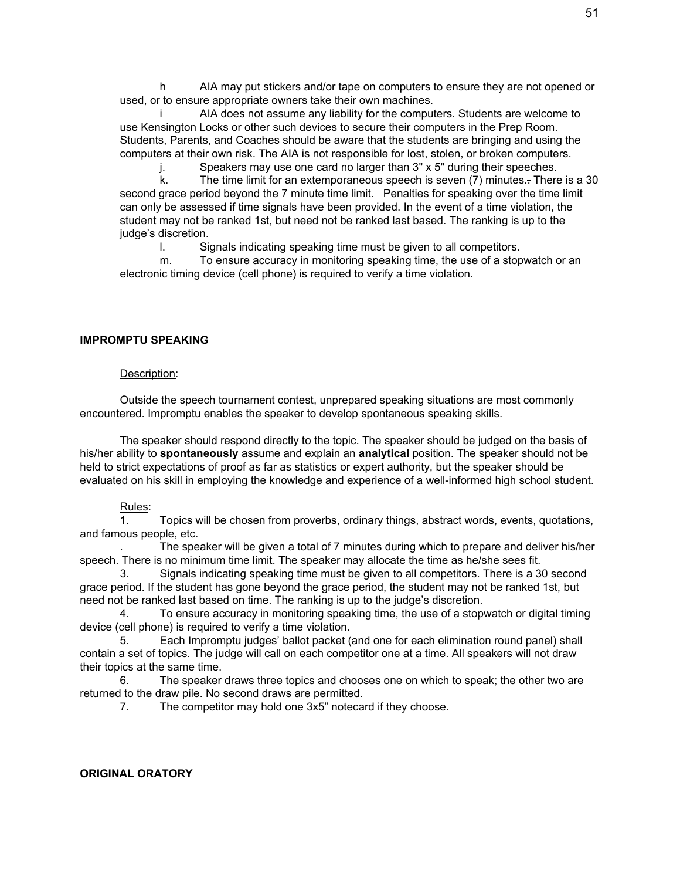h AIA may put stickers and/or tape on computers to ensure they are not opened or used, or to ensure appropriate owners take their own machines.

AIA does not assume any liability for the computers. Students are welcome to use Kensington Locks or other such devices to secure their computers in the Prep Room. Students, Parents, and Coaches should be aware that the students are bringing and using the computers at their own risk. The AIA is not responsible for lost, stolen, or broken computers.

j. Speakers may use one card no larger than 3" x 5" during their speeches.

k. The time limit for an extemporaneous speech is seven (7) minutes.- There is a 30 second grace period beyond the 7 minute time limit. Penalties for speaking over the time limit can only be assessed if time signals have been provided. In the event of a time violation, the student may not be ranked 1st, but need not be ranked last based. The ranking is up to the judge's discretion.

l. Signals indicating speaking time must be given to all competitors.

m. To ensure accuracy in monitoring speaking time, the use of a stopwatch or an electronic timing device (cell phone) is required to verify a time violation.

#### **IMPROMPTU SPEAKING**

#### Description:

Outside the speech tournament contest, unprepared speaking situations are most commonly encountered. Impromptu enables the speaker to develop spontaneous speaking skills.

The speaker should respond directly to the topic. The speaker should be judged on the basis of his/her ability to **spontaneously** assume and explain an **analytical** position. The speaker should not be held to strict expectations of proof as far as statistics or expert authority, but the speaker should be evaluated on his skill in employing the knowledge and experience of a well-informed high school student.

#### Rules:

1. Topics will be chosen from proverbs, ordinary things, abstract words, events, quotations, and famous people, etc.

. The speaker will be given a total of 7 minutes during which to prepare and deliver his/her speech. There is no minimum time limit. The speaker may allocate the time as he/she sees fit.

3. Signals indicating speaking time must be given to all competitors. There is a 30 second grace period. If the student has gone beyond the grace period, the student may not be ranked 1st, but need not be ranked last based on time. The ranking is up to the judge's discretion.

4. To ensure accuracy in monitoring speaking time, the use of a stopwatch or digital timing device (cell phone) is required to verify a time violation.

5. Each Impromptu judges' ballot packet (and one for each elimination round panel) shall contain a set of topics. The judge will call on each competitor one at a time. All speakers will not draw their topics at the same time.

6. The speaker draws three topics and chooses one on which to speak; the other two are returned to the draw pile. No second draws are permitted.

7. The competitor may hold one 3x5" notecard if they choose.

#### **ORIGINAL ORATORY**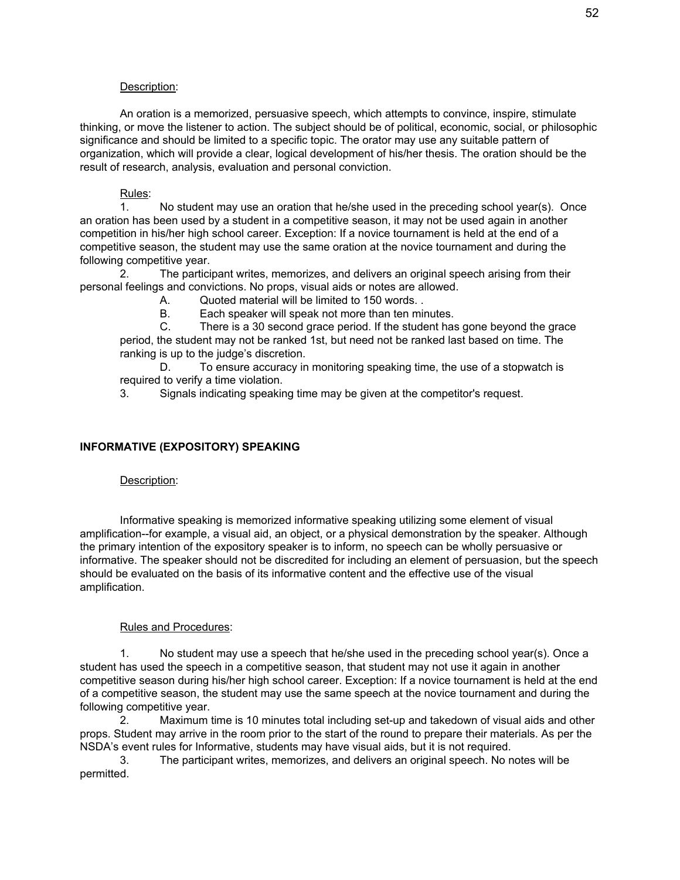#### Description:

An oration is a memorized, persuasive speech, which attempts to convince, inspire, stimulate thinking, or move the listener to action. The subject should be of political, economic, social, or philosophic significance and should be limited to a specific topic. The orator may use any suitable pattern of organization, which will provide a clear, logical development of his/her thesis. The oration should be the result of research, analysis, evaluation and personal conviction.

#### Rules:

1. No student may use an oration that he/she used in the preceding school year(s). Once an oration has been used by a student in a competitive season, it may not be used again in another competition in his/her high school career. Exception: If a novice tournament is held at the end of a competitive season, the student may use the same oration at the novice tournament and during the following competitive year.

2. The participant writes, memorizes, and delivers an original speech arising from their personal feelings and convictions. No props, visual aids or notes are allowed.

A. Quoted material will be limited to 150 words. .

B. Each speaker will speak not more than ten minutes.

C. There is a 30 second grace period. If the student has gone beyond the grace period, the student may not be ranked 1st, but need not be ranked last based on time. The ranking is up to the judge's discretion.

D. To ensure accuracy in monitoring speaking time, the use of a stopwatch is required to verify a time violation.

3. Signals indicating speaking time may be given at the competitor's request.

#### **INFORMATIVE (EXPOSITORY) SPEAKING**

#### Description:

Informative speaking is memorized informative speaking utilizing some element of visual amplification--for example, a visual aid, an object, or a physical demonstration by the speaker. Although the primary intention of the expository speaker is to inform, no speech can be wholly persuasive or informative. The speaker should not be discredited for including an element of persuasion, but the speech should be evaluated on the basis of its informative content and the effective use of the visual amplification.

#### Rules and Procedures:

1. No student may use a speech that he/she used in the preceding school year(s). Once a student has used the speech in a competitive season, that student may not use it again in another competitive season during his/her high school career. Exception: If a novice tournament is held at the end of a competitive season, the student may use the same speech at the novice tournament and during the following competitive year.

2. Maximum time is 10 minutes total including set-up and takedown of visual aids and other props. Student may arrive in the room prior to the start of the round to prepare their materials. As per the NSDA's event rules for Informative, students may have visual aids, but it is not required.

3. The participant writes, memorizes, and delivers an original speech. No notes will be permitted.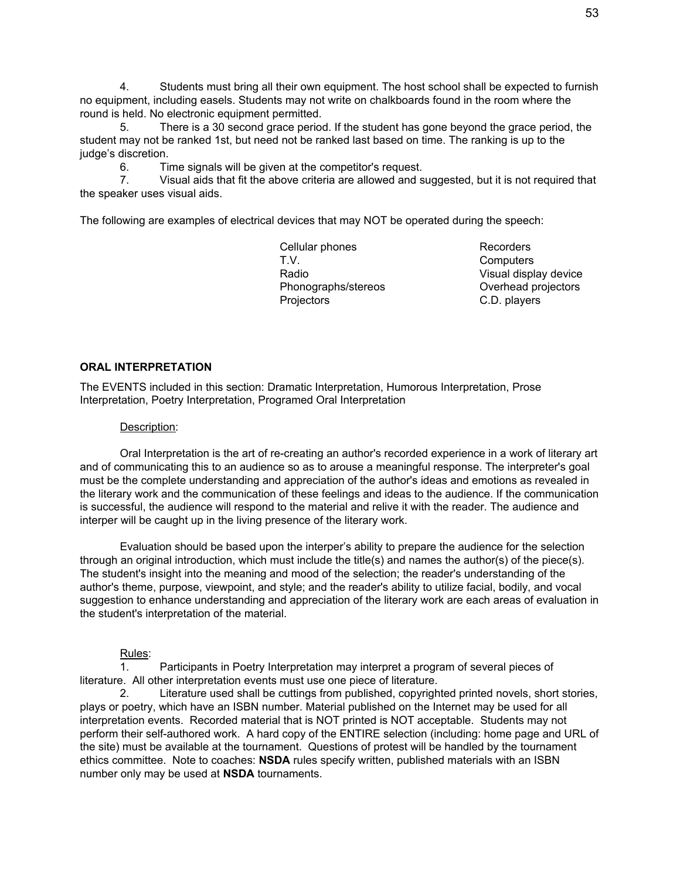4. Students must bring all their own equipment. The host school shall be expected to furnish no equipment, including easels. Students may not write on chalkboards found in the room where the round is held. No electronic equipment permitted.

5. There is a 30 second grace period. If the student has gone beyond the grace period, the student may not be ranked 1st, but need not be ranked last based on time. The ranking is up to the judge's discretion.

6. Time signals will be given at the competitor's request.

7. Visual aids that fit the above criteria are allowed and suggested, but it is not required that the speaker uses visual aids.

The following are examples of electrical devices that may NOT be operated during the speech:

Cellular phones Recorders T.V. Computers Radio **Visual display device** Phonographs/stereos **Overhead projectors** Projectors C.D. players

#### **ORAL INTERPRETATION**

The EVENTS included in this section: Dramatic Interpretation, Humorous Interpretation, Prose Interpretation, Poetry Interpretation, Programed Oral Interpretation

#### Description:

Oral Interpretation is the art of re-creating an author's recorded experience in a work of literary art and of communicating this to an audience so as to arouse a meaningful response. The interpreter's goal must be the complete understanding and appreciation of the author's ideas and emotions as revealed in the literary work and the communication of these feelings and ideas to the audience. If the communication is successful, the audience will respond to the material and relive it with the reader. The audience and interper will be caught up in the living presence of the literary work.

Evaluation should be based upon the interper's ability to prepare the audience for the selection through an original introduction, which must include the title(s) and names the author(s) of the piece(s). The student's insight into the meaning and mood of the selection; the reader's understanding of the author's theme, purpose, viewpoint, and style; and the reader's ability to utilize facial, bodily, and vocal suggestion to enhance understanding and appreciation of the literary work are each areas of evaluation in the student's interpretation of the material.

#### Rules:

1. Participants in Poetry Interpretation may interpret a program of several pieces of literature. All other interpretation events must use one piece of literature.

2. Literature used shall be cuttings from published, copyrighted printed novels, short stories, plays or poetry, which have an ISBN number. Material published on the Internet may be used for all interpretation events. Recorded material that is NOT printed is NOT acceptable. Students may not perform their self-authored work. A hard copy of the ENTIRE selection (including: home page and URL of the site) must be available at the tournament. Questions of protest will be handled by the tournament ethics committee. Note to coaches: **NSDA** rules specify written, published materials with an ISBN number only may be used at **NSDA** tournaments.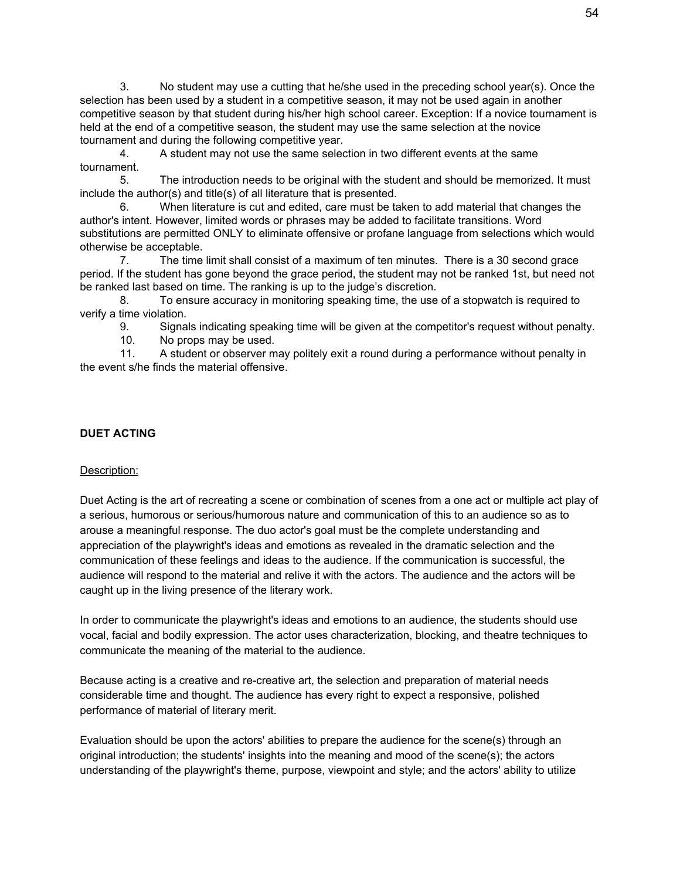3. No student may use a cutting that he/she used in the preceding school year(s). Once the selection has been used by a student in a competitive season, it may not be used again in another competitive season by that student during his/her high school career. Exception: If a novice tournament is held at the end of a competitive season, the student may use the same selection at the novice tournament and during the following competitive year.

4. A student may not use the same selection in two different events at the same tournament.

5. The introduction needs to be original with the student and should be memorized. It must include the author(s) and title(s) of all literature that is presented.

6. When literature is cut and edited, care must be taken to add material that changes the author's intent. However, limited words or phrases may be added to facilitate transitions. Word substitutions are permitted ONLY to eliminate offensive or profane language from selections which would otherwise be acceptable.

7. The time limit shall consist of a maximum of ten minutes. There is a 30 second grace period. If the student has gone beyond the grace period, the student may not be ranked 1st, but need not be ranked last based on time. The ranking is up to the judge's discretion.

8. To ensure accuracy in monitoring speaking time, the use of a stopwatch is required to verify a time violation.

9. Signals indicating speaking time will be given at the competitor's request without penalty.

10. No props may be used.

11. A student or observer may politely exit a round during a performance without penalty in the event s/he finds the material offensive.

## **DUET ACTING**

#### Description:

Duet Acting is the art of recreating a scene or combination of scenes from a one act or multiple act play of a serious, humorous or serious/humorous nature and communication of this to an audience so as to arouse a meaningful response. The duo actor's goal must be the complete understanding and appreciation of the playwright's ideas and emotions as revealed in the dramatic selection and the communication of these feelings and ideas to the audience. If the communication is successful, the audience will respond to the material and relive it with the actors. The audience and the actors will be caught up in the living presence of the literary work.

In order to communicate the playwright's ideas and emotions to an audience, the students should use vocal, facial and bodily expression. The actor uses characterization, blocking, and theatre techniques to communicate the meaning of the material to the audience.

Because acting is a creative and re-creative art, the selection and preparation of material needs considerable time and thought. The audience has every right to expect a responsive, polished performance of material of literary merit.

Evaluation should be upon the actors' abilities to prepare the audience for the scene(s) through an original introduction; the students' insights into the meaning and mood of the scene(s); the actors understanding of the playwright's theme, purpose, viewpoint and style; and the actors' ability to utilize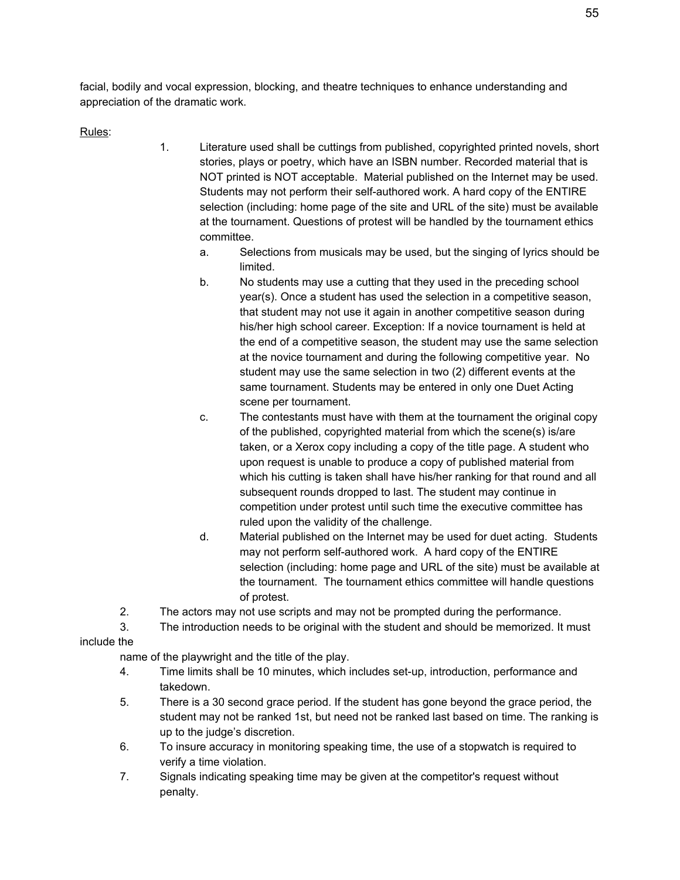facial, bodily and vocal expression, blocking, and theatre techniques to enhance understanding and appreciation of the dramatic work.

Rules:

- 1. Literature used shall be cuttings from published, copyrighted printed novels, short stories, plays or poetry, which have an ISBN number. Recorded material that is NOT printed is NOT acceptable. Material published on the Internet may be used. Students may not perform their self-authored work. A hard copy of the ENTIRE selection (including: home page of the site and URL of the site) must be available at the tournament. Questions of protest will be handled by the tournament ethics committee.
	- a. Selections from musicals may be used, but the singing of lyrics should be limited.
	- b. No students may use a cutting that they used in the preceding school year(s). Once a student has used the selection in a competitive season, that student may not use it again in another competitive season during his/her high school career. Exception: If a novice tournament is held at the end of a competitive season, the student may use the same selection at the novice tournament and during the following competitive year. No student may use the same selection in two (2) different events at the same tournament. Students may be entered in only one Duet Acting scene per tournament.
	- c. The contestants must have with them at the tournament the original copy of the published, copyrighted material from which the scene(s) is/are taken, or a Xerox copy including a copy of the title page. A student who upon request is unable to produce a copy of published material from which his cutting is taken shall have his/her ranking for that round and all subsequent rounds dropped to last. The student may continue in competition under protest until such time the executive committee has ruled upon the validity of the challenge.
	- d. Material published on the Internet may be used for duet acting. Students may not perform self-authored work. A hard copy of the ENTIRE selection (including: home page and URL of the site) must be available at the tournament. The tournament ethics committee will handle questions of protest.
- 2. The actors may not use scripts and may not be prompted during the performance.

3. The introduction needs to be original with the student and should be memorized. It must include the

name of the playwright and the title of the play.

- 4. Time limits shall be 10 minutes, which includes set-up, introduction, performance and takedown.
- 5. There is a 30 second grace period. If the student has gone beyond the grace period, the student may not be ranked 1st, but need not be ranked last based on time. The ranking is up to the judge's discretion.
- 6. To insure accuracy in monitoring speaking time, the use of a stopwatch is required to verify a time violation.
- 7. Signals indicating speaking time may be given at the competitor's request without penalty.